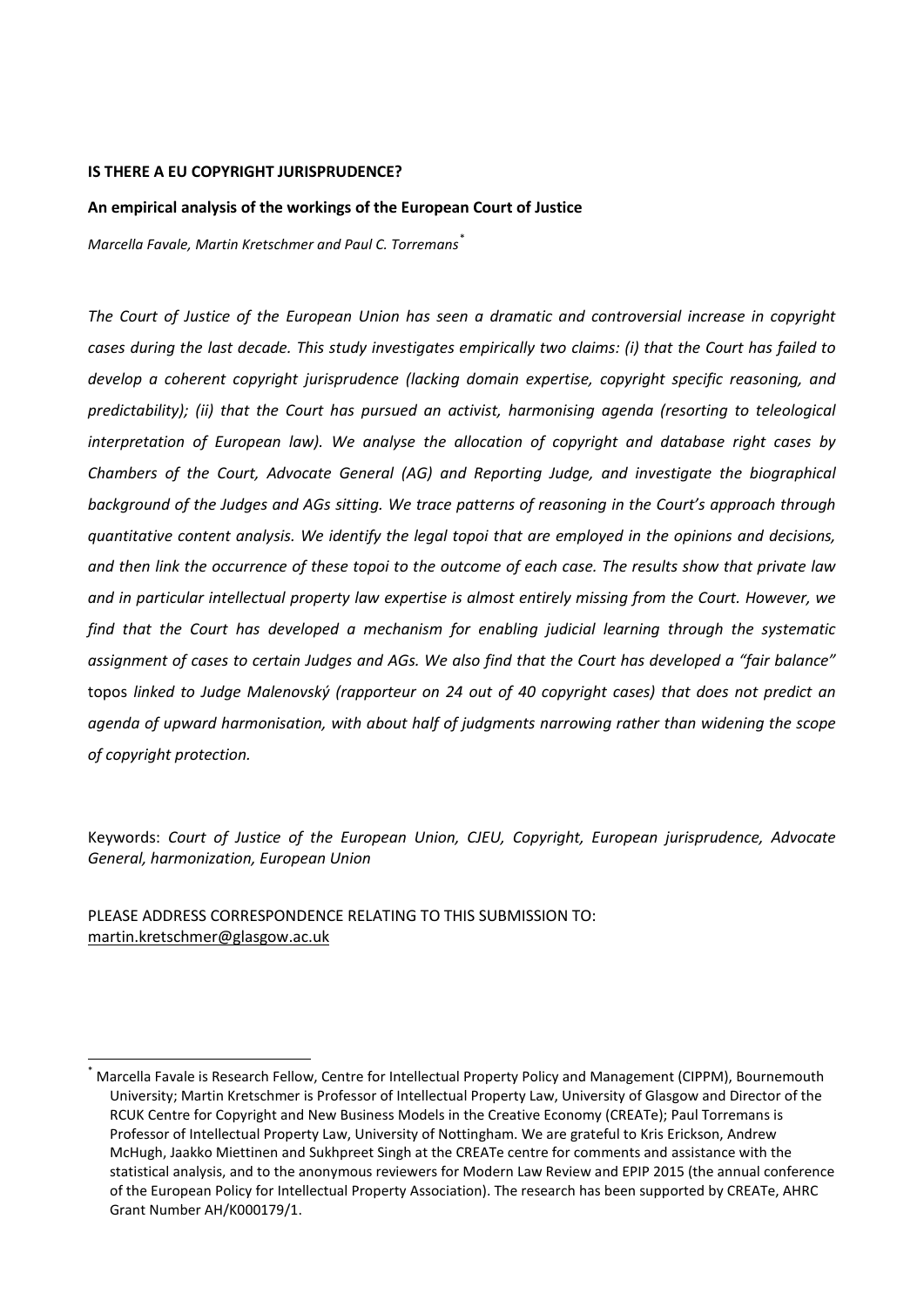#### **IS THERE A EU COPYRIGHT JURISPRUDENCE?**

#### **An empirical analysis of the workings of the European Court of Justice**

*Marcella Favale, Martin Kretschmer and Paul C. Torremans*[\\*](#page-0-0)

*The Court of Justice of the European Union has seen a dramatic and controversial increase in copyright cases during the last decade. This study investigates empirically two claims: (i) that the Court has failed to develop a coherent copyright jurisprudence (lacking domain expertise, copyright specific reasoning, and predictability); (ii) that the Court has pursued an activist, harmonising agenda (resorting to teleological interpretation of European law). We analyse the allocation of copyright and database right cases by Chambers of the Court, Advocate General (AG) and Reporting Judge, and investigate the biographical background of the Judges and AGs sitting. We trace patterns of reasoning in the Court's approach through quantitative content analysis. We identify the legal topoi that are employed in the opinions and decisions, and then link the occurrence of these topoi to the outcome of each case. The results show that private law and in particular intellectual property law expertise is almost entirely missing from the Court. However, we find that the Court has developed a mechanism for enabling judicial learning through the systematic assignment of cases to certain Judges and AGs. We also find that the Court has developed a "fair balance"*  topos *linked to Judge Malenovský (rapporteur on 24 out of 40 copyright cases) that does not predict an agenda of upward harmonisation, with about half of judgments narrowing rather than widening the scope of copyright protection.*

Keywords: *Court of Justice of the European Union, CJEU, Copyright, European jurisprudence, Advocate General, harmonization, European Union*

PLEASE ADDRESS CORRESPONDENCE RELATING TO THIS SUBMISSION TO: [martin.kretschmer@glasgow.ac.uk](mailto:martin.kretschmer@glasgow.ac.uk)

<span id="page-0-0"></span>Marcella Favale is Research Fellow, Centre for Intellectual Property Policy and Management (CIPPM), Bournemouth University; Martin Kretschmer is Professor of Intellectual Property Law, University of Glasgow and Director of the RCUK Centre for Copyright and New Business Models in the Creative Economy (CREATe); Paul Torremans is Professor of Intellectual Property Law, University of Nottingham. We are grateful to Kris Erickson, Andrew McHugh, Jaakko Miettinen and Sukhpreet Singh at the CREATe centre for comments and assistance with the statistical analysis, and to the anonymous reviewers for Modern Law Review and EPIP 2015 (the annual conference of the European Policy for Intellectual Property Association). The research has been supported by CREATe, AHRC Grant Number AH/K000179/1.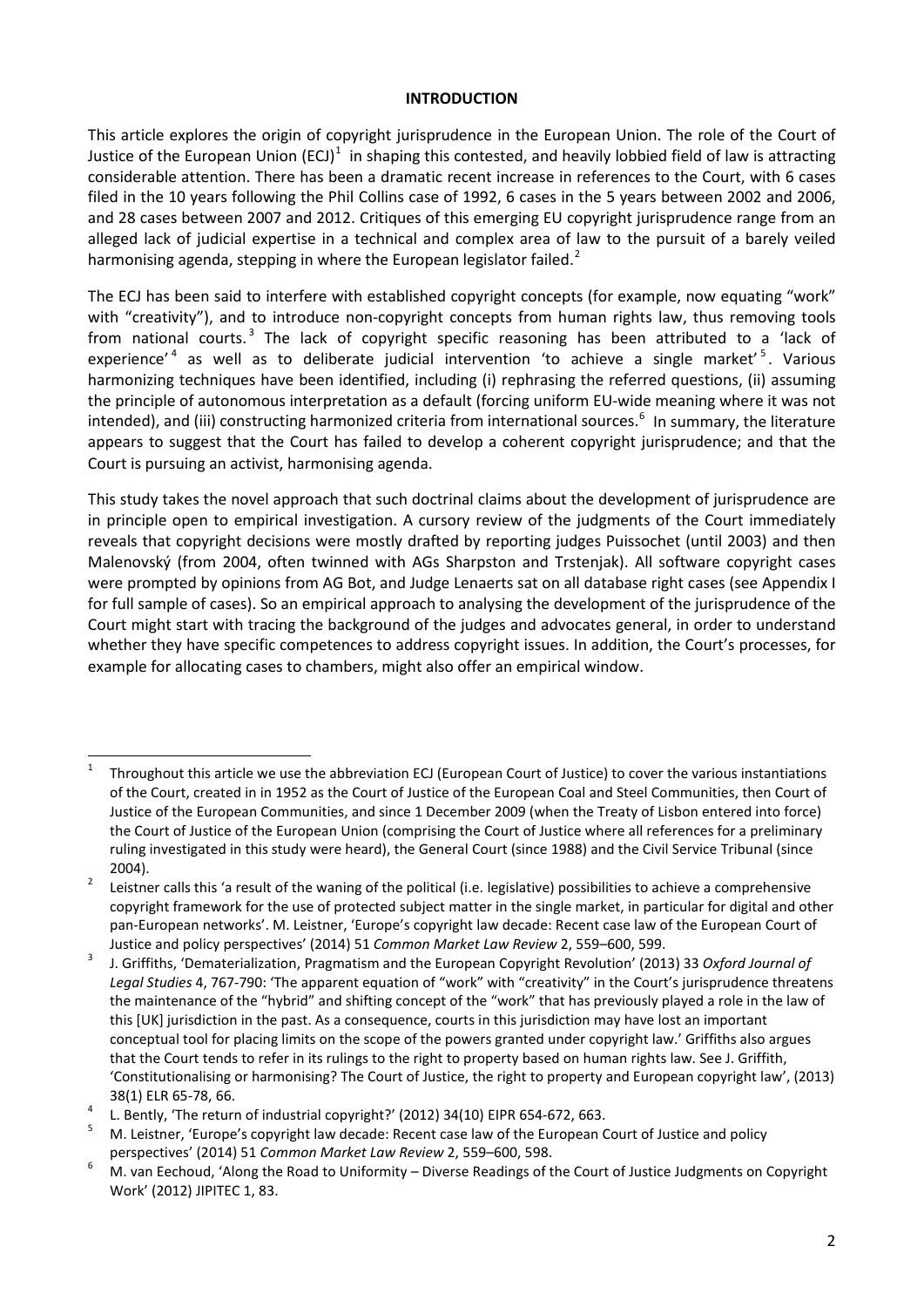### **INTRODUCTION**

This article explores the origin of copyright jurisprudence in the European Union. The role of the Court of Justice of the European Union (ECJ)<sup>[1](#page-1-0)</sup> in shaping this contested, and heavily lobbied field of law is attracting considerable attention. There has been a dramatic recent increase in references to the Court, with 6 cases filed in the 10 years following the Phil Collins case of 1992, 6 cases in the 5 years between 2002 and 2006, and 28 cases between 2007 and 2012. Critiques of this emerging EU copyright jurisprudence range from an alleged lack of judicial expertise in a technical and complex area of law to the pursuit of a barely veiled harmonising agenda, stepping in where the European legislator failed.<sup>[2](#page-1-1)</sup>

<span id="page-1-6"></span>The ECJ has been said to interfere with established copyright concepts (for example, now equating "work" with "creativity"), and to introduce non-copyright concepts from human rights law, thus removing tools from national courts.<sup>[3](#page-1-2)</sup> The lack of copyright specific reasoning has been attributed to a 'lack of experience<sup>' [4](#page-1-3)</sup> as well as to deliberate judicial intervention 'to achieve a single market'<sup>[5](#page-1-4)</sup>. Various harmonizing techniques have been identified, including (i) rephrasing the referred questions, (ii) assuming the principle of autonomous interpretation as a default (forcing uniform EU-wide meaning where it was not intended), and (iii) constructing harmonized criteria from international sources.<sup>[6](#page-1-5)</sup> In summary, the literature appears to suggest that the Court has failed to develop a coherent copyright jurisprudence; and that the Court is pursuing an activist, harmonising agenda.

This study takes the novel approach that such doctrinal claims about the development of jurisprudence are in principle open to empirical investigation. A cursory review of the judgments of the Court immediately reveals that copyright decisions were mostly drafted by reporting judges Puissochet (until 2003) and then Malenovský (from 2004, often twinned with AGs Sharpston and Trstenjak). All software copyright cases were prompted by opinions from AG Bot, and Judge Lenaerts sat on all database right cases (see Appendix I for full sample of cases). So an empirical approach to analysing the development of the jurisprudence of the Court might start with tracing the background of the judges and advocates general, in order to understand whether they have specific competences to address copyright issues. In addition, the Court's processes, for example for allocating cases to chambers, might also offer an empirical window.

<span id="page-1-0"></span><sup>&</sup>lt;sup>1</sup> Throughout this article we use the abbreviation ECJ (European Court of Justice) to cover the various instantiations of the Court, created in in 1952 as the Court of Justice of the European Coal and Steel Communities, then Court of Justice of the European Communities, and since 1 December 2009 (when the Treaty of Lisbon entered into force) the Court of Justice of the European Union (comprising the Court of Justice where all references for a preliminary ruling investigated in this study were heard), the General Court (since 1988) and the Civil Service Tribunal (since 2004).<br><sup>2</sup> Leistner calls this 'a result of the waning of the political (i.e. legislative) possibilities to achieve a comprehensive

<span id="page-1-1"></span>copyright framework for the use of protected subject matter in the single market, in particular for digital and other pan-European networks'. M. Leistner, 'Europe's copyright law decade: Recent case law of the European Court of

<span id="page-1-2"></span>Justice and policy perspectives' (2014) 51 *Common Market Law Review* 2, 559–600, 599.<br>J. Griffiths, 'Dematerialization, Pragmatism and the European Copyright Revolution' (2013) 33 *Oxford Journal of Legal Studies* 4, 767-790: 'The apparent equation of "work" with "creativity" in the Court's jurisprudence threatens the maintenance of the "hybrid" and shifting concept of the "work" that has previously played a role in the law of this [UK] jurisdiction in the past. As a consequence, courts in this jurisdiction may have lost an important conceptual tool for placing limits on the scope of the powers granted under copyright law.' Griffiths also argues that the Court tends to refer in its rulings to the right to property based on human rights law. See J. Griffith, 'Constitutionalising or harmonising? The Court of Justice, the right to property and European copyright law', (2013) 38(1) ELR 65-78, 66.<br>
<sup>4</sup> L. Bently, 'The return of industrial copyright?' (2012) 34(10) EIPR 654-672, 663.<br>
<sup>5</sup> M. Leistner, 'Europe's copyright law decade: Recent case law of the European Court of Justice and policy

<span id="page-1-3"></span>

<span id="page-1-4"></span>

<span id="page-1-5"></span>perspectives' (2014) 51 *Common Market Law Review* 2, 559–600, 598.<br><sup>6</sup> M. van Eechoud, 'Along the Road to Uniformity – Diverse Readings of the Court of Justice Judgments on Copyright Work' (2012) JIPITEC 1, 83.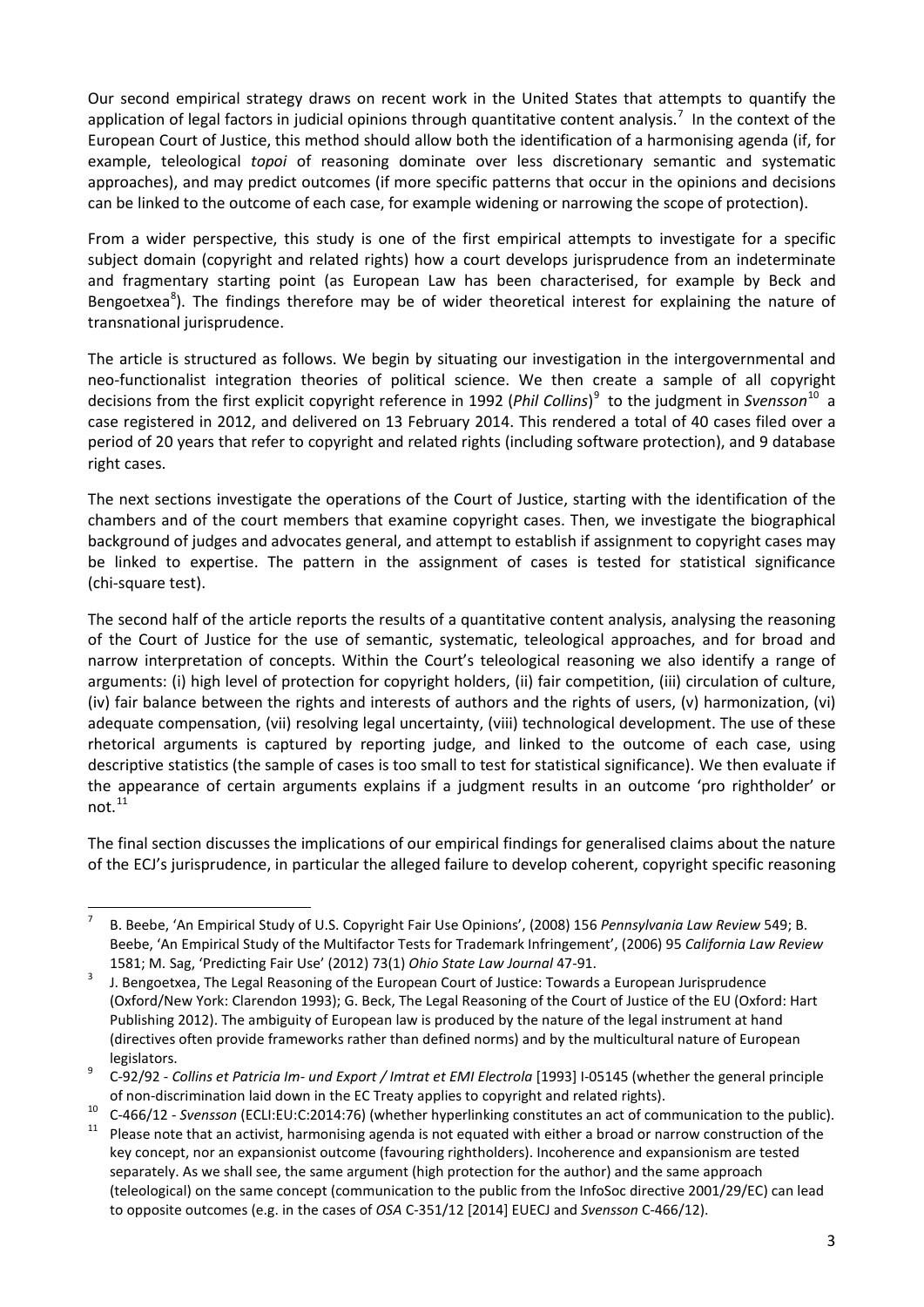Our second empirical strategy draws on recent work in the United States that attempts to quantify the application of legal factors in judicial opinions through quantitative content analysis.<sup>[7](#page-2-0)</sup> In the context of the European Court of Justice, this method should allow both the identification of a harmonising agenda (if, for example, teleological *topoi* of reasoning dominate over less discretionary semantic and systematic approaches), and may predict outcomes (if more specific patterns that occur in the opinions and decisions can be linked to the outcome of each case, for example widening or narrowing the scope of protection).

From a wider perspective, this study is one of the first empirical attempts to investigate for a specific subject domain (copyright and related rights) how a court develops jurisprudence from an indeterminate and fragmentary starting point (as European Law has been characterised, for example by Beck and Bengoetxea<sup>[8](#page-2-1)</sup>). The findings therefore may be of wider theoretical interest for explaining the nature of transnational jurisprudence.

<span id="page-2-5"></span>The article is structured as follows. We begin by situating our investigation in the intergovernmental and neo-functionalist integration theories of political science. We then create a sample of all copyright decisions from the first explicit copyright reference in 1[9](#page-2-2)92 (*Phil Collins*)<sup>9</sup> to the judgment in *Svensson*<sup>[10](#page-2-3)</sup> a case registered in 2012, and delivered on 13 February 2014. This rendered a total of 40 cases filed over a period of 20 years that refer to copyright and related rights (including software protection), and 9 database right cases.

The next sections investigate the operations of the Court of Justice, starting with the identification of the chambers and of the court members that examine copyright cases. Then, we investigate the biographical background of judges and advocates general, and attempt to establish if assignment to copyright cases may be linked to expertise. The pattern in the assignment of cases is tested for statistical significance (chi-square test).

The second half of the article reports the results of a quantitative content analysis, analysing the reasoning of the Court of Justice for the use of semantic, systematic, teleological approaches, and for broad and narrow interpretation of concepts. Within the Court's teleological reasoning we also identify a range of arguments: (i) high level of protection for copyright holders, (ii) fair competition, (iii) circulation of culture, (iv) fair balance between the rights and interests of authors and the rights of users, (v) harmonization, (vi) adequate compensation, (vii) resolving legal uncertainty, (viii) technological development. The use of these rhetorical arguments is captured by reporting judge, and linked to the outcome of each case, using descriptive statistics (the sample of cases is too small to test for statistical significance). We then evaluate if the appearance of certain arguments explains if a judgment results in an outcome 'pro rightholder' or not. [11](#page-2-4)

The final section discusses the implications of our empirical findings for generalised claims about the nature of the ECJ's jurisprudence, in particular the alleged failure to develop coherent, copyright specific reasoning

<span id="page-2-0"></span> <sup>7</sup> B. Beebe, 'An Empirical Study of U.S. Copyright Fair Use Opinions', (2008) 156 *Pennsylvania Law Review* 549; B. Beebe, 'An Empirical Study of the Multifactor Tests for Trademark Infringement', (2006) 95 *California Law Review*

<span id="page-2-1"></span><sup>1581;</sup> M. Sag, 'Predicting Fair Use' (2012) 73(1) *Ohio State Law Journal* 47-91. <sup>3</sup> J. Bengoetxea, The Legal Reasoning of the European Court of Justice: Towards <sup>a</sup> European Jurisprudence (Oxford/New York: Clarendon 1993); G. Beck, The Legal Reasoning of the Court of Justice of the EU (Oxford: Hart Publishing 2012). The ambiguity of European law is produced by the nature of the legal instrument at hand (directives often provide frameworks rather than defined norms) and by the multicultural nature of European

<span id="page-2-2"></span>legislators.<br>C-92/92 - *Collins et Patricia Im- und Export / Imtrat et EMI Electrola* [1993] I-05145 (whether the general principle

<span id="page-2-3"></span>of non-discrimination laid down in the EC Treaty applies to copyright and related rights).<br>
<sup>10</sup> C-466/12 - Svensson (ECLI:EU:C:2014:76) (whether hyperlinking constitutes an act of communication to the public).<br>
<sup>11</sup> Pleas

<span id="page-2-4"></span>key concept, nor an expansionist outcome (favouring rightholders). Incoherence and expansionism are tested separately. As we shall see, the same argument (high protection for the author) and the same approach (teleological) on the same concept (communication to the public from the InfoSoc directive 2001/29/EC) can lead to opposite outcomes (e.g. in the cases of *OSA* C-351/12 [2014] EUECJ and *Svensson* C-466/12).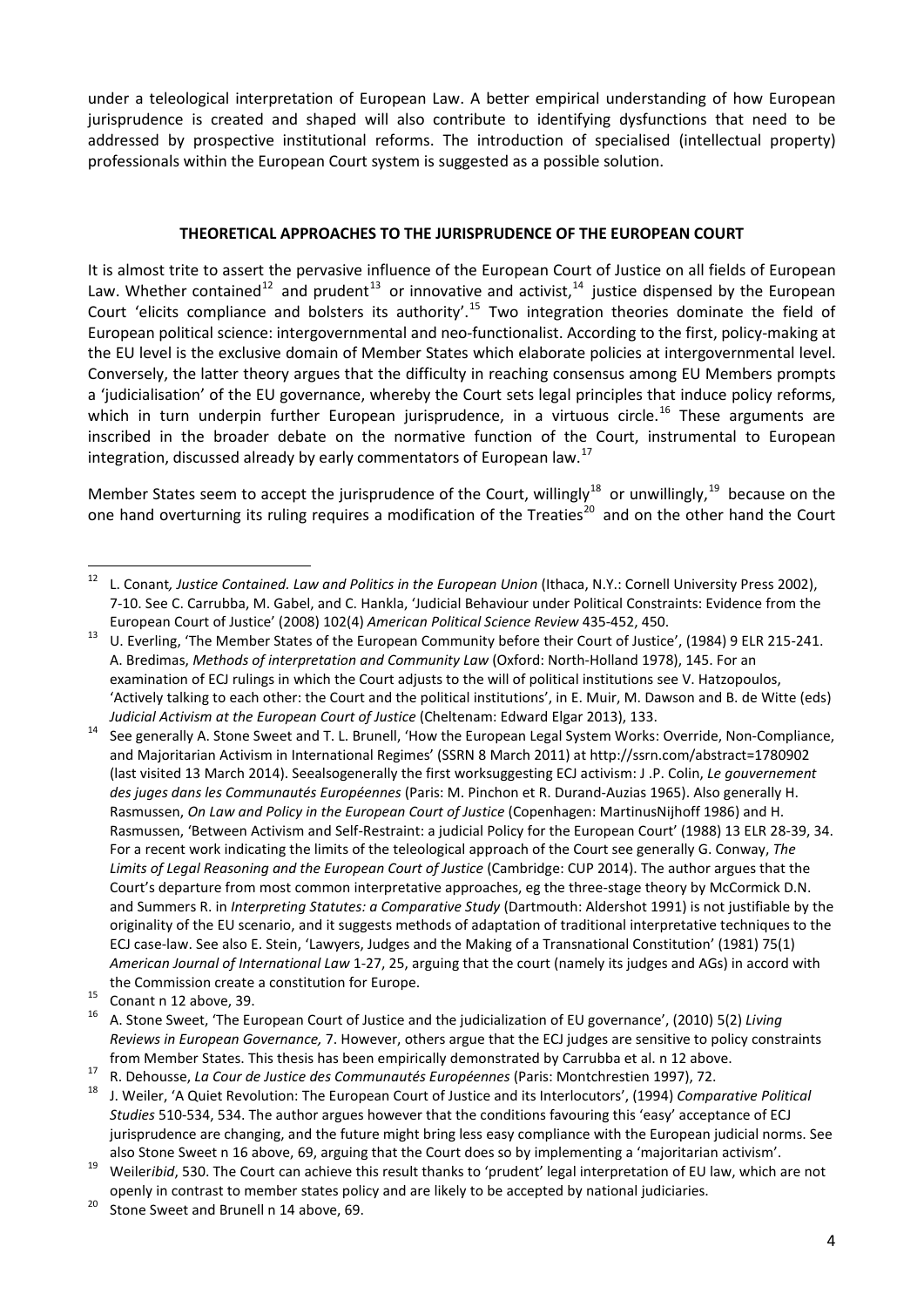under a teleological interpretation of European Law. A better empirical understanding of how European jurisprudence is created and shaped will also contribute to identifying dysfunctions that need to be addressed by prospective institutional reforms. The introduction of specialised (intellectual property) professionals within the European Court system is suggested as a possible solution.

### <span id="page-3-12"></span><span id="page-3-2"></span><span id="page-3-1"></span><span id="page-3-0"></span>**THEORETICAL APPROACHES TO THE JURISPRUDENCE OF THE EUROPEAN COURT**

It is almost trite to assert the pervasive influence of the European Court of Justice on all fields of European Law. Whether contained<sup>[12](#page-3-3)</sup> and prudent<sup>[13](#page-3-4)</sup> or innovative and activist,<sup>[14](#page-3-5)</sup> justice dispensed by the European Court 'elicits compliance and bolsters its authority'.<sup>[15](#page-3-6)</sup> Two integration theories dominate the field of European political science: intergovernmental and neo-functionalist. According to the first, policy-making at the EU level is the exclusive domain of Member States which elaborate policies at intergovernmental level. Conversely, the latter theory argues that the difficulty in reaching consensus among EU Members prompts a 'judicialisation' of the EU governance, whereby the Court sets legal principles that induce policy reforms, which in turn underpin further European jurisprudence, in a virtuous circle.<sup>[16](#page-3-7)</sup> These arguments are inscribed in the broader debate on the normative function of the Court, instrumental to European integration, discussed already by early commentators of European law.<sup>[17](#page-3-8)</sup>

Member States seem to accept the jurisprudence of the Court, willingly<sup>[18](#page-3-9)</sup> or unwillingly,<sup>[19](#page-3-10)</sup> because on the one hand overturning its ruling requires a modification of the Treaties<sup>[20](#page-3-11)</sup> and on the other hand the Court

<span id="page-3-5"></span>*Judicial Activism at the European Court of Justice* (Cheltenam: Edward Elgar 2013), 133.<br><sup>14</sup> See generally A. Stone Sweet and T. L. Brunell, 'How the European Legal System Works: Override, Non-Compliance, and Majoritarian Activism in International Regimes' (SSRN 8 March 2011) at http://ssrn.com/abstract=1780902 (last visited 13 March 2014). Seealsogenerally the first worksuggesting ECJ activism: J .P. Colin, *Le gouvernement des juges dans les Communautés Européennes* (Paris: M. Pinchon et R. Durand-Auzias 1965). Also generally H. Rasmussen, *On Law and Policy in the European Court of Justice* (Copenhagen: MartinusNijhoff 1986) and H. Rasmussen, 'Between Activism and Self-Restraint: a judicial Policy for the European Court' (1988) 13 ELR 28-39, 34. For a recent work indicating the limits of the teleological approach of the Court see generally G. Conway, *The Limits of Legal Reasoning and the European Court of Justice* (Cambridge: CUP 2014). The author argues that the Court's departure from most common interpretative approaches, eg the three-stage theory by McCormick D.N. and Summers R. in *Interpreting Statutes: a Comparative Study* (Dartmouth: Aldershot 1991) is not justifiable by the originality of the EU scenario, and it suggests methods of adaptation of traditional interpretative techniques to the ECJ case-law. See also E. Stein, 'Lawyers, Judges and the Making of a Transnational Constitution' (1981) 75(1) *American Journal of International Law* 1-27, 25, arguing that the court (namely its judges and AGs) in accord with

<span id="page-3-3"></span> <sup>12</sup> L. Conant*, Justice Contained. Law and Politics in the European Union* (Ithaca, N.Y.: Cornell University Press 2002), 7-10. See C. Carrubba, M. Gabel, and C. Hankla, 'Judicial Behaviour under Political Constraints: Evidence from the

<span id="page-3-4"></span>European Court of Justice' (2008) 102(4) *American Political Science Review* 435-452, 450. <sup>13</sup> U. Everling, 'The Member States of the European Community before their Court of Justice', (1984) 9 ELR 215-241. A. Bredimas, *Methods of interpretation and Community Law* (Oxford: North-Holland 1978), 145. For an examination of ECJ rulings in which the Court adjusts to the will of political institutions see V. Hatzopoulos, 'Actively talking to each other: the Court and the political institutions', in E. Muir, M. Dawson and B. de Witte (eds)

<span id="page-3-7"></span>

<span id="page-3-6"></span>the Commission create a constitution for Europe.<br><sup>15</sup> Conant n [12](#page-3-0) above, 39. 16 A. Stone Sweet, 'The European Court of Justice and the judicialization of EU governance', (2010) 5(2) *Living Reviews in European Governance,* 7. However, others argue that the ECJ judges are sensitive to policy constraints

<span id="page-3-9"></span>

<span id="page-3-8"></span>from Member St[a](#page-3-0)tes. This thesis has been empirically demonstrated by Carrubba et al. n 12 above.<br><sup>17</sup> R. Dehousse, *La Cour de Justice des Communautés Européennes* (Paris: Montchrestien 1997), 72.<br><sup>18</sup> J. Weiler, 'A Quiet *Studies* 510-534, 534. The author argues however that the conditions favouring this 'easy' acceptance of ECJ jurisprudence are changing, and the future might bring less easy compliance with the European judicial norms. See

<span id="page-3-10"></span>also Stone Sweet n [16](#page-3-1) above, 69, arguing that the Court does so by implementing a 'majoritarian activism'.<br><sup>19</sup> Weiler*ibid*, 530. The Court can achieve this result thanks to 'prudent' legal interpretation of EU law, which openly in contrast to member states policy and are likely to be accepted by national judiciaries. 20 Stone Sweet and Brunell n [14](#page-3-2) above, 69.

<span id="page-3-11"></span>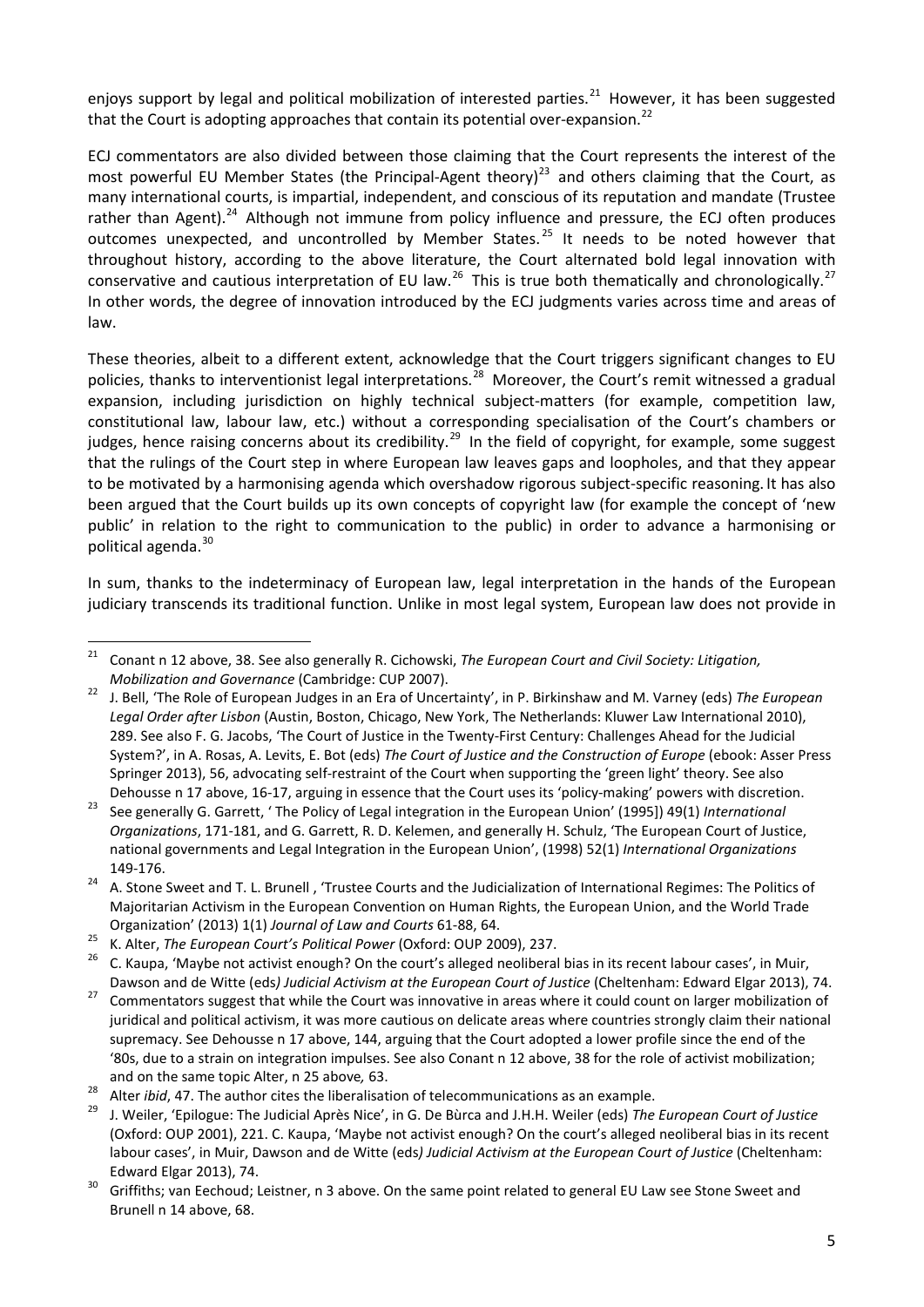enjoys support by legal and political mobilization of interested parties.<sup>[21](#page-4-1)</sup> However, it has been suggested that the Court is adopting approaches that contain its potential over-expansion.<sup>[22](#page-4-2)</sup>

<span id="page-4-0"></span>ECJ commentators are also divided between those claiming that the Court represents the interest of the most powerful EU Member States (the Principal-Agent theory)<sup>[23](#page-4-3)</sup> and others claiming that the Court, as many international courts, is impartial, independent, and conscious of its reputation and mandate (Trustee rather than Agent).<sup>[24](#page-4-4)</sup> Although not immune from policy influence and pressure, the ECJ often produces outcomes unexpected, and uncontrolled by Member States.<sup>[25](#page-4-5)</sup> It needs to be noted however that throughout history, according to the above literature, the Court alternated bold legal innovation with conservative and cautious interpretation of EU law.<sup>[26](#page-4-6)</sup> This is true both thematically and chronologically.<sup>[27](#page-4-7)</sup> In other words, the degree of innovation introduced by the ECJ judgments varies across time and areas of law.

<span id="page-4-11"></span>These theories, albeit to a different extent, acknowledge that the Court triggers significant changes to EU policies, thanks to interventionist legal interpretations.<sup>[28](#page-4-8)</sup> Moreover, the Court's remit witnessed a gradual expansion, including jurisdiction on highly technical subject-matters (for example, competition law, constitutional law, labour law, etc.) without a corresponding specialisation of the Court's chambers or judges, hence raising concerns about its credibility.<sup>[29](#page-4-9)</sup> In the field of copyright, for example, some suggest that the rulings of the Court step in where European law leaves gaps and loopholes, and that they appear to be motivated by a harmonising agenda which overshadow rigorous subject-specific reasoning. It has also been argued that the Court builds up its own concepts of copyright law (for example the concept of 'new public' in relation to the right to communication to the public) in order to advance a harmonising or political agenda.<sup>[30](#page-4-10)</sup>

In sum, thanks to the indeterminacy of European law, legal interpretation in the hands of the European judiciary transcends its traditional function. Unlike in most legal system, European law does not provide in

<span id="page-4-1"></span> <sup>21</sup> Conant n [12](#page-3-0) above, 38. See also generally R. Cichowski, *The European Court and Civil Society: Litigation,* 

<span id="page-4-2"></span>*Mobilization and Governance* (Cambridge: CUP 2007). <sup>22</sup> J. Bell, 'The Role of European Judges in an Era of Uncertainty', in P. Birkinshaw and M. Varney (eds) *The European Legal Order after Lisbon* (Austin, Boston, Chicago, New York, The Netherlands: Kluwer Law International 2010), 289. See also F. G. Jacobs, 'The Court of Justice in the Twenty-First Century: Challenges Ahead for the Judicial System?', in A. Rosas, A. Levits, E. Bot (eds) *The Court of Justice and the Construction of Europe* (ebook: Asser Press Springer 2013), 56, advocating self-restraint of the Court when supporting the 'green light' theory. See also

<span id="page-4-3"></span>Dehousse n [17](#page-3-12) above, 16-17, arguing in essence that the Court uses its 'policy-making' powers with discretion.<br>See generally G. Garrett, 'The Policy of Legal integration in the European Union' (1995]) 49(1) International *Organizations*, 171-181, and G. Garrett, R. D. Kelemen, and generally H. Schulz, 'The European Court of Justice, national governments and Legal Integration in the European Union', (1998) 52(1) *International Organizations*

<span id="page-4-4"></span><sup>149-176.</sup> <sup>24</sup> A. Stone Sweet and T. L. Brunell , 'Trustee Courts and the Judicialization of International Regimes: The Politics of Majoritarian Activism in the European Convention on Human Rights, the European Union, and the World Trade

<span id="page-4-5"></span>Organization' (2013) 1(1) Journal of Law and Courts 61-88, 64.<br><sup>25</sup> K. Alter, *The European Court's Political Power* (Oxford: OUP 2009), 237.<br><sup>26</sup> C. Kaupa, 'Maybe not activist enough? On the court's alleged neoliberal bia

<span id="page-4-7"></span><span id="page-4-6"></span>Dawson and de Witte (eds) Judicial Activism at the European Court of Justice (Cheltenham: Edward Elgar 2013), 74.<br><sup>27</sup> Commentators suggest that while the Court was innovative in areas where it could count on larger mobili juridical and political activism, it was more cautious on delicate areas where countries strongly claim their national supremacy. See Dehousse n [17](#page-3-12) above, 144, arguing that the Court adopted a lower profile since the end of the '80s, due to a strain on integration impulses. See also Conant n [12](#page-3-0) above, 38 for the role of activist mobilization; and on the same topic Alter, n [25](#page-4-0) above, 63.<br><sup>28</sup> Alter *ibid*, 47. The author cites the liberalisation of telecommunications as an example.<br><sup>29</sup> J. Weiler. 'Epilogue: The Judicial Après Nice'. in G. De Bùrca and J.H.H. We

<span id="page-4-8"></span>

<span id="page-4-9"></span><sup>(</sup>Oxford: OUP 2001), 221. C. Kaupa, 'Maybe not activist enough? On the court's alleged neoliberal bias in its recent labour cases', in Muir, Dawson and de Witte (eds*) Judicial Activism at the European Court of Justice* (Cheltenham: Edward Elgar 2013), 74.<br>30 Griffiths; van Eechoud; Leistner, [n 3](#page-1-6) above. On the same point related to general EU Law see Stone Sweet and

<span id="page-4-10"></span>Brunell [n 14](#page-3-2) above, 68.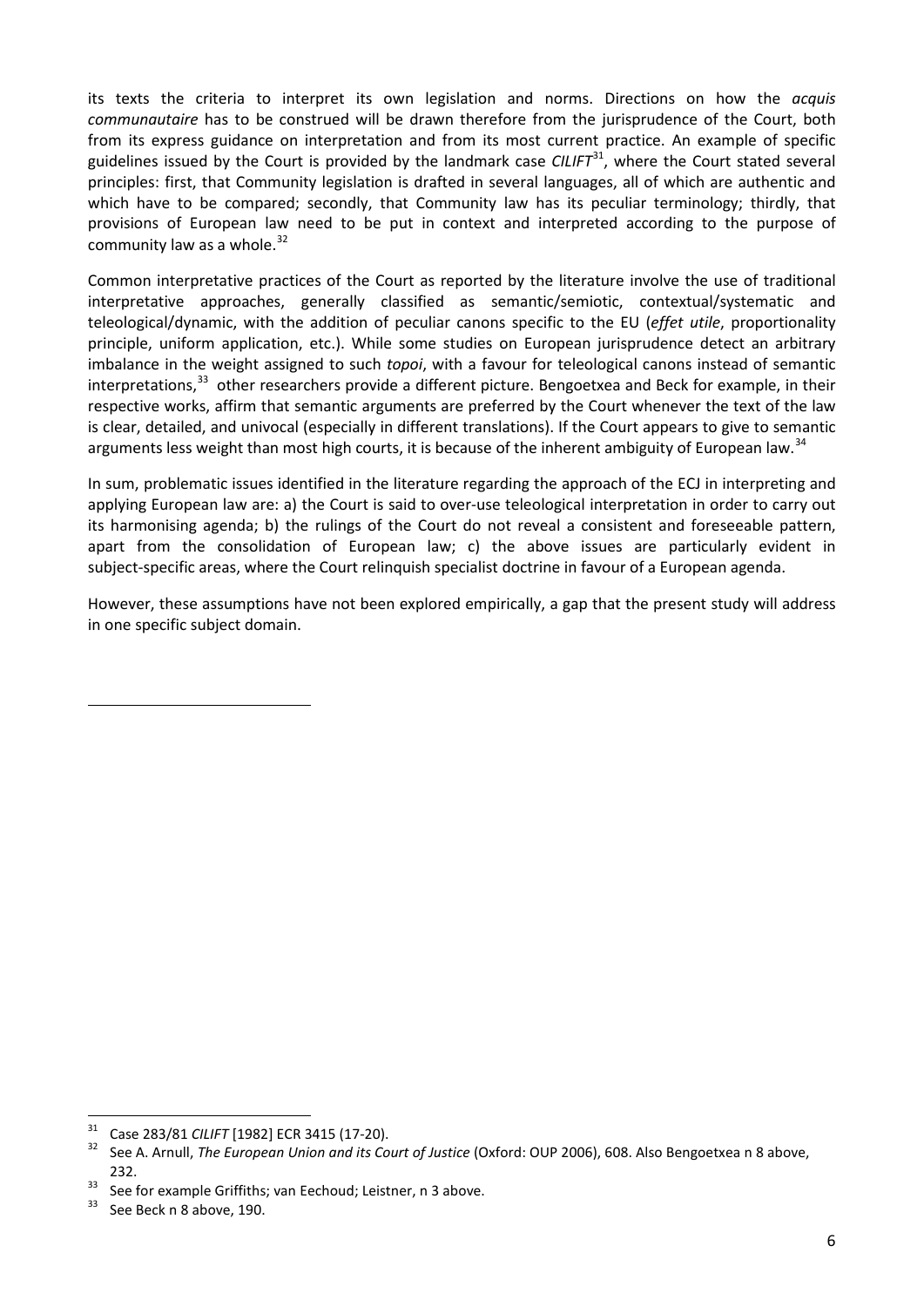its texts the criteria to interpret its own legislation and norms. Directions on how the *acquis communautaire* has to be construed will be drawn therefore from the jurisprudence of the Court, both from its express guidance on interpretation and from its most current practice. An example of specific guidelines issued by the Court is provided by the landmark case *CILIFT*<sup>[31](#page-5-0)</sup>, where the Court stated several principles: first, that Community legislation is drafted in several languages, all of which are authentic and which have to be compared; secondly, that Community law has its peculiar terminology; thirdly, that provisions of European law need to be put in context and interpreted according to the purpose of community law as a whole. $32$ 

<span id="page-5-4"></span>Common interpretative practices of the Court as reported by the literature involve the use of traditional interpretative approaches, generally classified as semantic/semiotic, contextual/systematic and teleological/dynamic, with the addition of peculiar canons specific to the EU (*effet utile*, proportionality principle, uniform application, etc.). While some studies on European jurisprudence detect an arbitrary imbalance in the weight assigned to such *topoi*, with a favour for teleological canons instead of semantic interpretations,<sup>[33](#page-5-2)</sup> other researchers provide a different picture. Bengoetxea and Beck for example, in their respective works, affirm that semantic arguments are preferred by the Court whenever the text of the law is clear, detailed, and univocal (especially in different translations). If the Court appears to give to semantic arguments less weight than most high courts, it is because of the inherent ambiguity of European law.<sup>[34](#page-5-3)</sup>

<span id="page-5-5"></span>In sum, problematic issues identified in the literature regarding the approach of the ECJ in interpreting and applying European law are: a) the Court is said to over-use teleological interpretation in order to carry out its harmonising agenda; b) the rulings of the Court do not reveal a consistent and foreseeable pattern, apart from the consolidation of European law; c) the above issues are particularly evident in subject-specific areas, where the Court relinquish specialist doctrine in favour of a European agenda.

However, these assumptions have not been explored empirically, a gap that the present study will address in one specific subject domain.

<span id="page-5-1"></span><span id="page-5-0"></span><sup>&</sup>lt;sup>31</sup> Case 283/81 *CILIFT* [1982] ECR 3415 (17-20).<br><sup>32</sup> See A. Arnull, *The European Union and its Court of Justice* (Oxford: OUP 2006), 608. Also Bengoetxea n [8](#page-2-5) above,

<span id="page-5-2"></span><sup>&</sup>lt;sup>33</sup> See for example Griffiths; van Eechoud; Leistner, n [3](#page-1-6) above.<br><sup>33</sup> See Beck [n 8](#page-2-5) above, 190.

<span id="page-5-3"></span>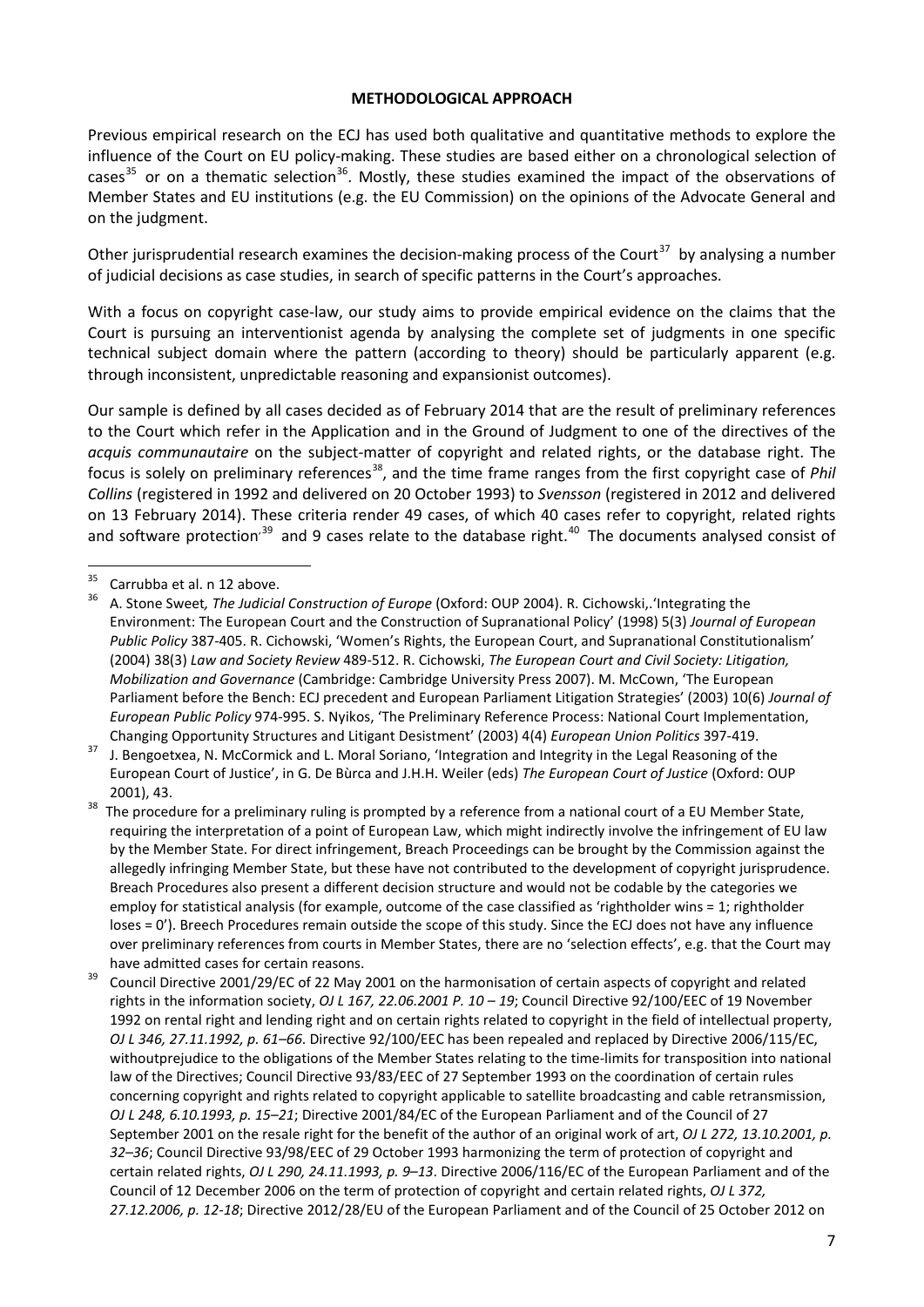#### <span id="page-6-7"></span>**METHODOLOGICAL APPROACH**

Previous empirical research on the ECJ has used both qualitative and quantitative methods to explore the influence of the Court on EU policy-making. These studies are based either on a chronological selection of cases<sup>[35](#page-6-0)</sup> or on a thematic selection<sup>[36](#page-6-1)</sup>. Mostly, these studies examined the impact of the observations of Member States and EU institutions (e.g. the EU Commission) on the opinions of the Advocate General and on the judgment.

Other jurisprudential research examines the decision-making process of the Court<sup>[37](#page-6-2)</sup> by analysing a number of judicial decisions as case studies, in search of specific patterns in the Court's approaches.

With a focus on copyright case-law, our study aims to provide empirical evidence on the claims that the Court is pursuing an interventionist agenda by analysing the complete set of judgments in one specific technical subject domain where the pattern (according to theory) should be particularly apparent (e.g. through inconsistent, unpredictable reasoning and expansionist outcomes).

Our sample is defined by all cases decided as of February 2014 that are the result of preliminary references to the Court which refer in the Application and in the Ground of Judgment to one of the directives of the *acquis communautaire* on the subject-matter of copyright and related rights, or the database right. The focus is solely on preliminary references<sup>38</sup>, and the time frame ranges from the first copyright case of *Phil Collins* (registered in 1992 and delivered on 20 October 1993) to *Svensson* (registered in 2012 and delivered on 13 February 2014). These criteria render 49 cases, of which 40 cases refer to copyright, related rights and software protection<sup>, [39](#page-6-4)</sup> and 9 cases relate to the database right.<sup>[40](#page-6-5)</sup> The documents analysed consist of

<span id="page-6-6"></span>

<span id="page-6-1"></span><span id="page-6-0"></span><sup>&</sup>lt;sup>35</sup> Carrubba et al. [n 12](#page-3-0) above.<br><sup>36</sup> A. Stone Sweet, *The Judicial Construction of Europe* (Oxford: OUP 2004). R. Cichowski,.'Integrating the Environment: The European Court and the Construction of Supranational Policy' (1998) 5(3) *Journal of European Public Policy* 387-405. R. Cichowski, 'Women's Rights, the European Court, and Supranational Constitutionalism' (2004) 38(3) *Law and Society Review* 489-512. R. Cichowski, *The European Court and Civil Society: Litigation, Mobilization and Governance* (Cambridge: Cambridge University Press 2007). M. McCown, 'The European Parliament before the Bench: ECJ precedent and European Parliament Litigation Strategies' (2003) 10(6) *Journal of European Public Policy* 974-995. S. Nyikos, 'The Preliminary Reference Process: National Court Implementation,

<span id="page-6-2"></span>Changing Opportunity Structures and Litigant Desistment' (2003) 4(4) *European Union Politics* 397-419. 37 J. Bengoetxea, N. McCormick and L. Moral Soriano, 'Integration and Integrity in the Legal Reasoning of the European Court of Justice', in G. De Bùrca and J.H.H. Weiler (eds) *The European Court of Justice* (Oxford: OUP 2001), 43.<br>The procedure for a preliminary ruling is prompted by a reference from a national court of a EU Member State,

<span id="page-6-3"></span>requiring the interpretation of a point of European Law, which might indirectly involve the infringement of EU law by the Member State. For direct infringement, Breach Proceedings can be brought by the Commission against the allegedly infringing Member State, but these have not contributed to the development of copyright jurisprudence. Breach Procedures also present a different decision structure and would not be codable by the categories we employ for statistical analysis (for example, outcome of the case classified as 'rightholder wins = 1; rightholder loses = 0'). Breech Procedures remain outside the scope of this study. Since the ECJ does not have any influence over preliminary references from courts in Member States, there are no 'selection effects', e.g. that the Court may have admitted cases for certain reasons.<br><sup>39</sup> Council Directive 2001/29/EC of 22 May 2001 on the harmonisation of certain aspects of copyright and related

<span id="page-6-5"></span><span id="page-6-4"></span>rights in the information society, *OJ L 167, 22.06.2001 P. 10 – 19*; Council Directive 92/100/EEC of 19 November 1992 on rental right and lending right and on certain rights related to copyright in the field of intellectual property, *OJ L 346, 27.11.1992, p. 61–66*. Directive 92/100/EEC has been repealed and replaced by Directive 2006/115/EC, withoutprejudice to the obligations of the Member States relating to the time-limits for transposition into national law of the Directives; Council Directive 93/83/EEC of 27 September 1993 on the coordination of certain rules concerning copyright and rights related to copyright applicable to satellite broadcasting and cable retransmission, *OJ L 248, 6.10.1993, p. 15–21*; Directive 2001/84/EC of the European Parliament and of the Council of 27 September 2001 on the resale right for the benefit of the author of an original work of art, *OJ L 272, 13.10.2001, p. 32–36*; Council Directive 93/98/EEC of 29 October 1993 harmonizing the term of protection of copyright and certain related rights, *OJ L 290, 24.11.1993, p. 9–13*. Directive 2006/116/EC of the European Parliament and of the Council of 12 December 2006 on the term of protection of copyright and certain related rights, *OJ L 372, 27.12.2006, p. 12-18*; Directive 2012/28/EU of the European Parliament and of the Council of 25 October 2012 on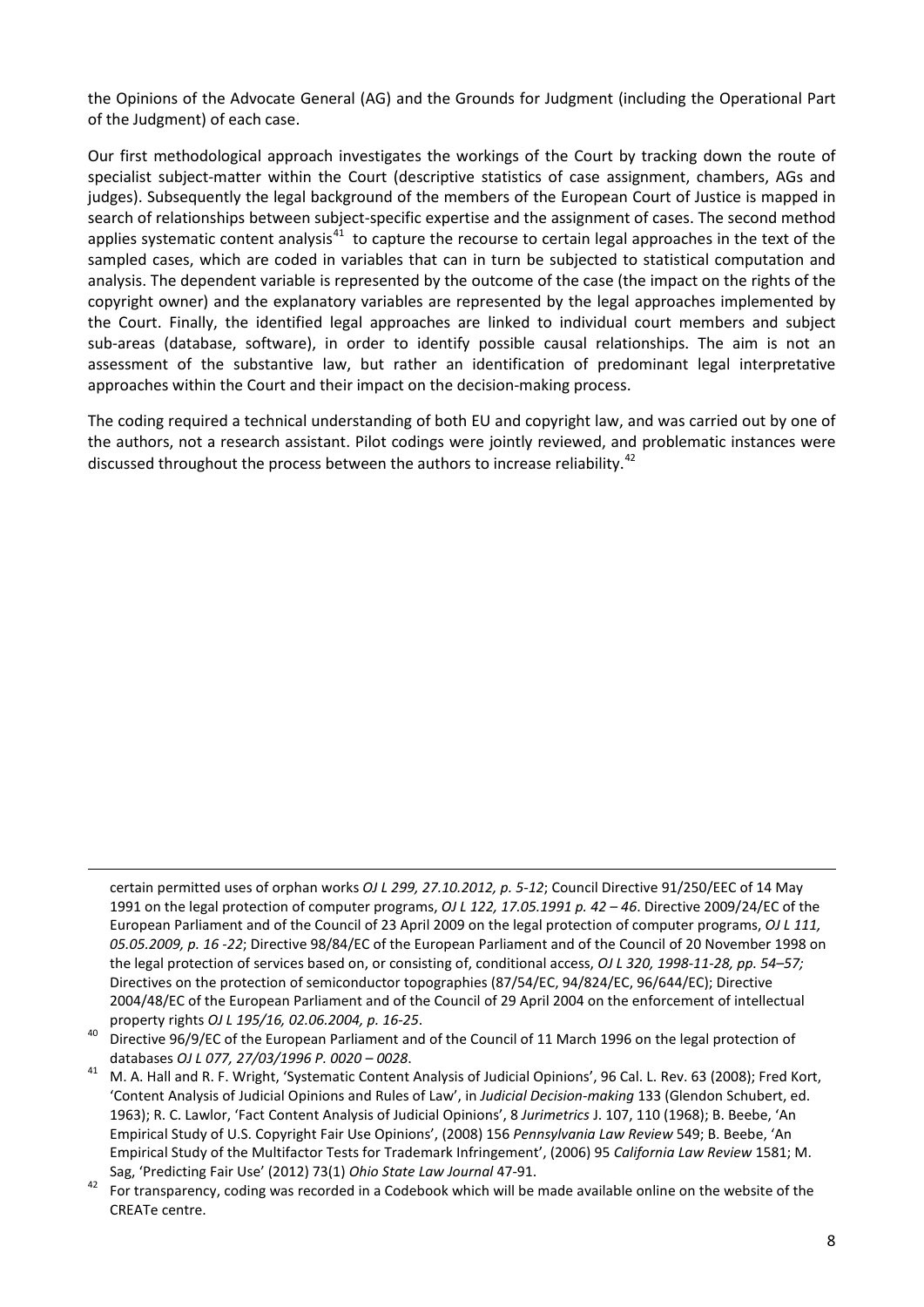the Opinions of the Advocate General (AG) and the Grounds for Judgment (including the Operational Part of the Judgment) of each case.

Our first methodological approach investigates the workings of the Court by tracking down the route of specialist subject-matter within the Court (descriptive statistics of case assignment, chambers, AGs and judges). Subsequently the legal background of the members of the European Court of Justice is mapped in search of relationships between subject-specific expertise and the assignment of cases. The second method applies systematic content analysis<sup>[41](#page-7-0)</sup> to capture the recourse to certain legal approaches in the text of the sampled cases, which are coded in variables that can in turn be subjected to statistical computation and analysis. The dependent variable is represented by the outcome of the case (the impact on the rights of the copyright owner) and the explanatory variables are represented by the legal approaches implemented by the Court. Finally, the identified legal approaches are linked to individual court members and subject sub-areas (database, software), in order to identify possible causal relationships. The aim is not an assessment of the substantive law, but rather an identification of predominant legal interpretative approaches within the Court and their impact on the decision-making process.

The coding required a technical understanding of both EU and copyright law, and was carried out by one of the authors, not a research assistant. Pilot codings were jointly reviewed, and problematic instances were discussed throughout the process between the authors to increase reliability.<sup>[42](#page-7-1)</sup>

 $\overline{a}$ 

certain permitted uses of orphan works *OJ L 299, 27.10.2012, p. 5-12*; Council Directive 91/250/EEC of 14 May 1991 on the legal protection of computer programs, *OJ L 122, 17.05.1991 p. 42 – 46*. Directive 2009/24/EC of the European Parliament and of the Council of 23 April 2009 on the legal protection of computer programs, *OJ L 111, 05.05.2009, p. 16 -22*; Directive 98/84/EC of the European Parliament and of the Council of 20 November 1998 on the legal protection of services based on, or consisting of, conditional access, *OJ L 320, 1998-11-28, pp. 54–57;*  Directives on the protection of semiconductor topographies (87/54/EC, 94/824/EC, 96/644/EC); Directive 2004/48/EC of the European Parliament and of the Council of 29 April 2004 on the enforcement of intellectual

property rights *OJ L 195/16, 02.06.2004, p. 16-25*.<br>Directive 96/9/EC of the European Parliament and of the Council of 11 March 1996 on the legal protection of

<span id="page-7-0"></span>databases *OJ L 077, 27/03/1996 P. 0020 – 0028*.<br><sup>41</sup> M. A. Hall and R. F. Wright, 'Systematic Content Analysis of Judicial Opinions', 96 Cal. L. Rev. 63 (2008); Fred Kort, 'Content Analysis of Judicial Opinions and Rules of Law', in *Judicial Decision-making* 133 (Glendon Schubert, ed. 1963); R. C. Lawlor, 'Fact Content Analysis of Judicial Opinions', 8 *Jurimetrics* J. 107, 110 (1968); B. Beebe, 'An Empirical Study of U.S. Copyright Fair Use Opinions', (2008) 156 *Pennsylvania Law Review* 549; B. Beebe, 'An Empirical Study of the Multifactor Tests for Trademark Infringement', (2006) 95 *California Law Review* 1581; M.

<span id="page-7-1"></span>Sag, 'Predicting Fair Use' (2012) 73(1) *Ohio State Law Journal* 47-91.<br>For transparency, coding was recorded in a Codebook which will be made available online on the website of the CREATe centre.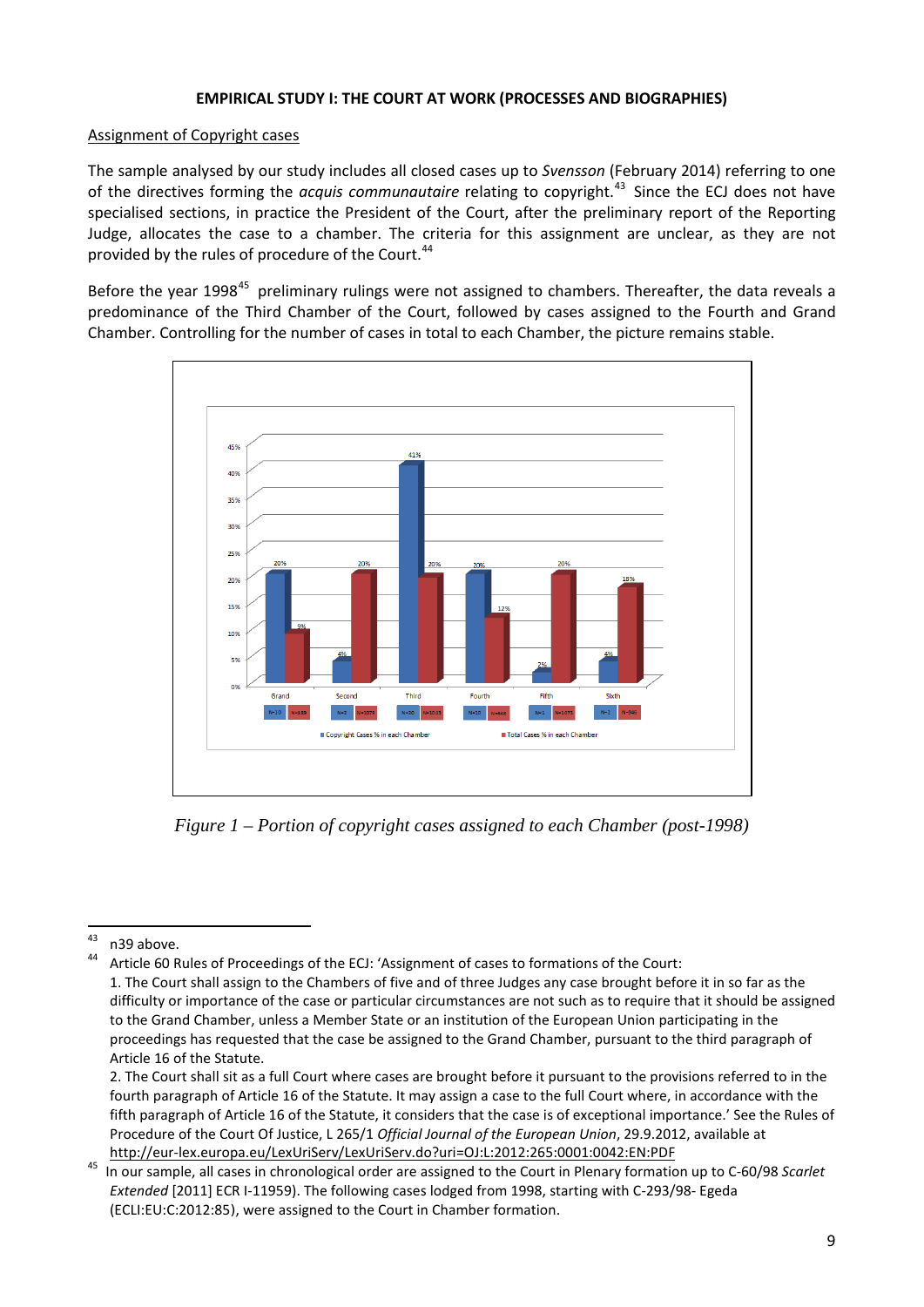### **EMPIRICAL STUDY I: THE COURT AT WORK (PROCESSES AND BIOGRAPHIES)**

### Assignment of Copyright cases

The sample analysed by our study includes all closed cases up to *Svensson* (February 2014) referring to one of the directives forming the *acquis communautaire* relating to copyright. [43](#page-8-0) Since the ECJ does not have specialised sections, in practice the President of the Court, after the preliminary report of the Reporting Judge, allocates the case to a chamber. The criteria for this assignment are unclear, as they are not provided by the rules of procedure of the Court.<sup>[44](#page-8-1)</sup>

Before the year 1998<sup>[45](#page-8-2)</sup> preliminary rulings were not assigned to chambers. Thereafter, the data reveals a predominance of the Third Chamber of the Court, followed by cases assigned to the Fourth and Grand Chamber. Controlling for the number of cases in total to each Chamber, the picture remains stable.



*Figure 1 – Portion of copyright cases assigned to each Chamber (post-1998)*

<span id="page-8-1"></span><span id="page-8-0"></span><sup>&</sup>lt;sup>43</sup> [n39](#page-6-6) above.<br><sup>44</sup> Article 60 Rules of Proceedings of the ECJ: 'Assignment of cases to formations of the Court: 1. The Court shall assign to the Chambers of five and of three Judges any case brought before it in so far as the difficulty or importance of the case or particular circumstances are not such as to require that it should be assigned to the Grand Chamber, unless a Member State or an institution of the European Union participating in the proceedings has requested that the case be assigned to the Grand Chamber, pursuant to the third paragraph of Article 16 of the Statute.

<sup>2.</sup> The Court shall sit as a full Court where cases are brought before it pursuant to the provisions referred to in the fourth paragraph of Article 16 of the Statute. It may assign a case to the full Court where, in accordance with the fifth paragraph of Article 16 of the Statute, it considers that the case is of exceptional importance.' See the Rules of Procedure of the Court Of Justice, L 265/1 *Official Journal of the European Union*, 29.9.2012, available at

<span id="page-8-2"></span><http://eur-lex.europa.eu/LexUriServ/LexUriServ.do?uri=OJ:L:2012:265:0001:0042:EN:PDF> <sup>45</sup> In our sample, all cases in chronological order are assigned to the Court in Plenary formation up to C-60/98 *Scarlet Extended* [2011] ECR I-11959). The following cases lodged from 1998, starting with C-293/98- Egeda (ECLI:EU:C:2012:85), were assigned to the Court in Chamber formation.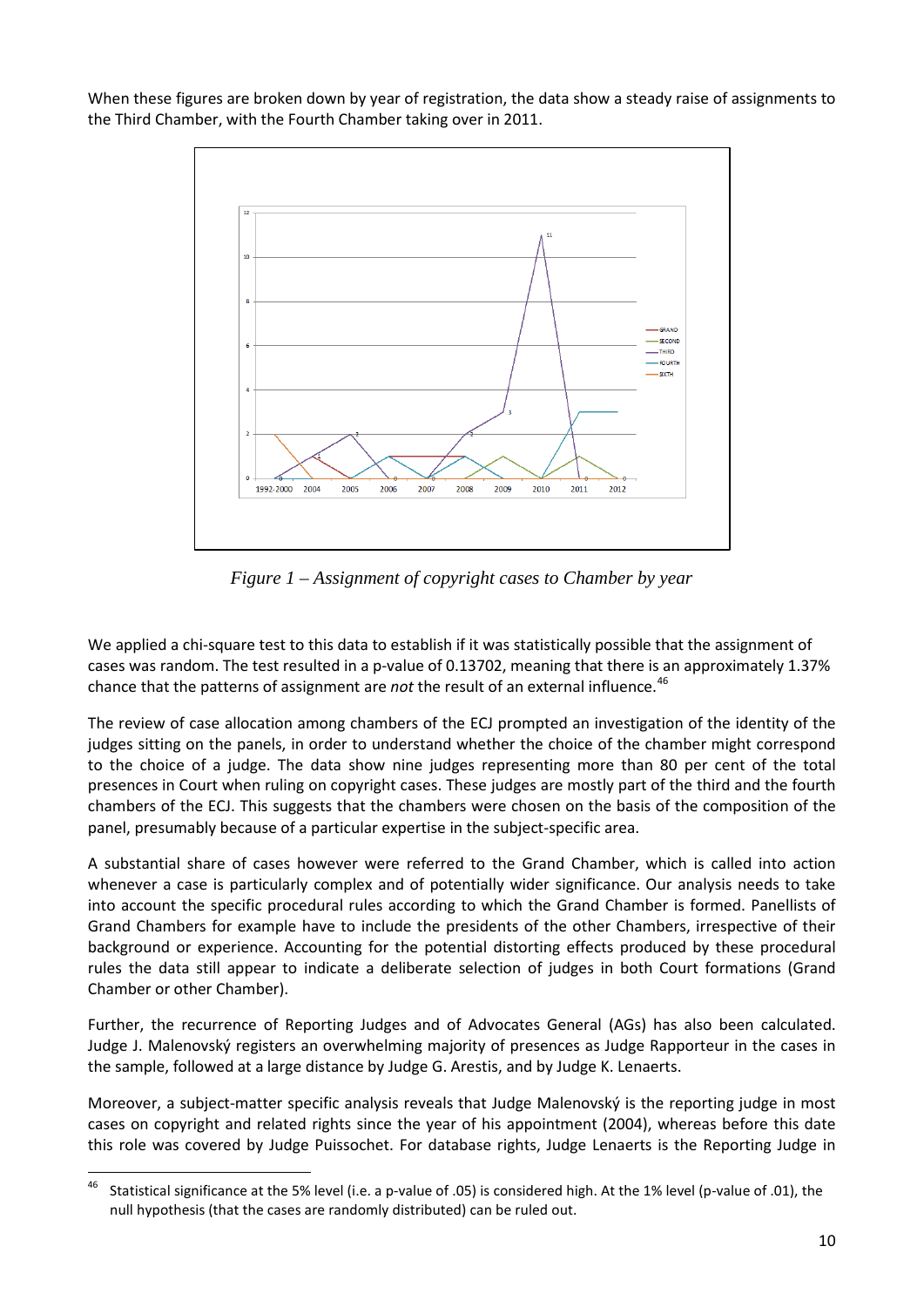When these figures are broken down by year of registration, the data show a steady raise of assignments to the Third Chamber, with the Fourth Chamber taking over in 2011.



*Figure 1 – Assignment of copyright cases to Chamber by year*

We applied a chi-square test to this data to establish if it was statistically possible that the assignment of cases was random. The test resulted in a p-value of 0.13702, meaning that there is an approximately 1.37% chance that the patterns of assignment are *not* the result of an external influence.<sup>[46](#page-9-0)</sup>

The review of case allocation among chambers of the ECJ prompted an investigation of the identity of the judges sitting on the panels, in order to understand whether the choice of the chamber might correspond to the choice of a judge. The data show nine judges representing more than 80 per cent of the total presences in Court when ruling on copyright cases. These judges are mostly part of the third and the fourth chambers of the ECJ. This suggests that the chambers were chosen on the basis of the composition of the panel, presumably because of a particular expertise in the subject-specific area.

A substantial share of cases however were referred to the Grand Chamber, which is called into action whenever a case is particularly complex and of potentially wider significance. Our analysis needs to take into account the specific procedural rules according to which the Grand Chamber is formed. Panellists of Grand Chambers for example have to include the presidents of the other Chambers, irrespective of their background or experience. Accounting for the potential distorting effects produced by these procedural rules the data still appear to indicate a deliberate selection of judges in both Court formations (Grand Chamber or other Chamber).

Further, the recurrence of Reporting Judges and of Advocates General (AGs) has also been calculated. Judge J. Malenovský registers an overwhelming majority of presences as Judge Rapporteur in the cases in the sample, followed at a large distance by Judge G. Arestis, and by Judge K. Lenaerts.

Moreover, a subject-matter specific analysis reveals that Judge Malenovský is the reporting judge in most cases on copyright and related rights since the year of his appointment (2004), whereas before this date this role was covered by Judge Puissochet. For database rights, Judge Lenaerts is the Reporting Judge in

<span id="page-9-0"></span> <sup>46</sup> Statistical significance at the 5% level (i.e. a p-value of .05) is considered high. At the 1% level (p-value of .01), the null hypothesis (that the cases are randomly distributed) can be ruled out.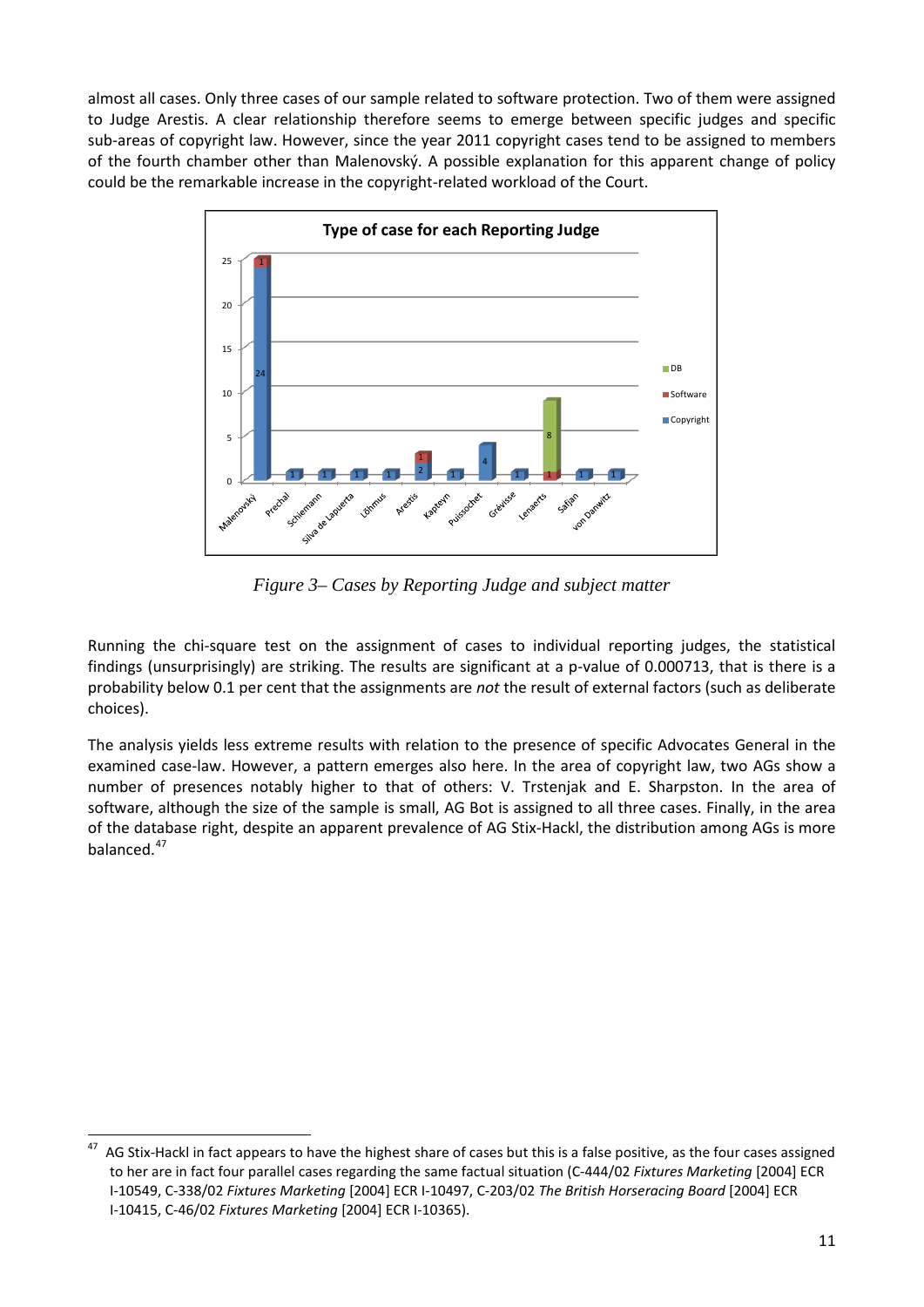almost all cases. Only three cases of our sample related to software protection. Two of them were assigned to Judge Arestis. A clear relationship therefore seems to emerge between specific judges and specific sub-areas of copyright law. However, since the year 2011 copyright cases tend to be assigned to members of the fourth chamber other than Malenovský. A possible explanation for this apparent change of policy could be the remarkable increase in the copyright-related workload of the Court.



*Figure 3– Cases by Reporting Judge and subject matter*

Running the chi-square test on the assignment of cases to individual reporting judges, the statistical findings (unsurprisingly) are striking. The results are significant at a p-value of 0.000713, that is there is a probability below 0.1 per cent that the assignments are *not* the result of external factors (such as deliberate choices).

The analysis yields less extreme results with relation to the presence of specific Advocates General in the examined case-law. However, a pattern emerges also here. In the area of copyright law, two AGs show a number of presences notably higher to that of others: V. Trstenjak and E. Sharpston. In the area of software, although the size of the sample is small, AG Bot is assigned to all three cases. Finally, in the area of the database right, despite an apparent prevalence of AG Stix-Hackl, the distribution among AGs is more balanced. [47](#page-10-0)

<span id="page-10-0"></span><sup>&</sup>lt;sup>47</sup> AG Stix-Hackl in fact appears to have the highest share of cases but this is a false positive, as the four cases assigned to her are in fact four parallel cases regarding the same factual situation (C-444/02 *Fixtures Marketing* [2004] ECR I-10549, C-338/02 *Fixtures Marketing* [2004] ECR I-10497, C-203/02 *The British Horseracing Board* [2004] ECR I-10415, C-46/02 *Fixtures Marketing* [2004] ECR I-10365).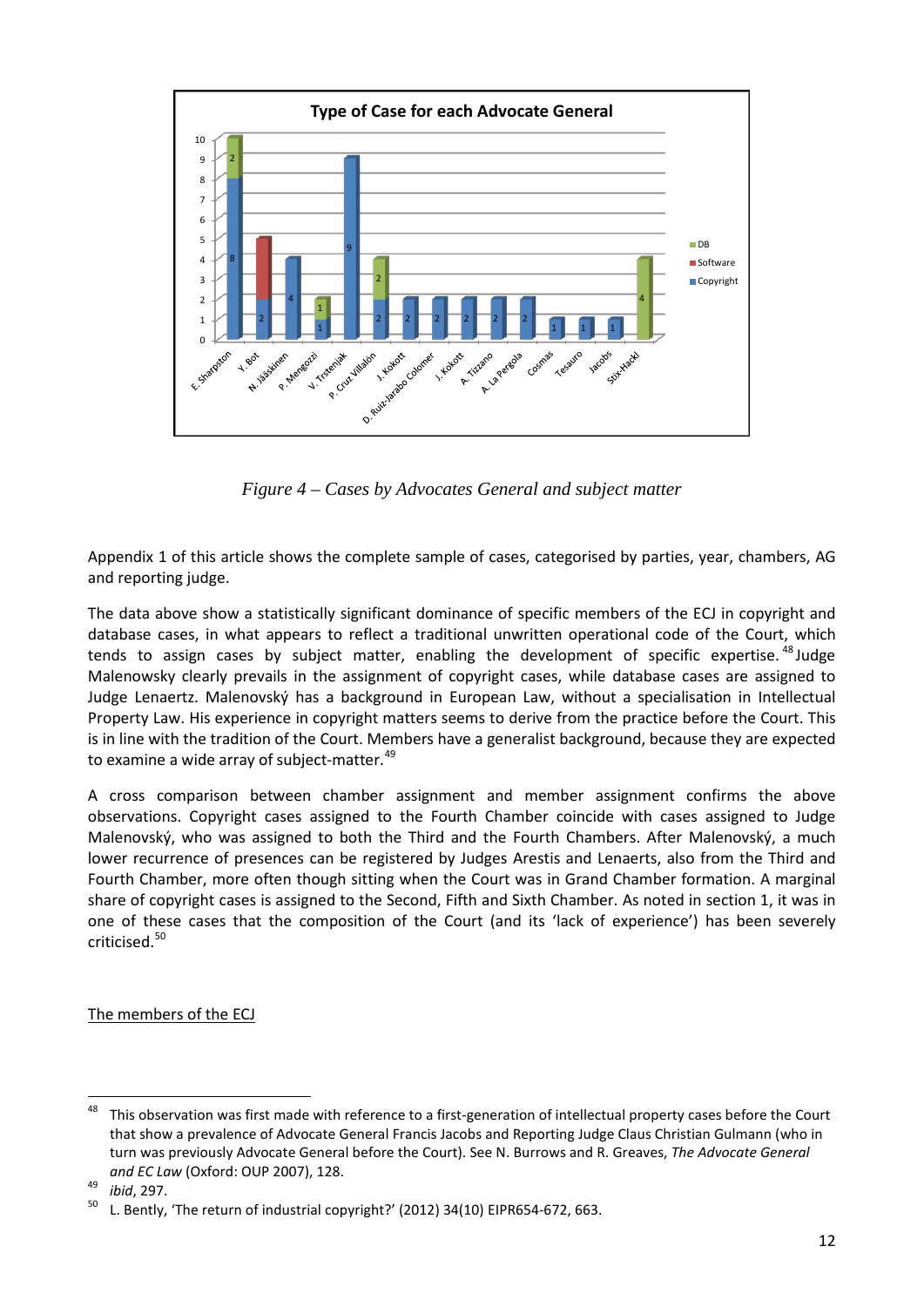

*Figure 4 – Cases by Advocates General and subject matter*

Appendix 1 of this article shows the complete sample of cases, categorised by parties, year, chambers, AG and reporting judge.

The data above show a statistically significant dominance of specific members of the ECJ in copyright and database cases, in what appears to reflect a traditional unwritten operational code of the Court, which tends to assign cases by subject matter, enabling the development of specific expertise.<sup>[48](#page-11-0)</sup>Judge Malenowsky clearly prevails in the assignment of copyright cases, while database cases are assigned to Judge Lenaertz. Malenovský has a background in European Law, without a specialisation in Intellectual Property Law. His experience in copyright matters seems to derive from the practice before the Court. This is in line with the tradition of the Court. Members have a generalist background, because they are expected to examine a wide array of subject-matter.<sup>[49](#page-11-1)</sup>

A cross comparison between chamber assignment and member assignment confirms the above observations. Copyright cases assigned to the Fourth Chamber coincide with cases assigned to Judge Malenovský, who was assigned to both the Third and the Fourth Chambers. After Malenovský, a much lower recurrence of presences can be registered by Judges Arestis and Lenaerts, also from the Third and Fourth Chamber, more often though sitting when the Court was in Grand Chamber formation. A marginal share of copyright cases is assigned to the Second, Fifth and Sixth Chamber. As noted in section 1, it was in one of these cases that the composition of the Court (and its 'lack of experience') has been severely criticised. [50](#page-11-2)

The members of the ECJ

<span id="page-11-0"></span><sup>&</sup>lt;sup>48</sup> This observation was first made with reference to a first-generation of intellectual property cases before the Court that show a prevalence of Advocate General Francis Jacobs and Reporting Judge Claus Christian Gulmann (who in turn was previously Advocate General before the Court). See N. Burrows and R. Greaves, *The Advocate General* 

<span id="page-11-2"></span>

<span id="page-11-1"></span>*and EC Law* (Oxford: OUP 2007), 128.<br>
<sup>49</sup> *ibid*, 297.<br>
<sup>50</sup> L. Bently, 'The return of industrial copyright?' (2012) 34(10) EIPR654-672, 663.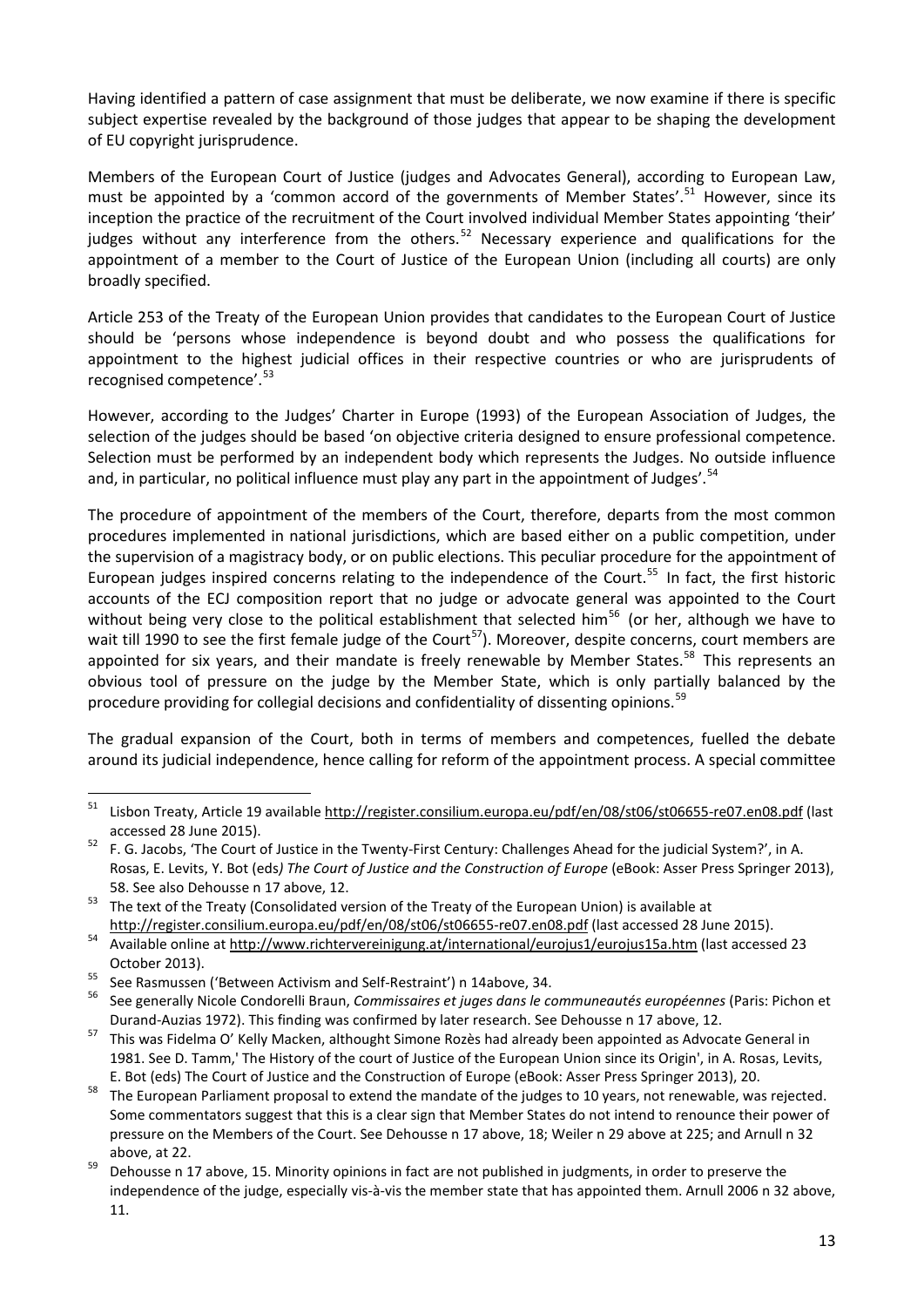Having identified a pattern of case assignment that must be deliberate, we now examine if there is specific subject expertise revealed by the background of those judges that appear to be shaping the development of EU copyright jurisprudence.

Members of the European Court of Justice (judges and Advocates General), according to European Law, must be appointed by a 'common accord of the governments of Member States'.<sup>[51](#page-12-0)</sup> However, since its inception the practice of the recruitment of the Court involved individual Member States appointing 'their' judges without any interference from the others.<sup>[52](#page-12-1)</sup> Necessary experience and qualifications for the appointment of a member to the Court of Justice of the European Union (including all courts) are only broadly specified.

Article 253 of the Treaty of the European Union provides that candidates to the European Court of Justice should be 'persons whose independence is beyond doubt and who possess the qualifications for appointment to the highest judicial offices in their respective countries or who are jurisprudents of recognised competence'. [53](#page-12-2)

However, according to the Judges' Charter in Europe (1993) of the European Association of Judges, the selection of the judges should be based 'on objective criteria designed to ensure professional competence. Selection must be performed by an independent body which represents the Judges. No outside influence and, in particular, no political influence must play any part in the appointment of Judges'.<sup>[54](#page-12-3)</sup>

<span id="page-12-9"></span>The procedure of appointment of the members of the Court, therefore, departs from the most common procedures implemented in national jurisdictions, which are based either on a public competition, under the supervision of a magistracy body, or on public elections. This peculiar procedure for the appointment of European judges inspired concerns relating to the independence of the Court.<sup>[55](#page-12-4)</sup> In fact, the first historic accounts of the ECJ composition report that no judge or advocate general was appointed to the Court without being very close to the political establishment that selected him<sup>[56](#page-12-5)</sup> (or her, although we have to wait till 1990 to see the first female judge of the Court<sup>57</sup>). Moreover, despite concerns, court members are appointed for six years, and their mandate is freely renewable by Member States.<sup>[58](#page-12-7)</sup> This represents an obvious tool of pressure on the judge by the Member State, which is only partially balanced by the procedure providing for collegial decisions and confidentiality of dissenting opinions.<sup>[59](#page-12-8)</sup>

The gradual expansion of the Court, both in terms of members and competences, fuelled the debate around its judicial independence, hence calling for reform of the appointment process. A special committee

<span id="page-12-0"></span> <sup>51</sup> Lisbon Treaty, Article 19 availabl[e http://register.consilium.europa.eu/pdf/en/08/st06/st06655-re07.en08.pdf](http://register.consilium.europa.eu/pdf/en/08/st06/st06655-re07.en08.pdf) (last

<span id="page-12-1"></span>accessed 28 June 2015).<br>52 F. G. Jacobs, 'The Court of Justice in the Twenty-First Century: Challenges Ahead for the judicial System?', in A Rosas, E. Levits, Y. Bot (eds*) The Court of Justice and the Construction of Europe* (eBook: Asser Press Springer 2013),

<span id="page-12-2"></span><sup>58.</sup> See also Dehousse [n 17](#page-3-12) above, 12.<br><sup>53</sup> The text of the Treaty (Consolidated version of the Treaty of the European Union) is available at

<span id="page-12-3"></span>http://register.consilium.europa.eu/pdf/en/08/st06/st06655-re07.en08.pdf (last accessed 28 June 2015).<br><sup>54</sup> Available online at<http://www.richtervereinigung.at/international/eurojus1/eurojus15a.htm> (last accessed 23 October 2013). <sup>55</sup> See Rasmussen ('Between Activism and Self-Restraint') [n 14a](#page-3-2)bove, 34. <sup>56</sup> See generally Nicole Condorelli Braun, *Commissaires et juges dans le communeautés européennes* (Paris: Pichon et

<span id="page-12-4"></span>

<span id="page-12-5"></span>

<span id="page-12-6"></span>Durand-Auzias 1972). This finding was confirmed by later research. See Dehousse n 17 above, 12.<br><sup>57</sup> This was Fidelma O' Kelly Macken, althought Simone Rozès had already been appointed as Advocate General in 1981. See D. Tamm,' The History of the court of Justice of the European Union since its Origin', in A. Rosas, Levits,

<span id="page-12-7"></span>E. Bot (eds) The Court of Justice and the Construction of Europe (eBook: Asser Press Springer 2013), 20.<br><sup>58</sup> The European Parliament proposal to extend the mandate of the judges to 10 years, not renewable, was rejected. Some commentators suggest that this is a clear sign that Member States do not intend to renounce their power of pressure on the Members of the Court. See Dehousse [n 17](#page-3-12) above, 18; Weiler n [29](#page-4-11) above at 225; and Arnull n [32](#page-5-4) above, at 22.<br><sup>59</sup> Dehousse n [17](#page-3-12) above, 15. Minority opinions in fact are not published in judgments, in order to preserve the

<span id="page-12-8"></span>independence of the judge, especially vis-à-vis the member state that has appointed them. Arnull 2006 n [32](#page-5-4) above, 11.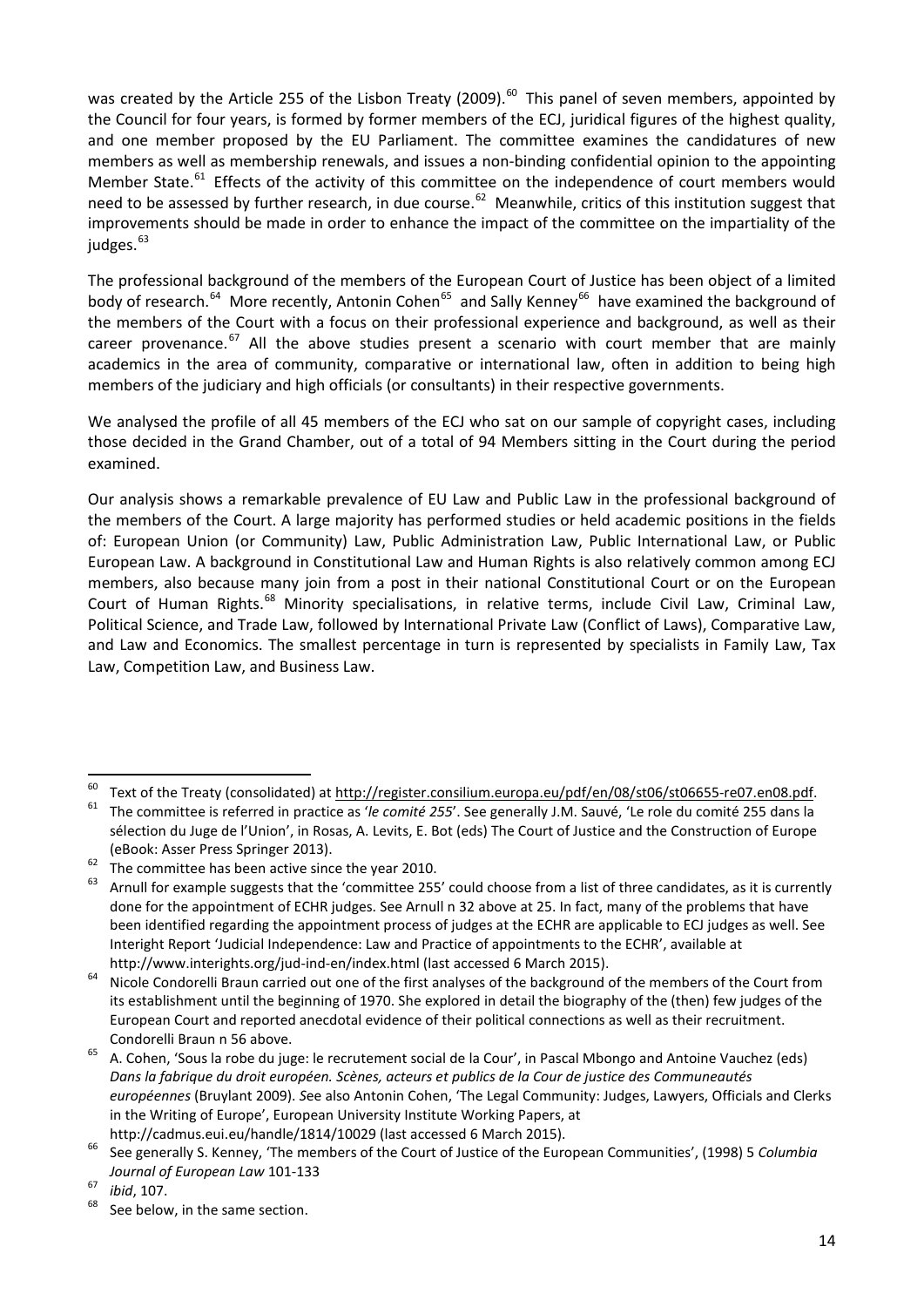was created by the Article 255 of the Lisbon Treaty (2009).<sup>[60](#page-13-0)</sup> This panel of seven members, appointed by the Council for four years, is formed by former members of the ECJ, juridical figures of the highest quality, and one member proposed by the EU Parliament. The committee examines the candidatures of new members as well as membership renewals, and issues a non-binding confidential opinion to the appointing Member State.<sup>[61](#page-13-1)</sup> Effects of the activity of this committee on the independence of court members would need to be assessed by further research, in due course.<sup>[62](#page-13-2)</sup> Meanwhile, critics of this institution suggest that improvements should be made in order to enhance the impact of the committee on the impartiality of the judges. <sup>[63](#page-13-3)</sup>

<span id="page-13-10"></span><span id="page-13-9"></span>The professional background of the members of the European Court of Justice has been object of a limited body of research.<sup>[64](#page-13-4)</sup> More recently, Antonin Cohen<sup>[65](#page-13-5)</sup> and Sally Kenney<sup>[66](#page-13-6)</sup> have examined the background of the members of the Court with a focus on their professional experience and background, as well as their career provenance.<sup>[67](#page-13-7)</sup> All the above studies present a scenario with court member that are mainly academics in the area of community, comparative or international law, often in addition to being high members of the judiciary and high officials (or consultants) in their respective governments.

We analysed the profile of all 45 members of the ECJ who sat on our sample of copyright cases, including those decided in the Grand Chamber, out of a total of 94 Members sitting in the Court during the period examined.

Our analysis shows a remarkable prevalence of EU Law and Public Law in the professional background of the members of the Court. A large majority has performed studies or held academic positions in the fields of: European Union (or Community) Law, Public Administration Law, Public International Law, or Public European Law. A background in Constitutional Law and Human Rights is also relatively common among ECJ members, also because many join from a post in their national Constitutional Court or on the European Court of Human Rights.<sup>[68](#page-13-8)</sup> Minority specialisations, in relative terms, include Civil Law, Criminal Law, Political Science, and Trade Law, followed by International Private Law (Conflict of Laws), Comparative Law, and Law and Economics. The smallest percentage in turn is represented by specialists in Family Law, Tax Law, Competition Law, and Business Law.

<span id="page-13-0"></span><sup>&</sup>lt;sup>60</sup> Text of the Treaty (consolidated) at [http://register.consilium.europa.eu/pdf/en/08/st06/st06655-re07.en08.pdf.](http://register.consilium.europa.eu/pdf/en/08/st06/st06655-re07.en08.pdf)<br><sup>61</sup> The committee is referred in practice as 'le comité 255'. See generally J.M. Sauvé, 'Le role du comi

<span id="page-13-1"></span>sélection du Juge de l'Union', in Rosas, A. Levits, E. Bot (eds) The Court of Justice and the Construction of Europe

<span id="page-13-3"></span>

<span id="page-13-2"></span><sup>(</sup>eBook: Asser Press Springer 2013).<br><sup>62</sup> The committee has been active since the year 2010.<br><sup>63</sup> Arnull for example suggests that the 'committee 255' could choose from a list of three candidates, as it is currently done for the appointment of ECHR judges. See Arnull n [32](#page-5-4) above at 25. In fact, many of the problems that have been identified regarding the appointment process of judges at the ECHR are applicable to ECJ judges as well. See Interight Report 'Judicial Independence: Law and Practice of appointments to the ECHR', available at

<span id="page-13-4"></span>http://www.interights.org/jud-ind-en/index.html (last accessed 6 March 2015).<br><sup>64</sup> Nicole Condorelli Braun carried out one of the first analyses of the background of the members of the Court from its establishment until the beginning of 1970. She explored in detail the biography of the (then) few judges of the European Court and reported anecdotal evidence of their political connections as well as their recruitment.

<span id="page-13-5"></span>Condorelli Braun n [56](#page-12-9) above.<br><sup>65</sup> A. Cohen, 'Sous la robe du juge: le recrutement social de la Cour', in Pascal Mbongo and Antoine Vauchez (eds) *Dans la fabrique du droit européen. Scènes, acteurs et publics de la Cour de justice des Communeautés européennes* (Bruylant 2009). *S*ee also Antonin Cohen, 'The Legal Community: Judges, Lawyers, Officials and Clerks in the Writing of Europe', European University Institute Working Papers, at

http://cadmus.eui.eu/handle/1814/10029 (last accessed 6 March 2015).<br>See generally S. Kenney, 'The members of the Court of Justice of the European Communities', (1998) 5 *Columbia* 

<span id="page-13-8"></span>

<span id="page-13-7"></span><span id="page-13-6"></span>*Journal of European Law* 101-133<br><sup>67</sup> *ibid*, 107.<br><sup>68</sup> See below, in the same section.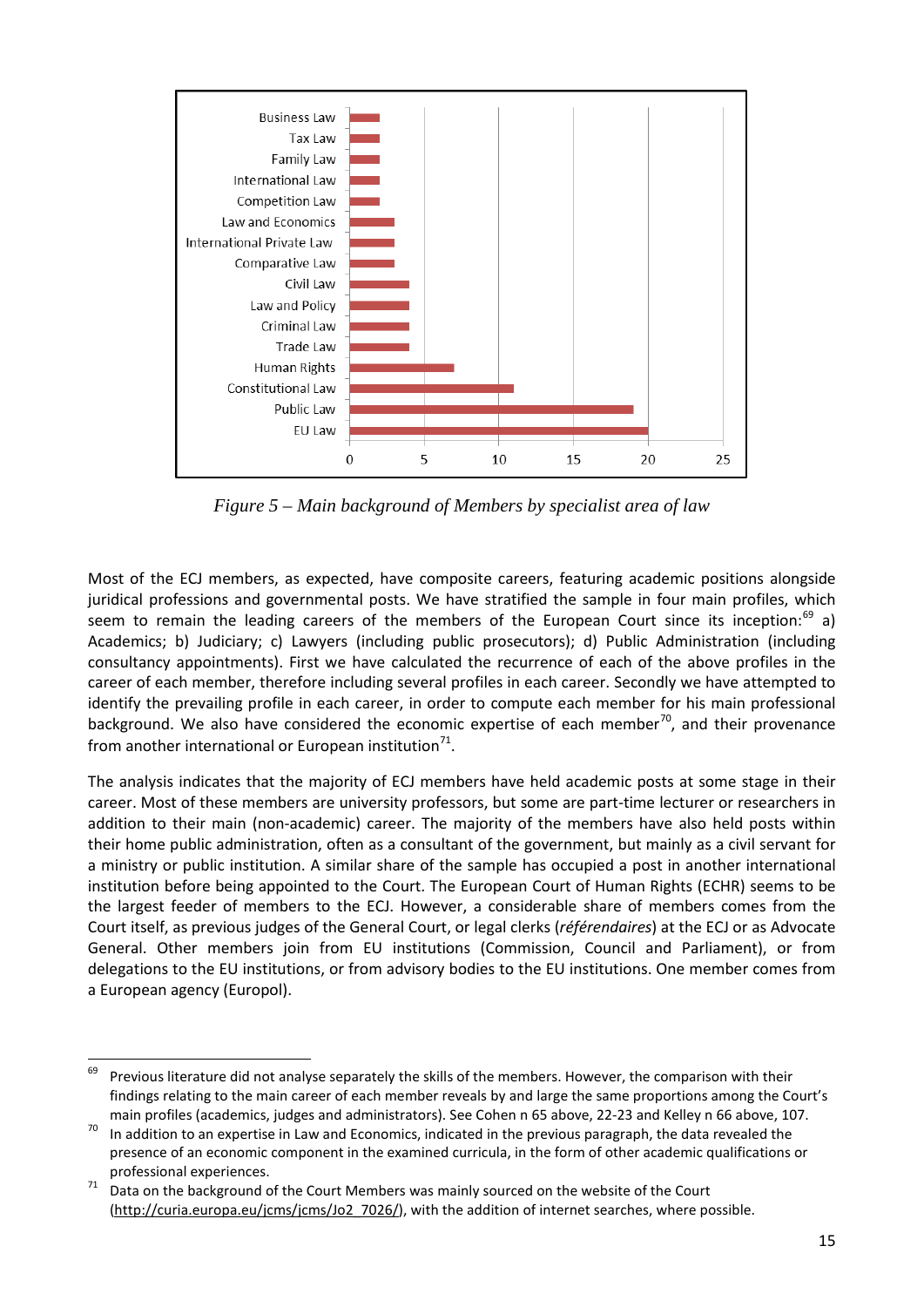

*Figure 5 – Main background of Members by specialist area of law*

Most of the ECJ members, as expected, have composite careers, featuring academic positions alongside juridical professions and governmental posts. We have stratified the sample in four main profiles, which seem to remain the leading careers of the members of the European Court since its inception: $^{69}$  $^{69}$  $^{69}$  a) Academics; b) Judiciary; c) Lawyers (including public prosecutors); d) Public Administration (including consultancy appointments). First we have calculated the recurrence of each of the above profiles in the career of each member, therefore including several profiles in each career. Secondly we have attempted to identify the prevailing profile in each career, in order to compute each member for his main professional background. We also have considered the economic expertise of each member<sup>70</sup>, and their provenance from another international or European institution $^{71}$ .

The analysis indicates that the majority of ECJ members have held academic posts at some stage in their career. Most of these members are university professors, but some are part-time lecturer or researchers in addition to their main (non-academic) career. The majority of the members have also held posts within their home public administration, often as a consultant of the government, but mainly as a civil servant for a ministry or public institution. A similar share of the sample has occupied a post in another international institution before being appointed to the Court. The European Court of Human Rights (ECHR) seems to be the largest feeder of members to the ECJ. However, a considerable share of members comes from the Court itself, as previous judges of the General Court, or legal clerks (*référendaires*) at the ECJ or as Advocate General. Other members join from EU institutions (Commission, Council and Parliament), or from delegations to the EU institutions, or from advisory bodies to the EU institutions. One member comes from a European agency (Europol).

<span id="page-14-0"></span>Previous literature did not analyse separately the skills of the members. However, the comparison with their findings relating to the main career of each member reveals by and large the same proportions among the Court's

<span id="page-14-1"></span>main profiles (academics, judges and administrators). See Cohen [n 65](#page-13-9) above, 22-23 and Kelley n [66](#page-13-10) above, 107. In addition to an expertise in Law and Economics, indicated in the previous paragraph, the data revealed the presence of an economic component in the examined curricula, in the form of other academic qualifications or

<span id="page-14-2"></span>professional experiences.<br><sup>71</sup> Data on the background of the Court Members was mainly sourced on the website of the Court [\(http://curia.europa.eu/jcms/jcms/Jo2\\_7026/\)](http://curia.europa.eu/jcms/jcms/Jo2_7026/), with the addition of internet searches, where possible.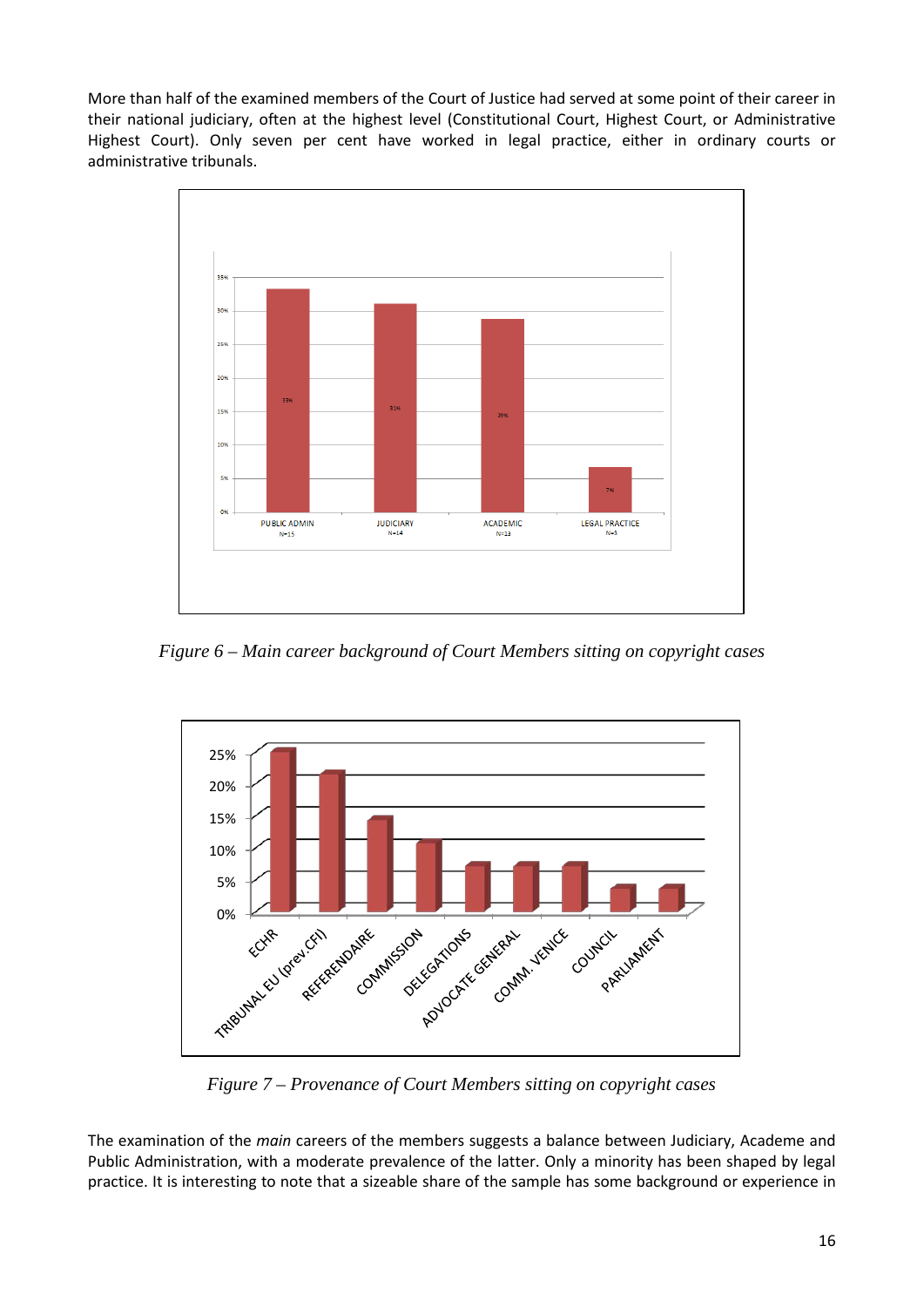More than half of the examined members of the Court of Justice had served at some point of their career in their national judiciary, often at the highest level (Constitutional Court, Highest Court, or Administrative Highest Court). Only seven per cent have worked in legal practice, either in ordinary courts or administrative tribunals.



*Figure 6 – Main career background of Court Members sitting on copyright cases*



*Figure 7 – Provenance of Court Members sitting on copyright cases*

The examination of the *main* careers of the members suggests a balance between Judiciary, Academe and Public Administration, with a moderate prevalence of the latter. Only a minority has been shaped by legal practice. It is interesting to note that a sizeable share of the sample has some background or experience in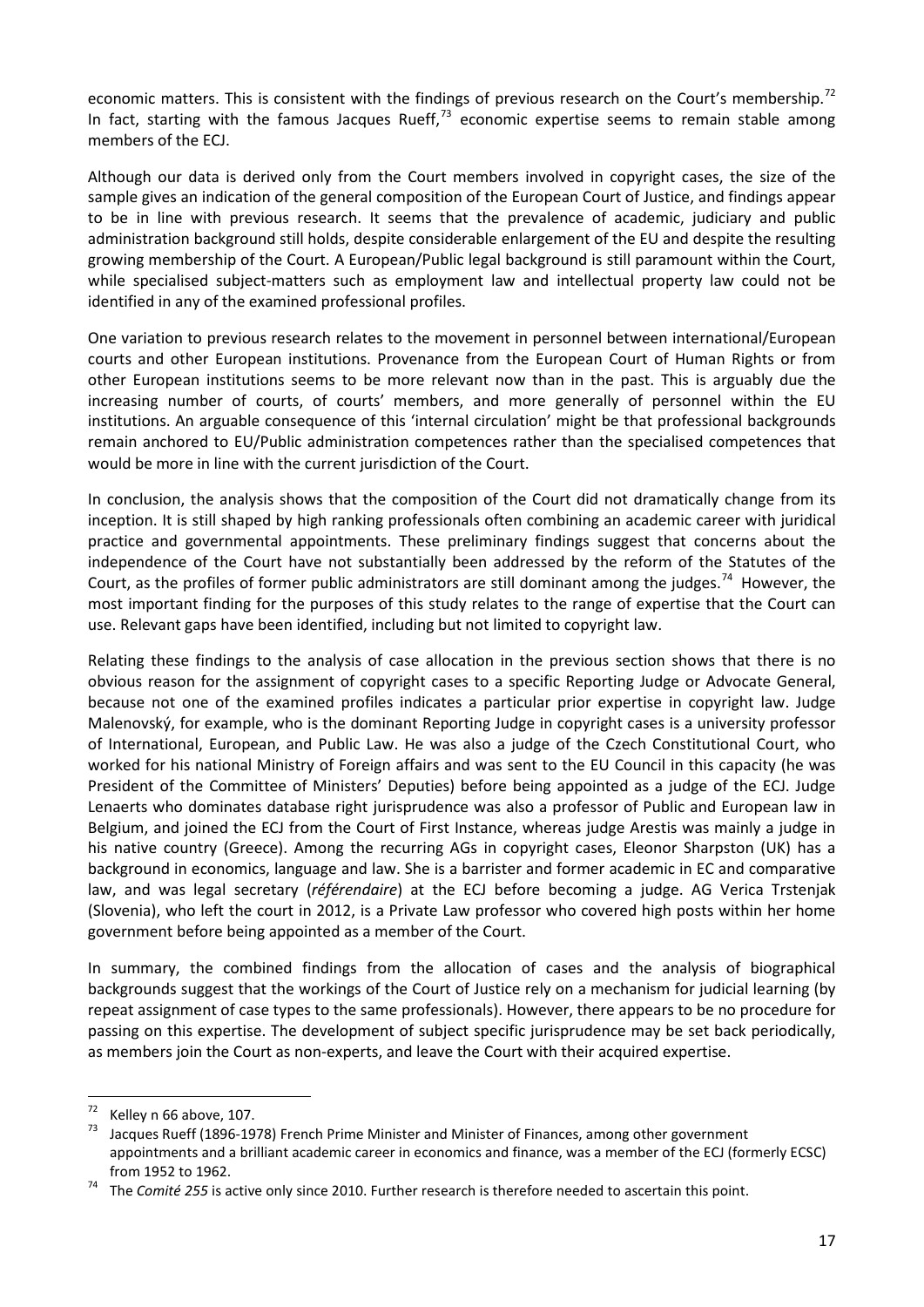economic matters. This is consistent with the findings of previous research on the Court's membership.<sup>[72](#page-16-0)</sup> In fact, starting with the famous Jacques Rueff, $73$  economic expertise seems to remain stable among members of the ECJ.

Although our data is derived only from the Court members involved in copyright cases, the size of the sample gives an indication of the general composition of the European Court of Justice, and findings appear to be in line with previous research. It seems that the prevalence of academic, judiciary and public administration background still holds, despite considerable enlargement of the EU and despite the resulting growing membership of the Court. A European/Public legal background is still paramount within the Court, while specialised subject-matters such as employment law and intellectual property law could not be identified in any of the examined professional profiles.

One variation to previous research relates to the movement in personnel between international/European courts and other European institutions. Provenance from the European Court of Human Rights or from other European institutions seems to be more relevant now than in the past. This is arguably due the increasing number of courts, of courts' members, and more generally of personnel within the EU institutions. An arguable consequence of this 'internal circulation' might be that professional backgrounds remain anchored to EU/Public administration competences rather than the specialised competences that would be more in line with the current jurisdiction of the Court.

In conclusion, the analysis shows that the composition of the Court did not dramatically change from its inception. It is still shaped by high ranking professionals often combining an academic career with juridical practice and governmental appointments. These preliminary findings suggest that concerns about the independence of the Court have not substantially been addressed by the reform of the Statutes of the Court, as the profiles of former public administrators are still dominant among the judges.<sup>[74](#page-16-2)</sup> However, the most important finding for the purposes of this study relates to the range of expertise that the Court can use. Relevant gaps have been identified, including but not limited to copyright law.

Relating these findings to the analysis of case allocation in the previous section shows that there is no obvious reason for the assignment of copyright cases to a specific Reporting Judge or Advocate General, because not one of the examined profiles indicates a particular prior expertise in copyright law. Judge Malenovský, for example, who is the dominant Reporting Judge in copyright cases is a university professor of International, European, and Public Law. He was also a judge of the Czech Constitutional Court, who worked for his national Ministry of Foreign affairs and was sent to the EU Council in this capacity (he was President of the Committee of Ministers' Deputies) before being appointed as a judge of the ECJ. Judge Lenaerts who dominates database right jurisprudence was also a professor of Public and European law in Belgium, and joined the ECJ from the Court of First Instance, whereas judge Arestis was mainly a judge in his native country (Greece). Among the recurring AGs in copyright cases, Eleonor Sharpston (UK) has a background in economics, language and law. She is a barrister and former academic in EC and comparative law, and was legal secretary (*référendaire*) at the ECJ before becoming a judge. AG Verica Trstenjak (Slovenia), who left the court in 2012, is a Private Law professor who covered high posts within her home government before being appointed as a member of the Court.

In summary, the combined findings from the allocation of cases and the analysis of biographical backgrounds suggest that the workings of the Court of Justice rely on a mechanism for judicial learning (by repeat assignment of case types to the same professionals). However, there appears to be no procedure for passing on this expertise. The development of subject specific jurisprudence may be set back periodically, as members join the Court as non-experts, and leave the Court with their acquired expertise.

<span id="page-16-1"></span>

<span id="page-16-0"></span><sup>&</sup>lt;sup>72</sup> Kelley n [66](#page-13-10) above, 107.<br><sup>73</sup> Jacques Rueff (1896-1978) French Prime Minister and Minister of Finances, among other government appointments and a brilliant academic career in economics and finance, was a member of the ECJ (formerly ECSC) from 1952 to 1962. <sup>74</sup> The *Comité <sup>255</sup>* is active only since 2010. Further research is therefore needed to ascertain this point.

<span id="page-16-2"></span>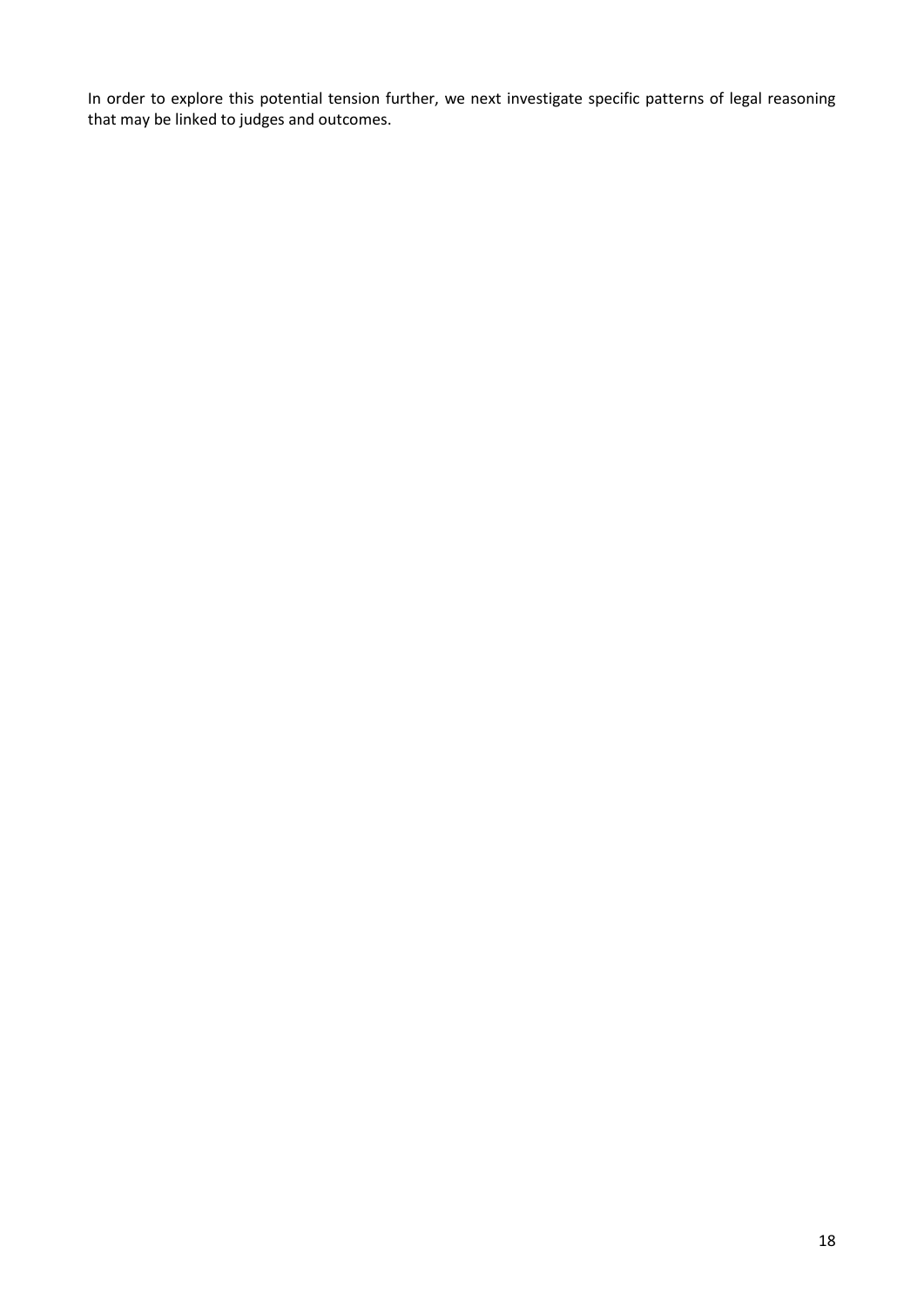In order to explore this potential tension further, we next investigate specific patterns of legal reasoning that may be linked to judges and outcomes.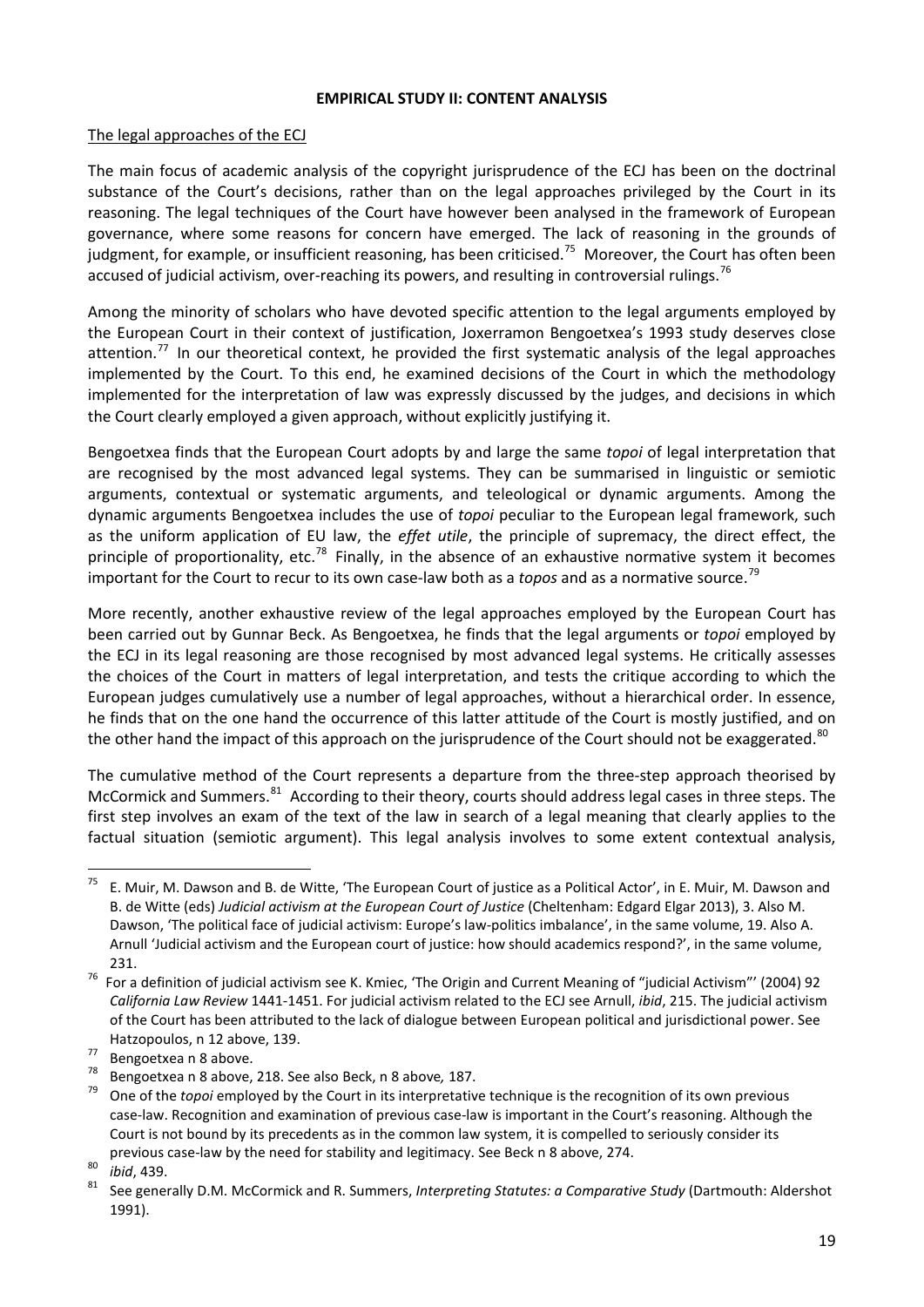### <span id="page-18-7"></span>**EMPIRICAL STUDY II: CONTENT ANALYSIS**

### The legal approaches of the ECJ

The main focus of academic analysis of the copyright jurisprudence of the ECJ has been on the doctrinal substance of the Court's decisions, rather than on the legal approaches privileged by the Court in its reasoning. The legal techniques of the Court have however been analysed in the framework of European governance, where some reasons for concern have emerged. The lack of reasoning in the grounds of judgment, for example, or insufficient reasoning, has been criticised.<sup>[75](#page-18-0)</sup> Moreover, the Court has often been accused of judicial activism, over-reaching its powers, and resulting in controversial rulings.<sup>[76](#page-18-1)</sup>

Among the minority of scholars who have devoted specific attention to the legal arguments employed by the European Court in their context of justification, Joxerramon Bengoetxea's 1993 study deserves close attention.<sup>[77](#page-18-2)</sup> In our theoretical context, he provided the first systematic analysis of the legal approaches implemented by the Court. To this end, he examined decisions of the Court in which the methodology implemented for the interpretation of law was expressly discussed by the judges, and decisions in which the Court clearly employed a given approach, without explicitly justifying it.

Bengoetxea finds that the European Court adopts by and large the same *topoi* of legal interpretation that are recognised by the most advanced legal systems. They can be summarised in linguistic or semiotic arguments, contextual or systematic arguments, and teleological or dynamic arguments. Among the dynamic arguments Bengoetxea includes the use of *topoi* peculiar to the European legal framework, such as the uniform application of EU law, the *effet utile*, the principle of supremacy, the direct effect, the principle of proportionality, etc.<sup>[78](#page-18-3)</sup> Finally, in the absence of an exhaustive normative system it becomes important for the Court to recur to its own case-law both as a *topos* and as a normative source.[79](#page-18-4)

More recently, another exhaustive review of the legal approaches employed by the European Court has been carried out by Gunnar Beck. As Bengoetxea, he finds that the legal arguments or *topoi* employed by the ECJ in its legal reasoning are those recognised by most advanced legal systems. He critically assesses the choices of the Court in matters of legal interpretation, and tests the critique according to which the European judges cumulatively use a number of legal approaches, without a hierarchical order. In essence, he finds that on the one hand the occurrence of this latter attitude of the Court is mostly justified, and on the other hand the impact of this approach on the jurisprudence of the Court should not be exaggerated.<sup>[80](#page-18-5)</sup>

<span id="page-18-8"></span>The cumulative method of the Court represents a departure from the three-step approach theorised by McCormick and Summers.<sup>[81](#page-18-6)</sup> According to their theory, courts should address legal cases in three steps. The first step involves an exam of the text of the law in search of a legal meaning that clearly applies to the factual situation (semiotic argument). This legal analysis involves to some extent contextual analysis,

<span id="page-18-0"></span> $75$  E. Muir, M. Dawson and B. de Witte, 'The European Court of justice as a Political Actor', in E. Muir, M. Dawson and B. de Witte (eds) *Judicial activism at the European Court of Justice* (Cheltenham: Edgard Elgar 2013), 3. Also M. Dawson, 'The political face of judicial activism: Europe's law-politics imbalance', in the same volume, 19. Also A. Arnull 'Judicial activism and the European court of justice: how should academics respond?', in the same volume,

<span id="page-18-1"></span><sup>231.</sup> <sup>76</sup> For a definition of judicial activism see K. Kmiec, 'The Origin and Current Meaning of "judicial Activism"' (2004) 92 *California Law Review* 1441-1451. For judicial activism related to the ECJ see Arnull, *ibid*, 215. The judicial activism of the Court has been attributed to the lack of dialogue between European political and jurisdictional power. See

<span id="page-18-4"></span><span id="page-18-3"></span>

<span id="page-18-2"></span>Hatzopoulos, n [12](#page-3-0) above, 139.<br>
<sup>77</sup> Bengoetxea [n 8](#page-2-5) above.<br>
<sup>78</sup> Bengoetxea n 8 above, 218. See also Beck, n 8 above, 187.<br>
<sup>78</sup> One of the topoi employed by the Court in its interpretative technique is the recognition of case-law. Recognition and examination of previous case-law is important in the Court's reasoning. Although the Court is not bound by its precedents as in the common law system, it is compelled to seriously consider its previous case-law by the need for stability and legitimacy. See Beck n [8](#page-2-5) above, 274.<br><sup>80</sup> *ibid*, 439.<br><sup>81</sup> See generally D.M. McCormick and R. Summers, *Interpreting Statutes: a Comparative Study* (Dartmouth: Aldershot

<span id="page-18-5"></span>

<span id="page-18-6"></span><sup>1991).</sup>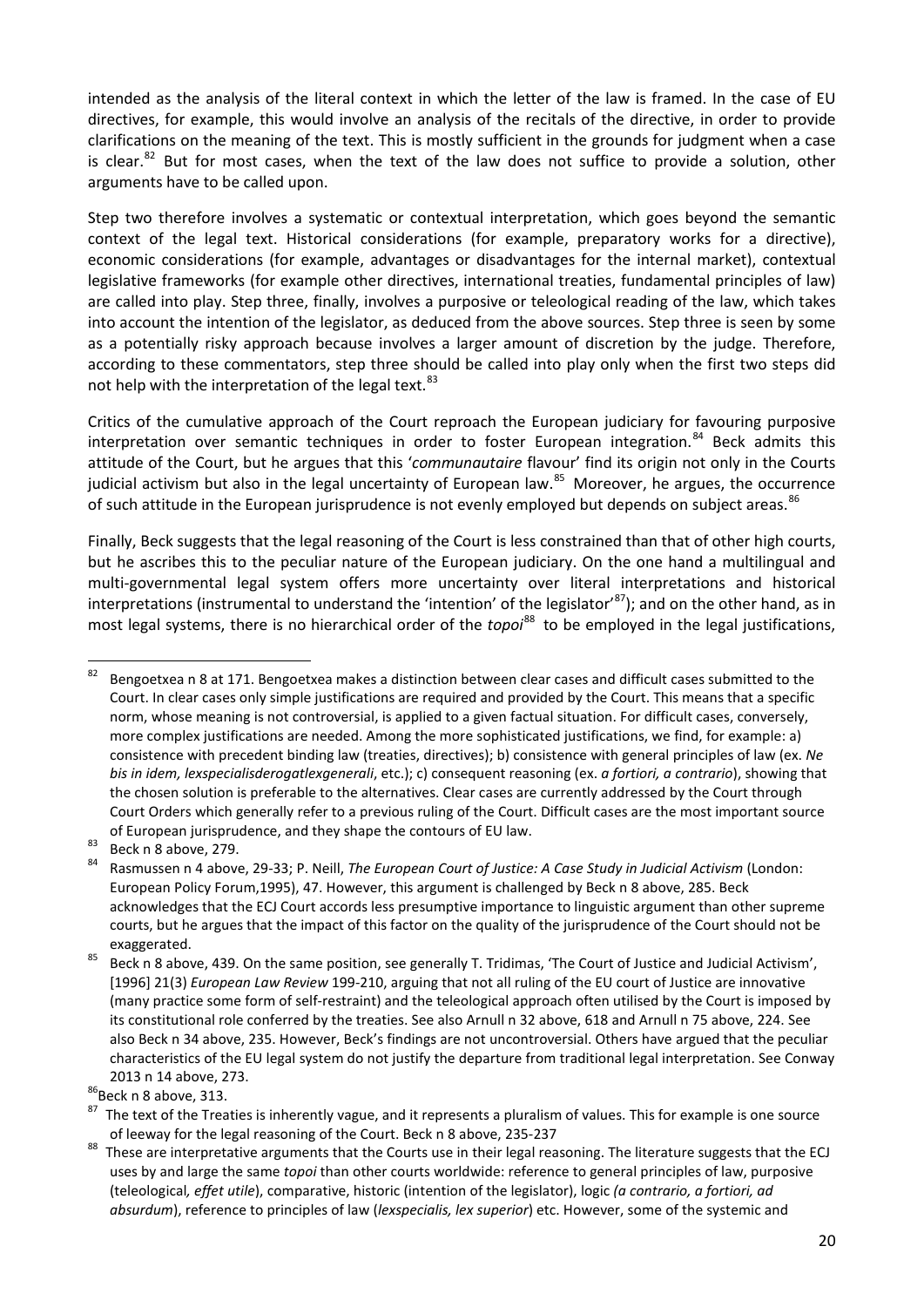intended as the analysis of the literal context in which the letter of the law is framed. In the case of EU directives, for example, this would involve an analysis of the recitals of the directive, in order to provide clarifications on the meaning of the text. This is mostly sufficient in the grounds for judgment when a case is clear. $82$  But for most cases, when the text of the law does not suffice to provide a solution, other arguments have to be called upon.

Step two therefore involves a systematic or contextual interpretation, which goes beyond the semantic context of the legal text. Historical considerations (for example, preparatory works for a directive), economic considerations (for example, advantages or disadvantages for the internal market), contextual legislative frameworks (for example other directives, international treaties, fundamental principles of law) are called into play. Step three, finally, involves a purposive or teleological reading of the law, which takes into account the intention of the legislator, as deduced from the above sources. Step three is seen by some as a potentially risky approach because involves a larger amount of discretion by the judge. Therefore, according to these commentators, step three should be called into play only when the first two steps did not help with the interpretation of the legal text. $83$ 

Critics of the cumulative approach of the Court reproach the European judiciary for favouring purposive interpretation over semantic techniques in order to foster European integration.<sup>[84](#page-19-2)</sup> Beck admits this attitude of the Court, but he argues that this '*communautaire* flavour' find its origin not only in the Courts judicial activism but also in the legal uncertainty of European law.<sup>[85](#page-19-3)</sup> Moreover, he argues, the occurrence of such attitude in the European jurisprudence is not evenly employed but depends on subject areas.<sup>[86](#page-19-4)</sup>

Finally, Beck suggests that the legal reasoning of the Court is less constrained than that of other high courts, but he ascribes this to the peculiar nature of the European judiciary. On the one hand a multilingual and multi-governmental legal system offers more uncertainty over literal interpretations and historical interpretations (instrumental to understand the 'intention' of the legislator'<sup>[87](#page-19-5)</sup>); and on the other hand, as in most legal systems, there is no hierarchical order of the *topoi*[88](#page-19-6) to be employed in the legal justifications,

<span id="page-19-0"></span> $82$  Bengoetxea [n 8](#page-2-5) at 171. Bengoetxea makes a distinction between clear cases and difficult cases submitted to the Court. In clear cases only simple justifications are required and provided by the Court. This means that a specific norm, whose meaning is not controversial, is applied to a given factual situation. For difficult cases, conversely, more complex justifications are needed. Among the more sophisticated justifications, we find, for example: a) consistence with precedent binding law (treaties, directives); b) consistence with general principles of law (ex. *Ne bis in idem, lexspecialisderogatlexgenerali*, etc.); c) consequent reasoning (ex. *a fortiori, a contrario*), showing that the chosen solution is preferable to the alternatives. Clear cases are currently addressed by the Court through Court Orders which generally refer to a previous ruling of the Court. Difficult cases are the most important source

<span id="page-19-2"></span>

<span id="page-19-1"></span>of European jurisprudence, and they shape the contours of EU law.<br><sup>83</sup> Beck n [8](#page-2-5) above, 279.<br><sup>84</sup> Rasmussen n 4 above, 29-33; P. Neill, *The European Court of Justice: A Case Study in Judicial Activism* (London: European Policy Forum,1995), 47. However, this argument is challenged by Beck [n 8](#page-2-5) above, 285. Beck acknowledges that the ECJ Court accords less presumptive importance to linguistic argument than other supreme courts, but he argues that the impact of this factor on the quality of the jurisprudence of the Court should not be

<span id="page-19-3"></span>exaggerated.<br><sup>85</sup> Beck n [8](#page-2-5) above, 439. On the same position, see generally T. Tridimas, 'The Court of Justice and Judicial Activism', [1996] 21(3) *European Law Review* 199-210, arguing that not all ruling of the EU court of Justice are innovative (many practice some form of self-restraint) and the teleological approach often utilised by the Court is imposed by its constitutional role conferred by the treaties. See also Arnull n [32](#page-5-4) above, 618 and Arnull n [75](#page-18-7) above, 224. See also Beck n [34](#page-5-5) above, 235. However, Beck's findings are not uncontroversial. Others have argued that the peculiar characteristics of the EU legal system do not justify the departure from traditional legal interpretation. See Conway

<span id="page-19-4"></span><sup>2013</sup> n [14](#page-3-2) above, 273.<br><sup>86</sup>Beck n [8](#page-2-5) above, 313.<br><sup>87</sup> The text of the Treaties is inherently vague, and it represents a pluralism of values. This for example is one source

<span id="page-19-6"></span><span id="page-19-5"></span>of leeway for the legal reasoning of the Court. Beck [n 8](#page-2-5) above, 235-237<br><sup>88</sup> These are interpretative arguments that the Courts use in their legal reasoning. The literature suggests that the ECJ uses by and large the same *topoi* than other courts worldwide: reference to general principles of law, purposive (teleological*, effet utile*), comparative, historic (intention of the legislator), logic *(a contrario, a fortiori, ad absurdum*), reference to principles of law (*lexspecialis, lex superior*) etc. However, some of the systemic and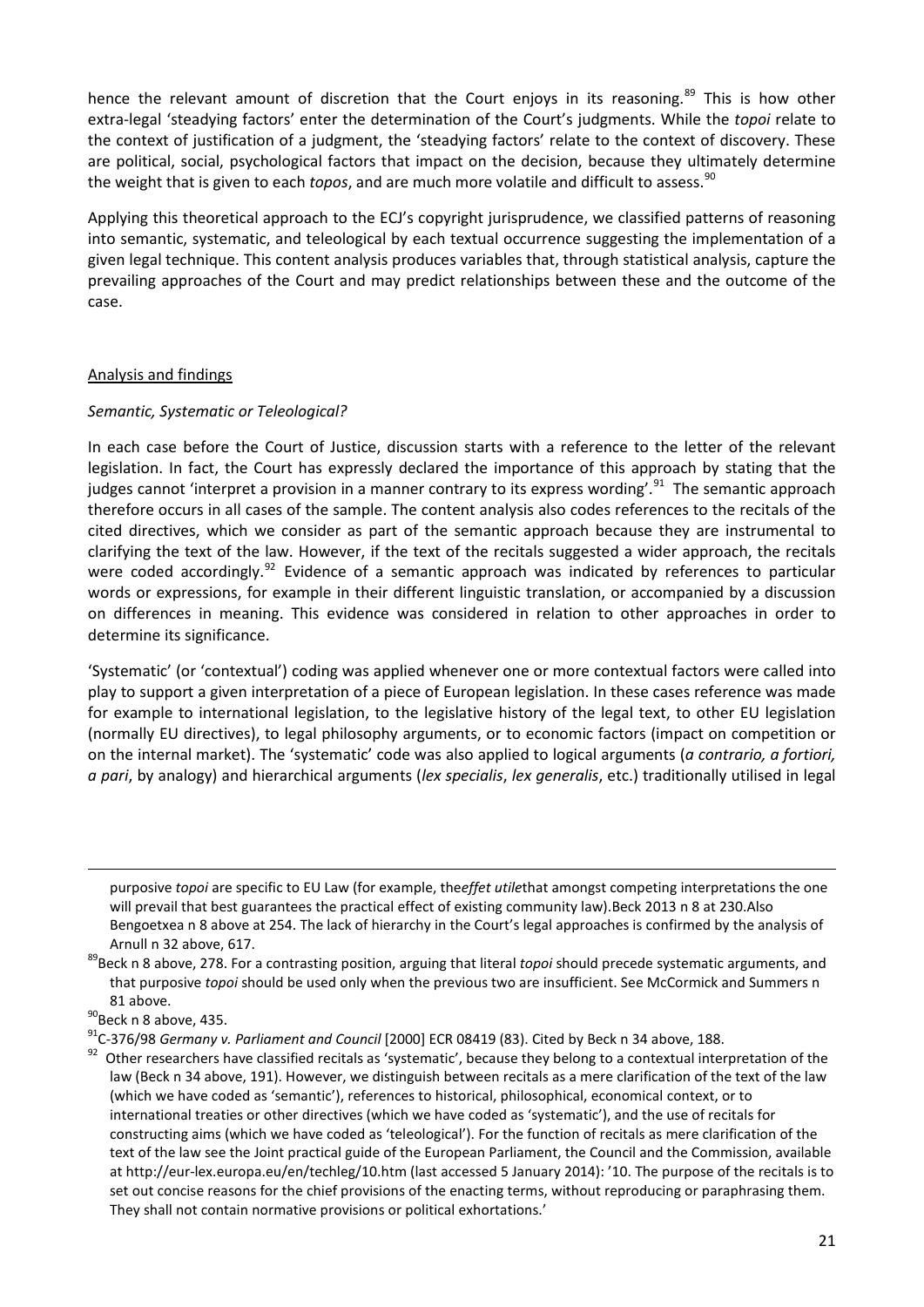hence the relevant amount of discretion that the Court enjoys in its reasoning.<sup>[89](#page-20-0)</sup> This is how other extra-legal 'steadying factors' enter the determination of the Court's judgments. While the *topoi* relate to the context of justification of a judgment, the 'steadying factors' relate to the context of discovery. These are political, social, psychological factors that impact on the decision, because they ultimately determine the weight that is given to each *topos*, and are much more volatile and difficult to assess.<sup>[90](#page-20-1)</sup>

Applying this theoretical approach to the ECJ's copyright jurisprudence, we classified patterns of reasoning into semantic, systematic, and teleological by each textual occurrence suggesting the implementation of a given legal technique. This content analysis produces variables that, through statistical analysis, capture the prevailing approaches of the Court and may predict relationships between these and the outcome of the case.

### Analysis and findings

# *Semantic, Systematic or Teleological?*

In each case before the Court of Justice, discussion starts with a reference to the letter of the relevant legislation. In fact, the Court has expressly declared the importance of this approach by stating that the judges cannot 'interpret a provision in a manner contrary to its express wording'.<sup>[91](#page-20-2)</sup> The semantic approach therefore occurs in all cases of the sample. The content analysis also codes references to the recitals of the cited directives, which we consider as part of the semantic approach because they are instrumental to clarifying the text of the law. However, if the text of the recitals suggested a wider approach, the recitals were coded accordingly.<sup>[92](#page-20-3)</sup> Evidence of a semantic approach was indicated by references to particular words or expressions, for example in their different linguistic translation, or accompanied by a discussion on differences in meaning. This evidence was considered in relation to other approaches in order to determine its significance.

'Systematic' (or 'contextual') coding was applied whenever one or more contextual factors were called into play to support a given interpretation of a piece of European legislation. In these cases reference was made for example to international legislation, to the legislative history of the legal text, to other EU legislation (normally EU directives), to legal philosophy arguments, or to economic factors (impact on competition or on the internal market). The 'systematic' code was also applied to logical arguments (*a contrario, a fortiori, a pari*, by analogy) and hierarchical arguments (*lex specialis*, *lex generalis*, etc.) traditionally utilised in legal

 $\overline{a}$ 

purposive *topoi* are specific to EU Law (for example, the*effet utile*that amongst competing interpretations the one will prevail that best guarantees the practical effect of existing community law).Beck 2013 n [8](#page-2-5) at 230.Also Bengoetxea [n 8](#page-2-5) above at 254. The lack of hierarchy in the Court's legal approaches is confirmed by the analysis of

<span id="page-20-0"></span>Arnull n [32](#page-5-4) above, 617.<br><sup>89</sup>Beck n [8](#page-2-5) above, 278. For a contrasting position, arguing that literal *topoi* should precede systematic arguments, and that purposive *topoi* should be used only when the previous two are insufficient. See McCormick and Summers n

<span id="page-20-3"></span><span id="page-20-2"></span>

<span id="page-20-1"></span>[<sup>81</sup>](#page-18-8) above.<br><sup>90</sup>Beck n [8](#page-2-5) above, 435.<br><sup>91</sup>C-376/98 *Germany v. Parliament and Council* [2000] ECR 08419 (83). Cited by Beck [n 34](#page-5-5) above, 188.<br><sup>92</sup> Other researchers have classified recitals as 'systematic', because they belon law (Beck n [34](#page-5-5) above, 191). However, we distinguish between recitals as a mere clarification of the text of the law (which we have coded as 'semantic'), references to historical, philosophical, economical context, or to international treaties or other directives (which we have coded as 'systematic'), and the use of recitals for constructing aims (which we have coded as 'teleological'). For the function of recitals as mere clarification of the text of the law see the Joint practical guide of the European Parliament, the Council and the Commission, available at http://eur-lex.europa.eu/en/techleg/10.htm (last accessed 5 January 2014): '10. The purpose of the recitals is to set out concise reasons for the chief provisions of the enacting terms, without reproducing or paraphrasing them. They shall not contain normative provisions or political exhortations.'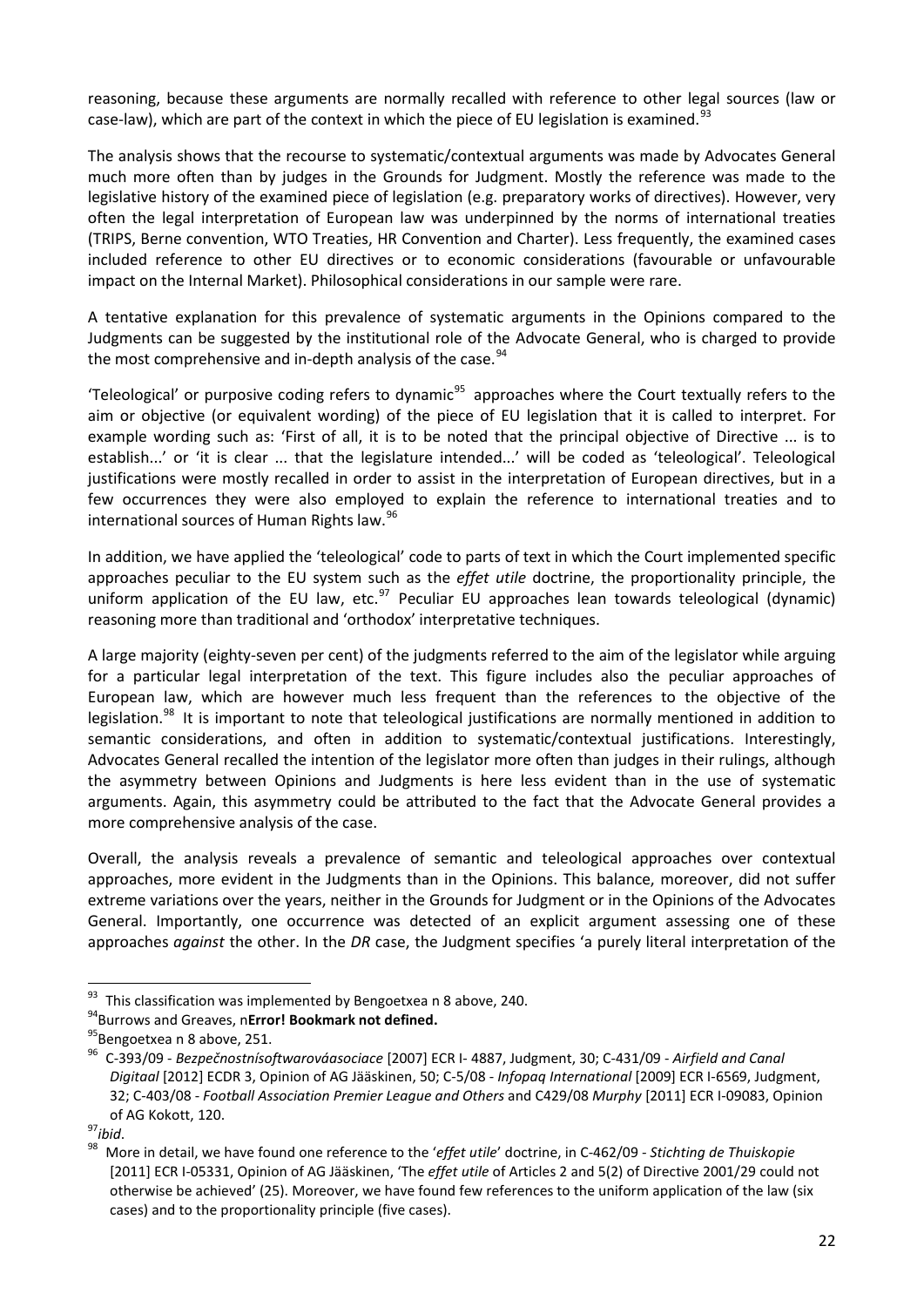reasoning, because these arguments are normally recalled with reference to other legal sources (law or case-law), which are part of the context in which the piece of EU legislation is examined.<sup>[93](#page-21-0)</sup>

The analysis shows that the recourse to systematic/contextual arguments was made by Advocates General much more often than by judges in the Grounds for Judgment. Mostly the reference was made to the legislative history of the examined piece of legislation (e.g. preparatory works of directives). However, very often the legal interpretation of European law was underpinned by the norms of international treaties (TRIPS, Berne convention, WTO Treaties, HR Convention and Charter). Less frequently, the examined cases included reference to other EU directives or to economic considerations (favourable or unfavourable impact on the Internal Market). Philosophical considerations in our sample were rare.

A tentative explanation for this prevalence of systematic arguments in the Opinions compared to the Judgments can be suggested by the institutional role of the Advocate General, who is charged to provide the most comprehensive and in-depth analysis of the case.  $94$ 

'Teleological' or purposive coding refers to dynamic<sup>[95](#page-21-2)</sup> approaches where the Court textually refers to the aim or objective (or equivalent wording) of the piece of EU legislation that it is called to interpret. For example wording such as: 'First of all, it is to be noted that the principal objective of Directive ... is to establish...' or 'it is clear ... that the legislature intended...' will be coded as 'teleological'. Teleological justifications were mostly recalled in order to assist in the interpretation of European directives, but in a few occurrences they were also employed to explain the reference to international treaties and to international sources of Human Rights law.<sup>[96](#page-21-3)</sup>

In addition, we have applied the 'teleological' code to parts of text in which the Court implemented specific approaches peculiar to the EU system such as the *effet utile* doctrine, the proportionality principle, the uniform application of the EU law, etc. $^{97}$  $^{97}$  $^{97}$  Peculiar EU approaches lean towards teleological (dynamic) reasoning more than traditional and 'orthodox' interpretative techniques.

A large majority (eighty-seven per cent) of the judgments referred to the aim of the legislator while arguing for a particular legal interpretation of the text. This figure includes also the peculiar approaches of European law, which are however much less frequent than the references to the objective of the legislation.<sup>[98](#page-21-5)</sup> It is important to note that teleological justifications are normally mentioned in addition to semantic considerations, and often in addition to systematic/contextual justifications. Interestingly, Advocates General recalled the intention of the legislator more often than judges in their rulings, although the asymmetry between Opinions and Judgments is here less evident than in the use of systematic arguments. Again, this asymmetry could be attributed to the fact that the Advocate General provides a more comprehensive analysis of the case.

Overall, the analysis reveals a prevalence of semantic and teleological approaches over contextual approaches, more evident in the Judgments than in the Opinions. This balance, moreover, did not suffer extreme variations over the years, neither in the Grounds for Judgment or in the Opinions of the Advocates General. Importantly, one occurrence was detected of an explicit argument assessing one of these approaches *against* the other. In the *DR* case, the Judgment specifies 'a purely literal interpretation of the

<span id="page-21-1"></span>

<span id="page-21-3"></span><span id="page-21-2"></span>

<span id="page-21-0"></span><sup>&</sup>lt;sup>93</sup> This classification was implemented by Bengoetxea n [8](#page-2-5) above, 240.<br><sup>94</sup>Burrows and Greaves, n**Error! Bookmark not defined.**<br><sup>95</sup>Bengoetxea n 8 above, 251.<br><sup>96</sup> C-393/09 - *Bezpečnostnísoftwarováasociace* [2007] ECR I-*Digitaal* [2012] ECDR 3, Opinion of AG Jääskinen, 50; C-5/08 - *Infopaq International* [2009] ECR I-6569, Judgment, 32; C-403/08 - *Football Association Premier League and Others* and C429/08 *Murphy* [2011] ECR I-09083, Opinion of AG Kokott, 120. <sup>97</sup>*ibid*. <sup>98</sup> More in detail, we have found one reference to the '*effet utile*' doctrine, in C-462/09 *- Stichting de Thuiskopie*

<span id="page-21-5"></span><span id="page-21-4"></span>

<sup>[2011]</sup> ECR I-05331, Opinion of AG Jääskinen, 'The *effet utile* of Articles 2 and 5(2) of Directive 2001/29 could not otherwise be achieved' (25). Moreover, we have found few references to the uniform application of the law (six cases) and to the proportionality principle (five cases).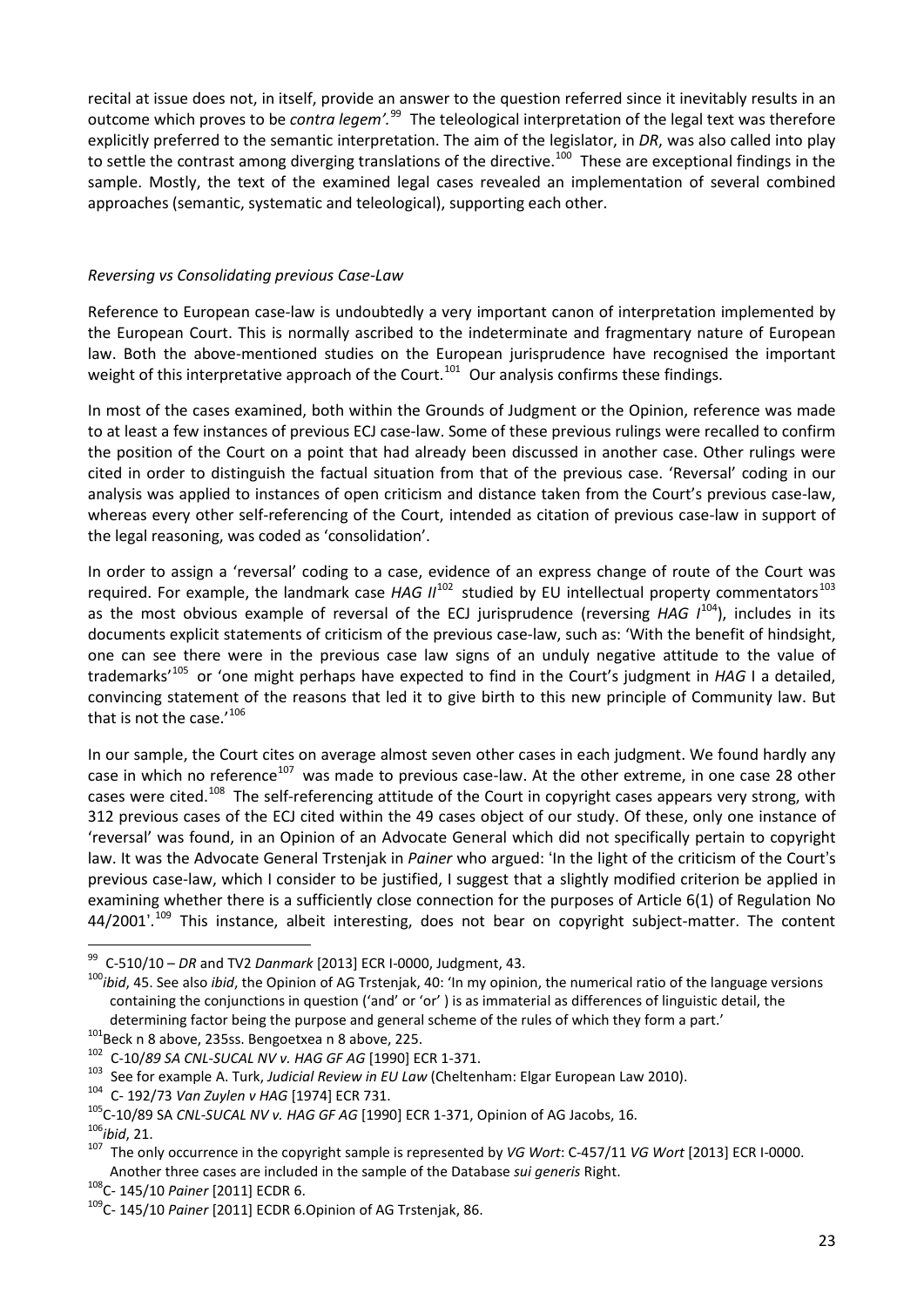recital at issue does not, in itself, provide an answer to the question referred since it inevitably results in an outcome which proves to be *contra legem'.* [99](#page-22-0) The teleological interpretation of the legal text was therefore explicitly preferred to the semantic interpretation. The aim of the legislator, in *DR*, was also called into play to settle the contrast among diverging translations of the directive.<sup>[100](#page-22-1)</sup> These are exceptional findings in the sample. Mostly, the text of the examined legal cases revealed an implementation of several combined approaches (semantic, systematic and teleological), supporting each other.

# *Reversing vs Consolidating previous Case-Law*

Reference to European case-law is undoubtedly a very important canon of interpretation implemented by the European Court. This is normally ascribed to the indeterminate and fragmentary nature of European law. Both the above-mentioned studies on the European jurisprudence have recognised the important weight of this interpretative approach of the Court.<sup>[101](#page-22-2)</sup> Our analysis confirms these findings.

In most of the cases examined, both within the Grounds of Judgment or the Opinion, reference was made to at least a few instances of previous ECJ case-law. Some of these previous rulings were recalled to confirm the position of the Court on a point that had already been discussed in another case. Other rulings were cited in order to distinguish the factual situation from that of the previous case. 'Reversal' coding in our analysis was applied to instances of open criticism and distance taken from the Court's previous case-law, whereas every other self-referencing of the Court, intended as citation of previous case-law in support of the legal reasoning, was coded as 'consolidation'.

In order to assign a 'reversal' coding to a case, evidence of an express change of route of the Court was required. For example, the landmark case *HAG II*<sup>[102](#page-22-3)</sup> studied by EU intellectual property commentators<sup>[103](#page-22-4)</sup> as the most obvious example of reversal of the ECJ jurisprudence (reversing *HAG I*[104](#page-22-5)), includes in its documents explicit statements of criticism of the previous case-law, such as: 'With the benefit of hindsight, one can see there were in the previous case law signs of an unduly negative attitude to the value of trademarks' [105](#page-22-6) or 'one might perhaps have expected to find in the Court's judgment in *HAG* I a detailed, convincing statement of the reasons that led it to give birth to this new principle of Community law. But that is not the case.'<sup>[106](#page-22-7)</sup>

In our sample, the Court cites on average almost seven other cases in each judgment. We found hardly any case in which no reference<sup>[107](#page-22-8)</sup> was made to previous case-law. At the other extreme, in one case 28 other cases were cited.<sup>[108](#page-22-9)</sup> The self-referencing attitude of the Court in copyright cases appears very strong, with 312 previous cases of the ECJ cited within the 49 cases object of our study. Of these, only one instance of 'reversal' was found, in an Opinion of an Advocate General which did not specifically pertain to copyright law. It was the Advocate General Trstenjak in *Painer* who argued: 'In the light of the criticism of the Court's previous case-law, which I consider to be justified, I suggest that a slightly modified criterion be applied in examining whether there is a sufficiently close connection for the purposes of Article 6(1) of Regulation No 44/2001<sup>'. [109](#page-22-10)</sup> This instance, albeit interesting, does not bear on copyright subject-matter. The content

<span id="page-22-3"></span>

<span id="page-22-9"></span>

<span id="page-22-1"></span><span id="page-22-0"></span><sup>&</sup>lt;sup>99</sup> C-510/10 – *DR* and TV2 *Danmark* [2013] ECR I-0000, Judgment, 43.<br><sup>100</sup>*ibid*, 45. See also *ibid*, the Opinion of AG Trstenjak, 40: 'In my opinion, the numerical ratio of the language versions containing the conjunctions in question ('and' or 'or' ) is as immaterial as differences of linguistic detail, the

<span id="page-22-4"></span>

<span id="page-22-5"></span>

<span id="page-22-6"></span>

<span id="page-22-8"></span><span id="page-22-7"></span>

<span id="page-22-2"></span>determining factor being the purpose and general scheme of the rules of which they form a part.'<br>
<sup>101</sup>Beck n [8](#page-2-5) above, 235ss. Bengoetxea n 8 above, 225.<br>
<sup>102</sup> C-10/89 SA CNL-SUCAL NV v. HAG GF AG [1990] ECR 1-371.<br>
<sup>103</sup> Another three cases are included in the sample of the Database *sui generis* Right.<br><sup>108</sup>C- 145/10 *Painer* [2011] ECDR 6.<br><sup>109</sup>C- 145/10 *Painer* [2011] ECDR 6.Opinion of AG Trstenjak, 86.

<span id="page-22-10"></span>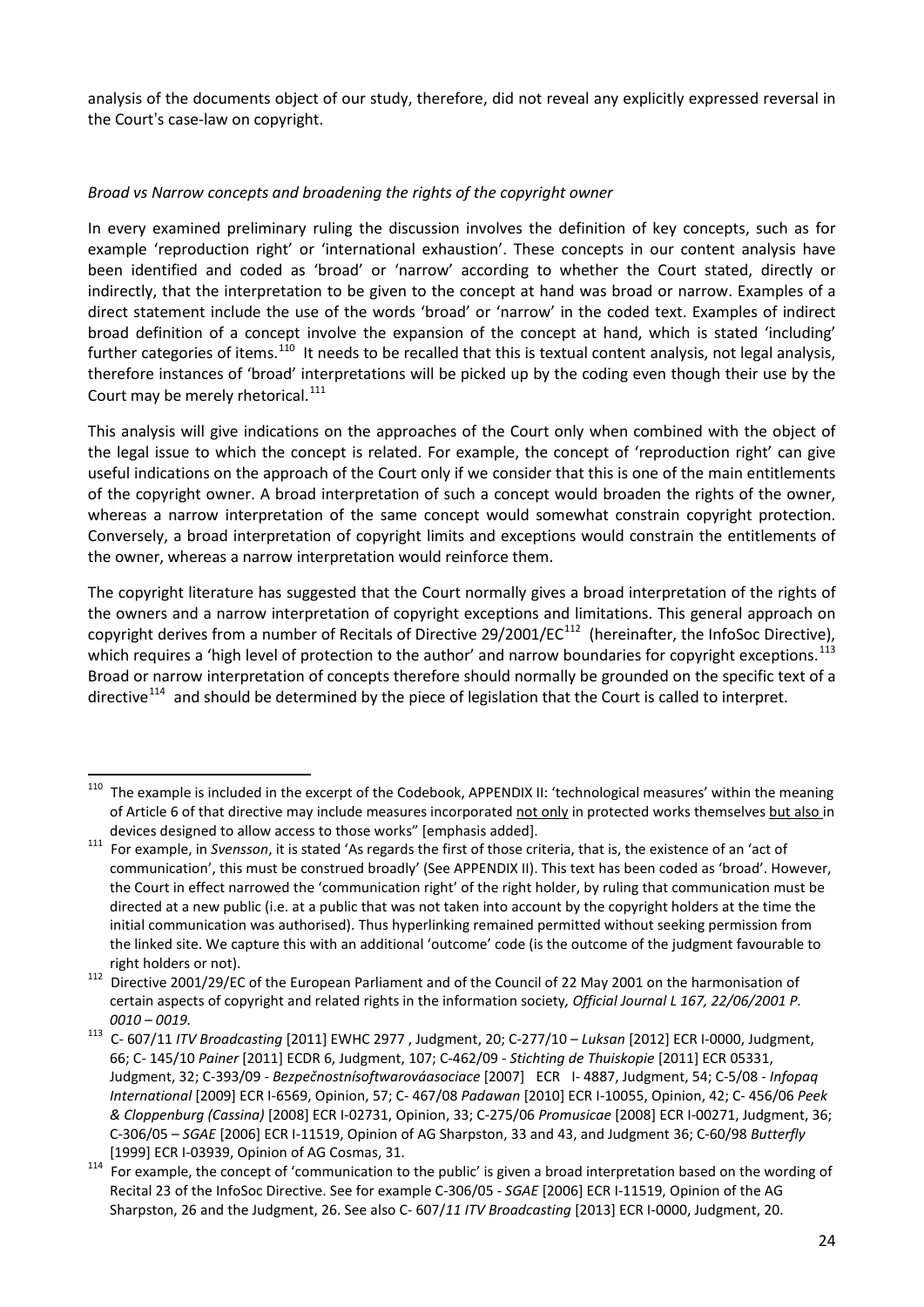analysis of the documents object of our study, therefore, did not reveal any explicitly expressed reversal in the Court's case-law on copyright.

# *Broad vs Narrow concepts and broadening the rights of the copyright owner*

In every examined preliminary ruling the discussion involves the definition of key concepts, such as for example 'reproduction right' or 'international exhaustion'. These concepts in our content analysis have been identified and coded as 'broad' or 'narrow' according to whether the Court stated, directly or indirectly, that the interpretation to be given to the concept at hand was broad or narrow. Examples of a direct statement include the use of the words 'broad' or 'narrow' in the coded text. Examples of indirect broad definition of a concept involve the expansion of the concept at hand, which is stated 'including' further categories of items.<sup>[110](#page-23-0)</sup> It needs to be recalled that this is textual content analysis, not legal analysis, therefore instances of 'broad' interpretations will be picked up by the coding even though their use by the Court may be merely rhetorical.<sup>[111](#page-23-1)</sup>

This analysis will give indications on the approaches of the Court only when combined with the object of the legal issue to which the concept is related. For example, the concept of 'reproduction right' can give useful indications on the approach of the Court only if we consider that this is one of the main entitlements of the copyright owner. A broad interpretation of such a concept would broaden the rights of the owner, whereas a narrow interpretation of the same concept would somewhat constrain copyright protection. Conversely, a broad interpretation of copyright limits and exceptions would constrain the entitlements of the owner, whereas a narrow interpretation would reinforce them.

The copyright literature has suggested that the Court normally gives a broad interpretation of the rights of the owners and a narrow interpretation of copyright exceptions and limitations. This general approach on copyright derives from a number of Recitals of Directive 29/2001/EC<sup>[112](#page-23-2)</sup> (hereinafter, the InfoSoc Directive), which requires a 'high level of protection to the author' and narrow boundaries for copyright exceptions.<sup>[113](#page-23-3)</sup> Broad or narrow interpretation of concepts therefore should normally be grounded on the specific text of a directive<sup>[114](#page-23-4)</sup> and should be determined by the piece of legislation that the Court is called to interpret.

<span id="page-23-0"></span><sup>&</sup>lt;sup>110</sup> The example is included in the excerpt of the Codebook, APPENDIX II: 'technological measures' within the meaning of Article 6 of that directive may include measures incorporated not only in protected works themselves but also in

<span id="page-23-1"></span>devices designed to allow access to those works" [emphasis added].<br><sup>111</sup> For example, in *Svensson*, it is stated 'As regards the first of those criteria, that is, the existence of an 'act of communication', this must be construed broadly' (See APPENDIX II). This text has been coded as 'broad'. However, the Court in effect narrowed the 'communication right' of the right holder, by ruling that communication must be directed at a new public (i.e. at a public that was not taken into account by the copyright holders at the time the initial communication was authorised). Thus hyperlinking remained permitted without seeking permission from the linked site. We capture this with an additional 'outcome' code (is the outcome of the judgment favourable to

<span id="page-23-2"></span>right holders or not).<br><sup>112</sup> Directive 2001/29/EC of the European Parliament and of the Council of 22 May 2001 on the harmonisation of certain aspects of copyright and related rights in the information society*, Official Journal L 167, 22/06/2001 P. 0010 – 0019.*

<span id="page-23-3"></span><sup>113</sup> C- 607/11 *ITV Broadcasting* [2011] EWHC 2977 , Judgment, 20; C-277/10 – *Luksan* [2012] ECR I-0000, Judgment, 66; C- 145/10 *Painer* [2011] ECDR 6, Judgment, 107; C-462/09 - *Stichting de Thuiskopie* [2011] ECR 05331, Judgment, 32; C-393/09 *- Bezpečnostnísoftwarováasociace* [2007] ECR I- 4887, Judgment, 54; C-5/08 - *Infopaq International* [2009] ECR I-6569, Opinion, 57; C- 467/08 *Padawan* [2010] ECR I-10055, Opinion, 42; C- 456/06 *Peek & Cloppenburg (Cassina)* [2008] ECR I-02731, Opinion, 33; C-275/06 *Promusicae* [2008] ECR I-00271, Judgment, 36; C-306/05 – *SGAE* [2006] ECR I-11519, Opinion of AG Sharpston, 33 and 43, and Judgment 36; C-60/98 *Butterfly*

<span id="page-23-4"></span><sup>[1999]</sup> ECR I-03939, Opinion of AG Cosmas, 31. <sup>114</sup> For example, the concept of 'communication to the public' is given a broad interpretation based on the wording of Recital 23 of the InfoSoc Directive. See for example C-306/05 - *SGAE* [2006] ECR I-11519, Opinion of the AG Sharpston, 26 and the Judgment, 26. See also C- 607/*11 ITV Broadcasting* [2013] ECR I-0000, Judgment, 20.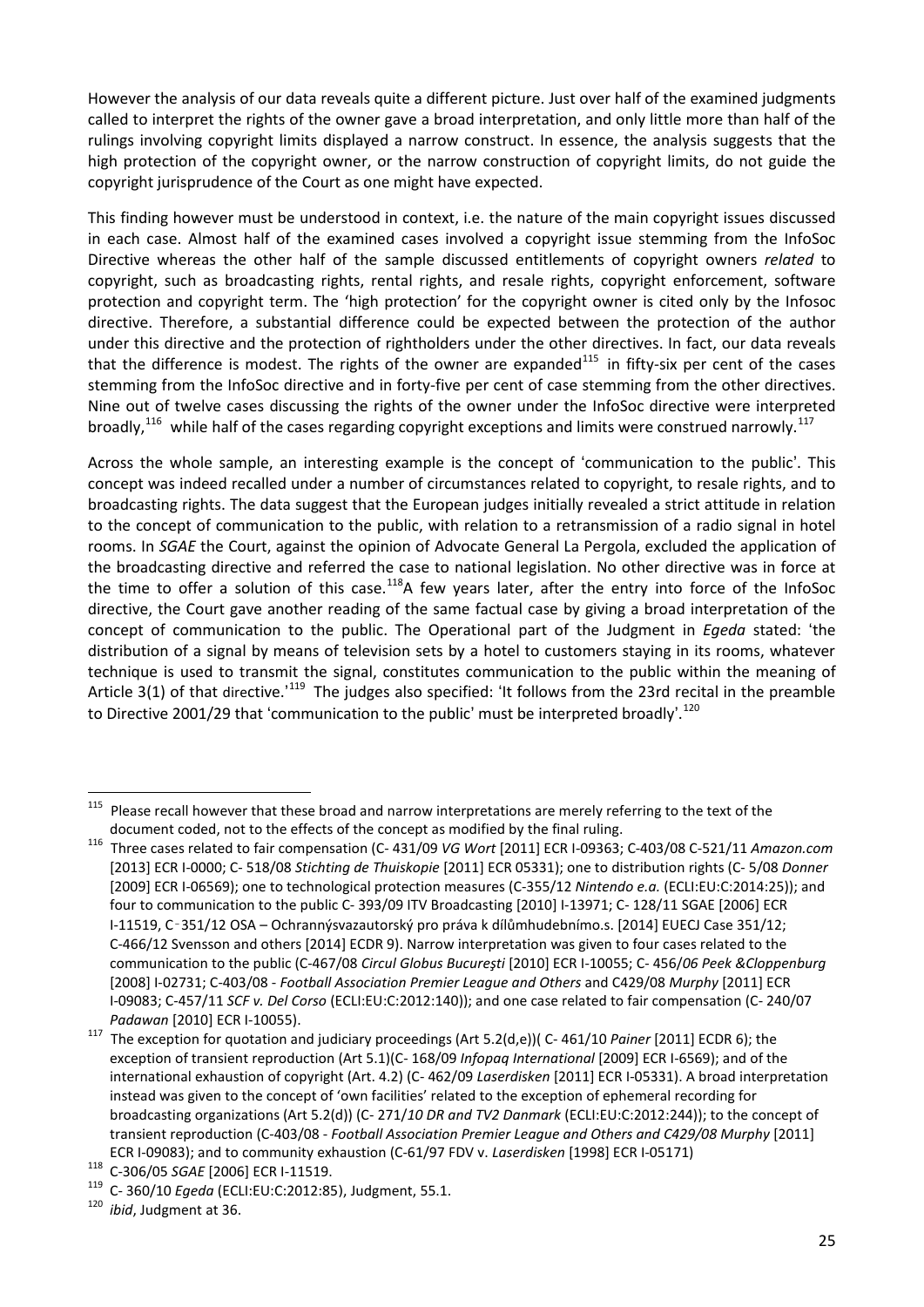However the analysis of our data reveals quite a different picture. Just over half of the examined judgments called to interpret the rights of the owner gave a broad interpretation, and only little more than half of the rulings involving copyright limits displayed a narrow construct. In essence, the analysis suggests that the high protection of the copyright owner, or the narrow construction of copyright limits, do not guide the copyright jurisprudence of the Court as one might have expected.

This finding however must be understood in context, i.e. the nature of the main copyright issues discussed in each case. Almost half of the examined cases involved a copyright issue stemming from the InfoSoc Directive whereas the other half of the sample discussed entitlements of copyright owners *related* to copyright, such as broadcasting rights, rental rights, and resale rights, copyright enforcement, software protection and copyright term. The 'high protection' for the copyright owner is cited only by the Infosoc directive. Therefore, a substantial difference could be expected between the protection of the author under this directive and the protection of rightholders under the other directives. In fact, our data reveals that the difference is modest. The rights of the owner are expanded $115$  in fifty-six per cent of the cases stemming from the InfoSoc directive and in forty-five per cent of case stemming from the other directives. Nine out of twelve cases discussing the rights of the owner under the InfoSoc directive were interpreted broadly,<sup>[116](#page-24-1)</sup> while half of the cases regarding copyright exceptions and limits were construed narrowly.<sup>[117](#page-24-2)</sup>

Across the whole sample, an interesting example is the concept of 'communication to the public'. This concept was indeed recalled under a number of circumstances related to copyright, to resale rights, and to broadcasting rights. The data suggest that the European judges initially revealed a strict attitude in relation to the concept of communication to the public, with relation to a retransmission of a radio signal in hotel rooms. In *SGAE* the Court, against the opinion of Advocate General La Pergola, excluded the application of the broadcasting directive and referred the case to national legislation. No other directive was in force at the time to offer a solution of this case.<sup>118</sup>A few years later, after the entry into force of the InfoSoc directive, the Court gave another reading of the same factual case by giving a broad interpretation of the concept of communication to the public. The Operational part of the Judgment in *Egeda* stated: 'the distribution of a signal by means of television sets by a hotel to customers staying in its rooms, whatever technique is used to transmit the signal, constitutes communication to the public within the meaning of Article 3(1) of that directive.<sup>'[119](#page-24-4)</sup> The judges also specified: 'It follows from the 23rd recital in the preamble to Directive 2001/29 that 'communication to the public' must be interpreted broadly'.<sup>[120](#page-24-5)</sup>

<span id="page-24-0"></span><sup>&</sup>lt;sup>115</sup> Please recall however that these broad and narrow interpretations are merely referring to the text of the

<span id="page-24-1"></span>document coded, not to the effects of the concept as modified by the final ruling. <sup>116</sup> Three cases related to fair compensation (C- 431/09 *VG Wort* [2011] ECR I-09363; C-403/08 C-521/11 *Amazon.com* [2013] ECR I-0000; C- 518/08 *Stichting de Thuiskopie* [2011] ECR 05331); one to distribution rights (C- 5/08 *Donner* [2009] ECR I-06569); one to technological protection measures (C-355/12 *Nintendo e.a.* (ECLI:EU:C:2014:25)); and four to communication to the public C- 393/09 ITV Broadcasting [2010] I-13971; C- 128/11 SGAE [2006] ECR I-11519, C‑351/12 OSA – Ochrannýsvazautorský pro práva k dílůmhudebnímo.s. [2014] EUECJ Case 351/12; C-466/12 Svensson and others [2014] ECDR 9). Narrow interpretation was given to four cases related to the communication to the public (C-467/08 *Circul Globus Bucureşti* [2010] ECR I-10055; C- 456/*06 Peek &Cloppenburg* [2008] I-02731; C-403/08 - *Football Association Premier League and Others* and C429/08 *Murphy* [2011] ECR I-09083; C-457/11 *SCF v. Del Corso* (ECLI:EU:C:2012:140)); and one case related to fair compensation (C- 240/07

<span id="page-24-2"></span>*Padawan* [2010] ECR I-10055).<br>The exception for quotation and judiciary proceedings (Art 5.2(d,e))( C- 461/10 *Painer* [2011] ECDR 6); the exception of transient reproduction (Art 5.1)(C- 168/09 *Infopaq International* [2009] ECR I-6569); and of the international exhaustion of copyright (Art. 4.2) (C- 462/09 *Laserdisken* [2011] ECR I-05331). A broad interpretation instead was given to the concept of 'own facilities' related to the exception of ephemeral recording for broadcasting organizations (Art 5.2(d)) (C- 271/*10 DR and TV2 Danmark* (ECLI:EU:C:2012:244)); to the concept of transient reproduction (C-403/08 - *Football Association Premier League and Others and C429/08 Murphy* [2011] ECR I-09083); and to community exhaustion (C-61/97 FDV v. Laserdisken [1998] ECR I-05171)<br><sup>118</sup> C-306/05 SGAE [2006] ECR I-11519.<br><sup>119</sup> C-360/10 Egeda (ECLI:EU:C:2012:85), Judgment, 55.1.<br><sup>120</sup> *ibid*, Judgment at 36.

<span id="page-24-3"></span>

<span id="page-24-4"></span>

<span id="page-24-5"></span>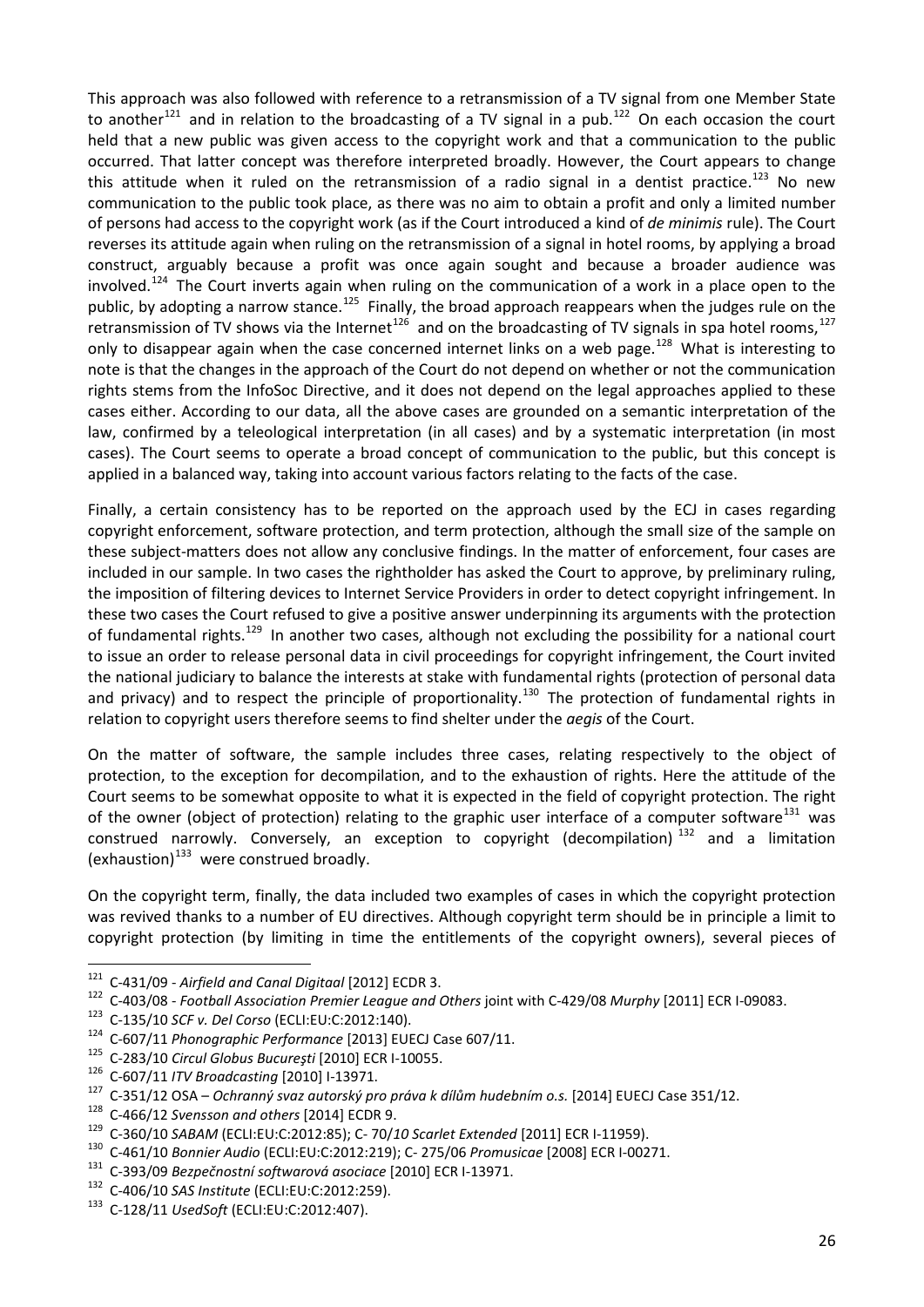This approach was also followed with reference to a retransmission of a TV signal from one Member State to another<sup>[121](#page-25-0)</sup> and in relation to the broadcasting of a TV signal in a pub.<sup>[122](#page-25-1)</sup> On each occasion the court held that a new public was given access to the copyright work and that a communication to the public occurred. That latter concept was therefore interpreted broadly. However, the Court appears to change this attitude when it ruled on the retransmission of a radio signal in a dentist practice.<sup>[123](#page-25-2)</sup> No new communication to the public took place, as there was no aim to obtain a profit and only a limited number of persons had access to the copyright work (as if the Court introduced a kind of *de minimis* rule). The Court reverses its attitude again when ruling on the retransmission of a signal in hotel rooms, by applying a broad construct, arguably because a profit was once again sought and because a broader audience was involved.<sup>[124](#page-25-3)</sup> The Court inverts again when ruling on the communication of a work in a place open to the public, by adopting a narrow stance.<sup>[125](#page-25-4)</sup> Finally, the broad approach reappears when the judges rule on the retransmission of TV shows via the Internet<sup>[126](#page-25-5)</sup> and on the broadcasting of TV signals in spa hotel rooms,<sup>[127](#page-25-6)</sup> only to disappear again when the case concerned internet links on a web page.<sup>[128](#page-25-7)</sup> What is interesting to note is that the changes in the approach of the Court do not depend on whether or not the communication rights stems from the InfoSoc Directive, and it does not depend on the legal approaches applied to these cases either. According to our data, all the above cases are grounded on a semantic interpretation of the law, confirmed by a teleological interpretation (in all cases) and by a systematic interpretation (in most cases). The Court seems to operate a broad concept of communication to the public, but this concept is applied in a balanced way, taking into account various factors relating to the facts of the case.

Finally, a certain consistency has to be reported on the approach used by the ECJ in cases regarding copyright enforcement, software protection, and term protection, although the small size of the sample on these subject-matters does not allow any conclusive findings. In the matter of enforcement, four cases are included in our sample. In two cases the rightholder has asked the Court to approve, by preliminary ruling, the imposition of filtering devices to Internet Service Providers in order to detect copyright infringement. In these two cases the Court refused to give a positive answer underpinning its arguments with the protection of fundamental rights.<sup>[129](#page-25-8)</sup> In another two cases, although not excluding the possibility for a national court to issue an order to release personal data in civil proceedings for copyright infringement, the Court invited the national judiciary to balance the interests at stake with fundamental rights (protection of personal data and privacy) and to respect the principle of proportionality.<sup>[130](#page-25-9)</sup> The protection of fundamental rights in relation to copyright users therefore seems to find shelter under the *aegis* of the Court.

On the matter of software, the sample includes three cases, relating respectively to the object of protection, to the exception for decompilation, and to the exhaustion of rights. Here the attitude of the Court seems to be somewhat opposite to what it is expected in the field of copyright protection. The right of the owner (object of protection) relating to the graphic user interface of a computer software<sup>[131](#page-25-10)</sup> was construed narrowly. Conversely, an exception to copyright (decompilation)  $^{132}$  $^{132}$  $^{132}$  and a limitation (exhaustion) $^{133}$  $^{133}$  $^{133}$  were construed broadly.

On the copyright term, finally, the data included two examples of cases in which the copyright protection was revived thanks to a number of EU directives. Although copyright term should be in principle a limit to copyright protection (by limiting in time the entitlements of the copyright owners), several pieces of

<span id="page-25-0"></span>

<sup>&</sup>lt;sup>221</sup> C-431/09 - Airfield and Canal Digitaal [2012] ECDR 3.<br><sup>122</sup> C-431/09 - Airfield and Canal Digitaal [2012] ECDR 3.<br><sup>122</sup> C-403/08 - Football Association Premier League and Others joint with C-429/08 Murphy [2011] ECR

<span id="page-25-2"></span><span id="page-25-1"></span>

<span id="page-25-3"></span>

<span id="page-25-4"></span>

<span id="page-25-5"></span>

<span id="page-25-6"></span>

<span id="page-25-7"></span>

<span id="page-25-8"></span>

<span id="page-25-9"></span>

<span id="page-25-10"></span>

<span id="page-25-12"></span><span id="page-25-11"></span>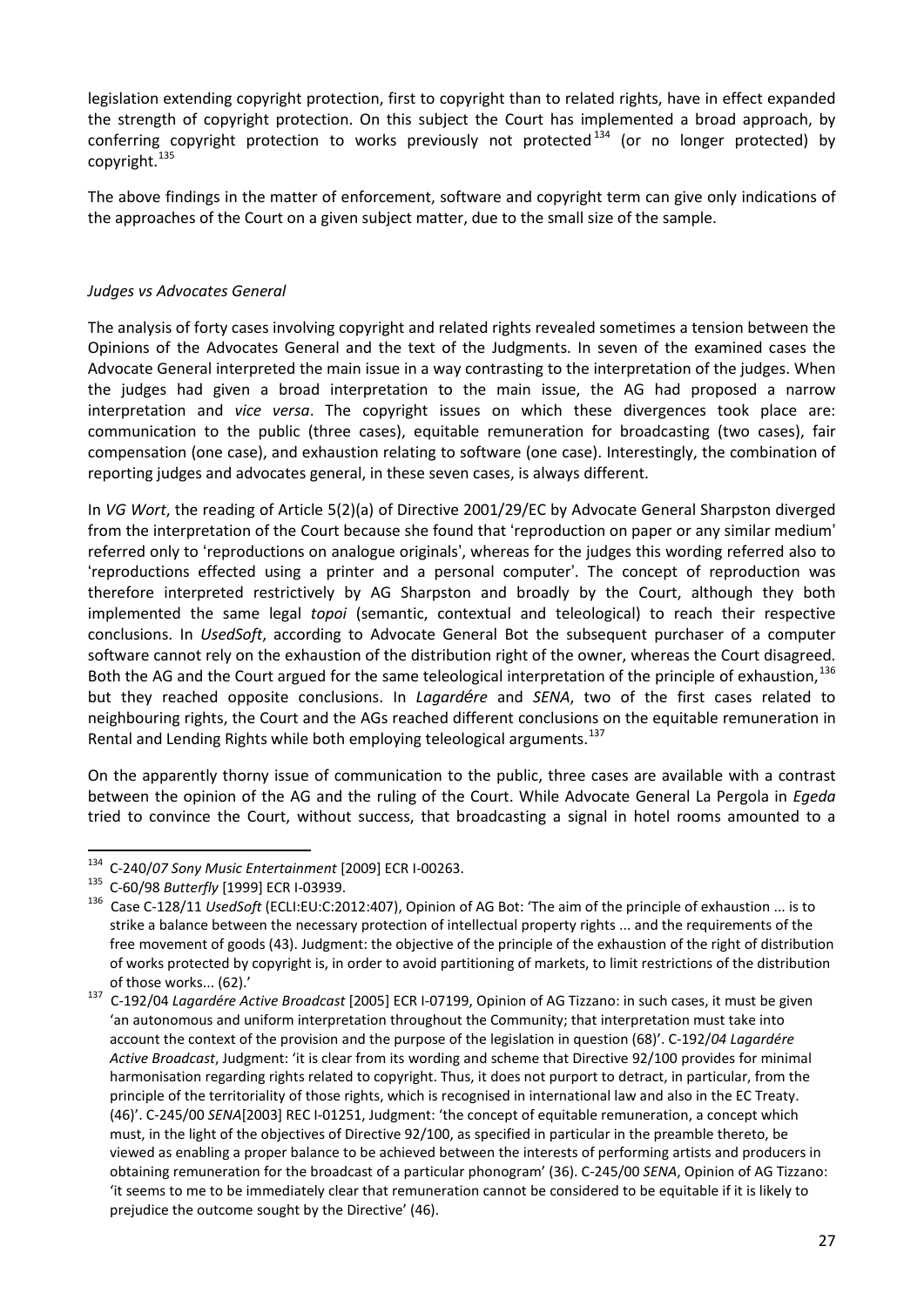legislation extending copyright protection, first to copyright than to related rights, have in effect expanded the strength of copyright protection. On this subject the Court has implemented a broad approach, by conferring copyright protection to works previously not protected  $134$  (or no longer protected) by copyright. $^{135}$  $^{135}$  $^{135}$ 

The above findings in the matter of enforcement, software and copyright term can give only indications of the approaches of the Court on a given subject matter, due to the small size of the sample.

# *Judges vs Advocates General*

The analysis of forty cases involving copyright and related rights revealed sometimes a tension between the Opinions of the Advocates General and the text of the Judgments. In seven of the examined cases the Advocate General interpreted the main issue in a way contrasting to the interpretation of the judges. When the judges had given a broad interpretation to the main issue, the AG had proposed a narrow interpretation and *vice versa*. The copyright issues on which these divergences took place are: communication to the public (three cases), equitable remuneration for broadcasting (two cases), fair compensation (one case), and exhaustion relating to software (one case). Interestingly, the combination of reporting judges and advocates general, in these seven cases, is always different.

In *VG Wort*, the reading of Article 5(2)(a) of Directive 2001/29/EC by Advocate General Sharpston diverged from the interpretation of the Court because she found that 'reproduction on paper or any similar medium' referred only to 'reproductions on analogue originals', whereas for the judges this wording referred also to 'reproductions effected using a printer and a personal computer'. The concept of reproduction was therefore interpreted restrictively by AG Sharpston and broadly by the Court, although they both implemented the same legal *topoi* (semantic, contextual and teleological) to reach their respective conclusions. In *UsedSoft*, according to Advocate General Bot the subsequent purchaser of a computer software cannot rely on the exhaustion of the distribution right of the owner, whereas the Court disagreed. Both the AG and the Court argued for the same teleological interpretation of the principle of exhaustion, [136](#page-26-2) but they reached opposite conclusions. In *Lagardére* and *SENA*, two of the first cases related to neighbouring rights, the Court and the AGs reached different conclusions on the equitable remuneration in Rental and Lending Rights while both employing teleological arguments.<sup>[137](#page-26-3)</sup>

On the apparently thorny issue of communication to the public, three cases are available with a contrast between the opinion of the AG and the ruling of the Court. While Advocate General La Pergola in *Egeda* tried to convince the Court, without success, that broadcasting a signal in hotel rooms amounted to a

<span id="page-26-2"></span>

<span id="page-26-1"></span><span id="page-26-0"></span><sup>&</sup>lt;sup>134</sup> C-240/07 Sony Music Entertainment [2009] ECR I-00263.<br><sup>135</sup> C-60/98 Butterfly [1999] ECR I-03939.<br><sup>136</sup> Case C-128/11 UsedSoft (ECLI:EU:C:2012:407), Opinion of AG Bot: 'The aim of the principle of exhaustion ... is strike a balance between the necessary protection of intellectual property rights ... and the requirements of the free movement of goods (43). Judgment: the objective of the principle of the exhaustion of the right of distribution of works protected by copyright is, in order to avoid partitioning of markets, to limit restrictions of the distribution of those works... (62).' <sup>137</sup> C-192/04 *Lagardére Active Broadcast* [2005] ECR I-07199, Opinion of AG Tizzano: in such cases, it must be given

<span id="page-26-3"></span><sup>&#</sup>x27;an autonomous and uniform interpretation throughout the Community; that interpretation must take into account the context of the provision and the purpose of the legislation in question (68)'. C-192/*04 Lagardére Active Broadcast*, Judgment: 'it is clear from its wording and scheme that Directive 92/100 provides for minimal harmonisation regarding rights related to copyright. Thus, it does not purport to detract, in particular, from the principle of the territoriality of those rights, which is recognised in international law and also in the EC Treaty. (46)'. C-245/00 *SENA*[2003] REC I-01251, Judgment: 'the concept of equitable remuneration, a concept which must, in the light of the objectives of Directive 92/100, as specified in particular in the preamble thereto, be viewed as enabling a proper balance to be achieved between the interests of performing artists and producers in obtaining remuneration for the broadcast of a particular phonogram' (36). C-245/00 *SENA*, Opinion of AG Tizzano: 'it seems to me to be immediately clear that remuneration cannot be considered to be equitable if it is likely to prejudice the outcome sought by the Directive' (46).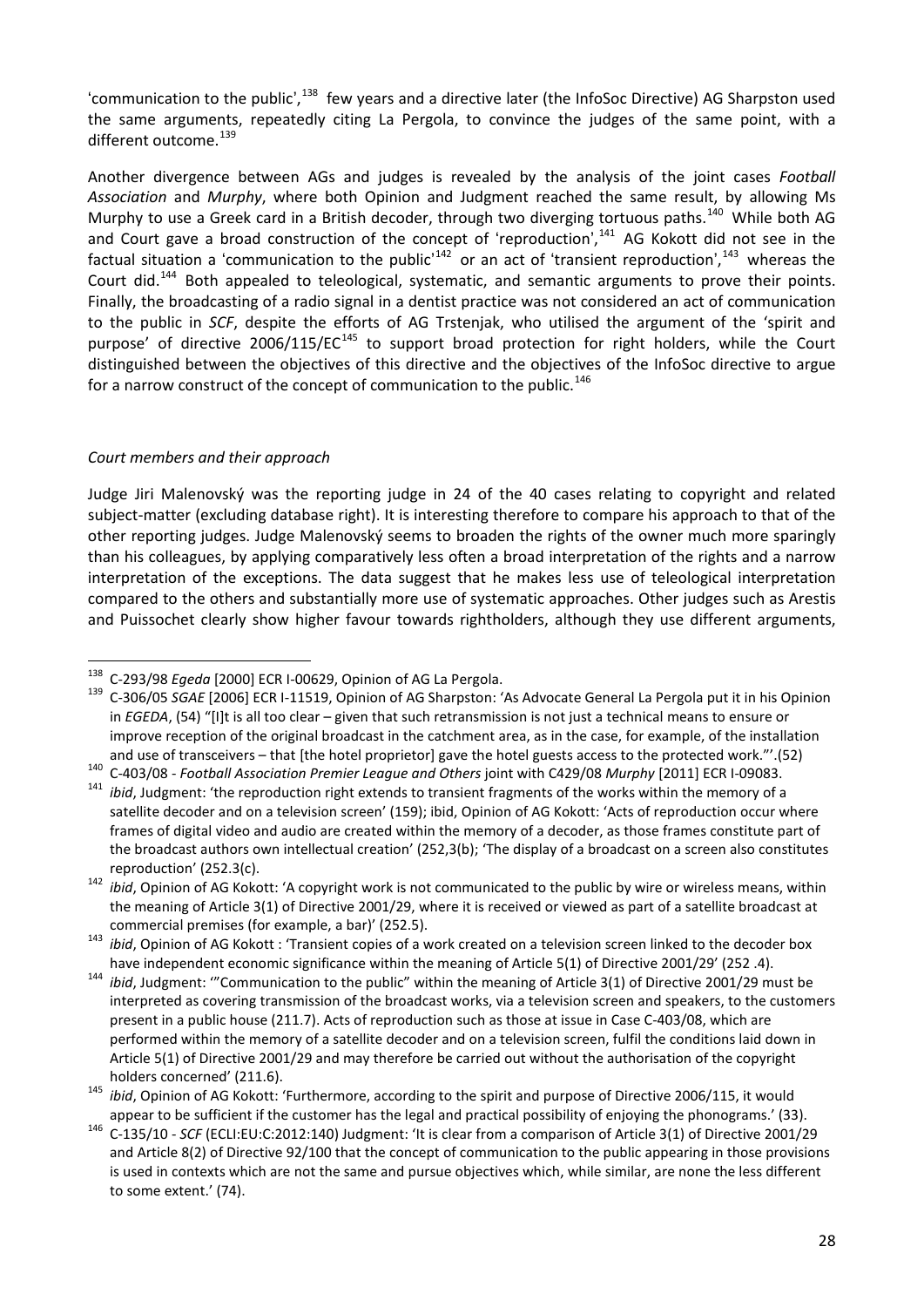'communication to the public', <sup>[138](#page-27-0)</sup> few years and a directive later (the InfoSoc Directive) AG Sharpston used the same arguments, repeatedly citing La Pergola, to convince the judges of the same point, with a different outcome.<sup>[139](#page-27-1)</sup>

Another divergence between AGs and judges is revealed by the analysis of the joint cases *Football Association* and *Murphy*, where both Opinion and Judgment reached the same result, by allowing Ms Murphy to use a Greek card in a British decoder, through two diverging tortuous paths.<sup>[140](#page-27-2)</sup> While both AG and Court gave a broad construction of the concept of 'reproduction',<sup>[141](#page-27-3)</sup> AG Kokott did not see in the factual situation a 'communication to the public'<sup>[142](#page-27-4)</sup> or an act of 'transient reproduction',<sup>[143](#page-27-5)</sup> whereas the Court did.<sup>[144](#page-27-6)</sup> Both appealed to teleological, systematic, and semantic arguments to prove their points. Finally, the broadcasting of a radio signal in a dentist practice was not considered an act of communication to the public in *SCF*, despite the efforts of AG Trstenjak, who utilised the argument of the 'spirit and purpose' of directive 2006/115/EC<sup>[145](#page-27-7)</sup> to support broad protection for right holders, while the Court distinguished between the objectives of this directive and the objectives of the InfoSoc directive to argue for a narrow construct of the concept of communication to the public.<sup>[146](#page-27-8)</sup>

### *Court members and their approach*

Judge Jiri Malenovský was the reporting judge in 24 of the 40 cases relating to copyright and related subject-matter (excluding database right). It is interesting therefore to compare his approach to that of the other reporting judges. Judge Malenovský seems to broaden the rights of the owner much more sparingly than his colleagues, by applying comparatively less often a broad interpretation of the rights and a narrow interpretation of the exceptions. The data suggest that he makes less use of teleological interpretation compared to the others and substantially more use of systematic approaches. Other judges such as Arestis and Puissochet clearly show higher favour towards rightholders, although they use different arguments,

<span id="page-27-1"></span><span id="page-27-0"></span><sup>&</sup>lt;sup>138</sup> C-293/98 *Egeda* [2000] ECR I-00629, Opinion of AG La Pergola.<br><sup>139</sup> C-306/05 *SGAE* [2006] ECR I-11519, Opinion of AG Sharpston: 'As Advocate General La Pergola put it in his Opinion in *EGEDA*, (54) "[I]t is all too clear – given that such retransmission is not just a technical means to ensure or improve reception of the original broadcast in the catchment area, as in the case, for example, of the installation and use of transceivers – that [the hotel proprietor] gave the hotel guests access to the protected work."'.(52)<br>
<sup>140</sup> C-403/08 - *Football Association Premier League and Others* joint with C429/08 *Murphy* [2011] ECR I-0

<span id="page-27-2"></span>

<span id="page-27-3"></span>satellite decoder and on a television screen' (159); ibid, Opinion of AG Kokott: 'Acts of reproduction occur where frames of digital video and audio are created within the memory of a decoder, as those frames constitute part of the broadcast authors own intellectual creation' (252,3(b); 'The display of a broadcast on a screen also constitutes

<span id="page-27-4"></span>reproduction' (252.3(c). <sup>142</sup> *ibid*, Opinion of AG Kokott: 'A copyright work is not communicated to the public by wire or wireless means, within the meaning of Article 3(1) of Directive 2001/29, where it is received or viewed as part of a satellite broadcast at

<span id="page-27-5"></span>commercial premises (for example, a bar)' (252.5). <sup>143</sup> *ibid*, Opinion of AG Kokott : 'Transient copies of a work created on a television screen linked to the decoder box

<span id="page-27-6"></span>have independent economic significance within the meaning of Article 5(1) of Directive 2001/29' (252 .4).<br><sup>144</sup> *ibid*, Judgment: "'Communication to the public" within the meaning of Article 3(1) of Directive 2001/29 must interpreted as covering transmission of the broadcast works, via a television screen and speakers, to the customers present in a public house (211.7). Acts of reproduction such as those at issue in Case C-403/08, which are performed within the memory of a satellite decoder and on a television screen, fulfil the conditions laid down in Article 5(1) of Directive 2001/29 and may therefore be carried out without the authorisation of the copyright

<span id="page-27-7"></span>holders concerned' (211.6). <sup>145</sup> *ibid*, Opinion of AG Kokott: 'Furthermore, according to the spirit and purpose of Directive 2006/115, it would

<span id="page-27-8"></span>appear to be sufficient if the customer has the legal and practical possibility of enjoying the phonograms.' (33).<br><sup>146</sup> C-135/10 - *SCF* (ECLI:EU:C:2012:140) Judgment: 'It is clear from a comparison of Article 3(1) of Dir and Article 8(2) of Directive 92/100 that the concept of communication to the public appearing in those provisions is used in contexts which are not the same and pursue objectives which, while similar, are none the less different to some extent.' (74).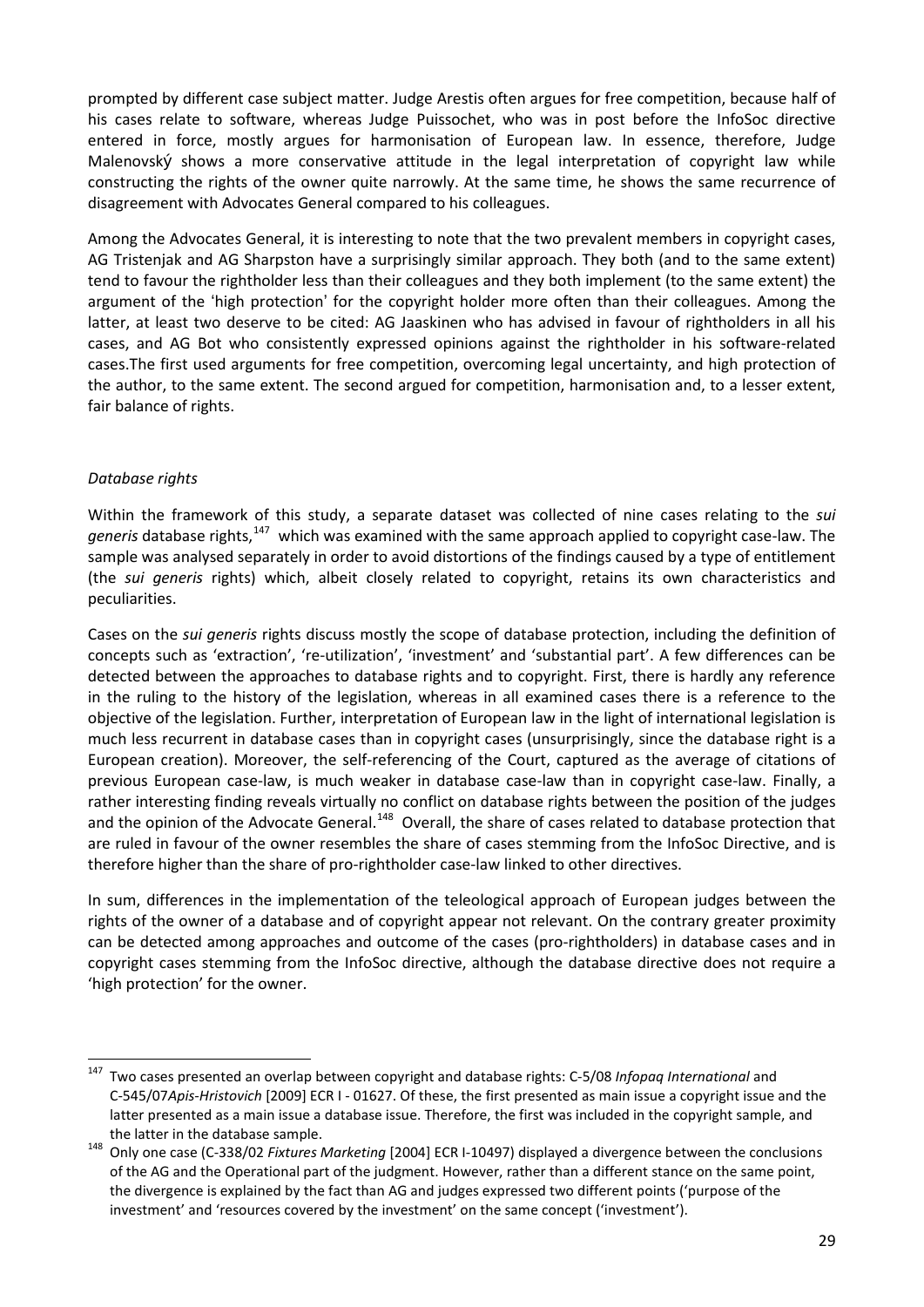prompted by different case subject matter. Judge Arestis often argues for free competition, because half of his cases relate to software, whereas Judge Puissochet, who was in post before the InfoSoc directive entered in force, mostly argues for harmonisation of European law. In essence, therefore, Judge Malenovský shows a more conservative attitude in the legal interpretation of copyright law while constructing the rights of the owner quite narrowly. At the same time, he shows the same recurrence of disagreement with Advocates General compared to his colleagues.

Among the Advocates General, it is interesting to note that the two prevalent members in copyright cases, AG Tristenjak and AG Sharpston have a surprisingly similar approach. They both (and to the same extent) tend to favour the rightholder less than their colleagues and they both implement (to the same extent) the argument of the 'high protection' for the copyright holder more often than their colleagues. Among the latter, at least two deserve to be cited: AG Jaaskinen who has advised in favour of rightholders in all his cases, and AG Bot who consistently expressed opinions against the rightholder in his software-related cases.The first used arguments for free competition, overcoming legal uncertainty, and high protection of the author, to the same extent. The second argued for competition, harmonisation and, to a lesser extent, fair balance of rights.

# *Database rights*

Within the framework of this study, a separate dataset was collected of nine cases relating to the *sui generis* database rights,<sup>[147](#page-28-0)</sup> which was examined with the same approach applied to copyright case-law. The sample was analysed separately in order to avoid distortions of the findings caused by a type of entitlement (the *sui generis* rights) which, albeit closely related to copyright, retains its own characteristics and peculiarities.

Cases on the *sui generis* rights discuss mostly the scope of database protection, including the definition of concepts such as 'extraction', 're-utilization', 'investment' and 'substantial part'. A few differences can be detected between the approaches to database rights and to copyright. First, there is hardly any reference in the ruling to the history of the legislation, whereas in all examined cases there is a reference to the objective of the legislation. Further, interpretation of European law in the light of international legislation is much less recurrent in database cases than in copyright cases (unsurprisingly, since the database right is a European creation). Moreover, the self-referencing of the Court, captured as the average of citations of previous European case-law, is much weaker in database case-law than in copyright case-law. Finally, a rather interesting finding reveals virtually no conflict on database rights between the position of the judges and the opinion of the Advocate General.<sup>[148](#page-28-1)</sup> Overall, the share of cases related to database protection that are ruled in favour of the owner resembles the share of cases stemming from the InfoSoc Directive, and is therefore higher than the share of pro-rightholder case-law linked to other directives.

In sum, differences in the implementation of the teleological approach of European judges between the rights of the owner of a database and of copyright appear not relevant. On the contrary greater proximity can be detected among approaches and outcome of the cases (pro-rightholders) in database cases and in copyright cases stemming from the InfoSoc directive, although the database directive does not require a 'high protection' for the owner.

<span id="page-28-0"></span> <sup>147</sup> Two cases presented an overlap between copyright and database rights: C-5/08 *Infopaq International* and C-545/07*Apis-Hristovich* [2009] ECR I - 01627. Of these, the first presented as main issue a copyright issue and the latter presented as a main issue a database issue. Therefore, the first was included in the copyright sample, and the latter in the database sample. <sup>148</sup> Only one case (C-338/02 *Fixtures Marketing* [2004] ECR I-10497) displayed a divergence between the conclusions

<span id="page-28-1"></span>of the AG and the Operational part of the judgment. However, rather than a different stance on the same point, the divergence is explained by the fact than AG and judges expressed two different points ('purpose of the investment' and 'resources covered by the investment' on the same concept ('investment').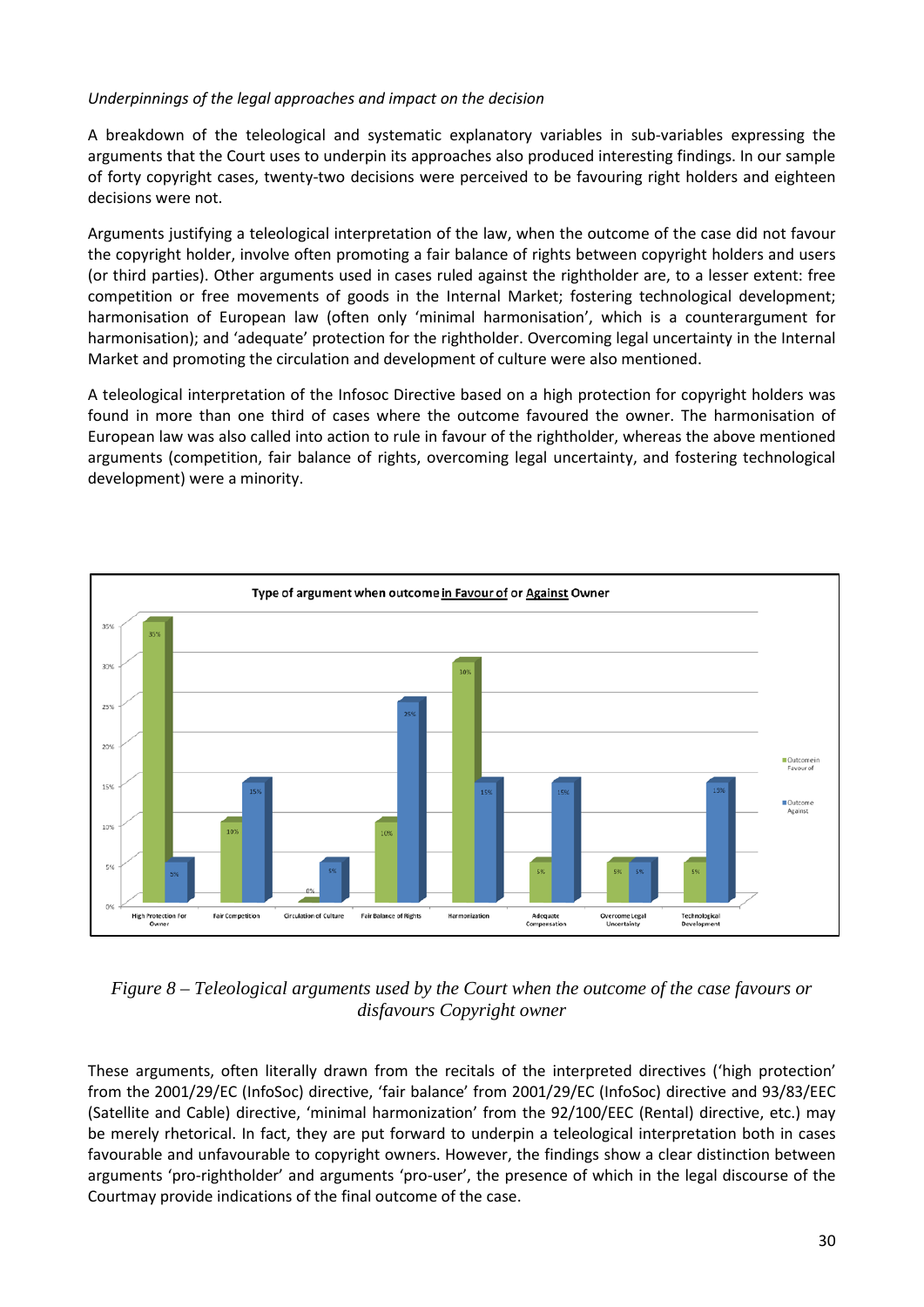### *Underpinnings of the legal approaches and impact on the decision*

A breakdown of the teleological and systematic explanatory variables in sub-variables expressing the arguments that the Court uses to underpin its approaches also produced interesting findings. In our sample of forty copyright cases, twenty-two decisions were perceived to be favouring right holders and eighteen decisions were not.

Arguments justifying a teleological interpretation of the law, when the outcome of the case did not favour the copyright holder, involve often promoting a fair balance of rights between copyright holders and users (or third parties). Other arguments used in cases ruled against the rightholder are, to a lesser extent: free competition or free movements of goods in the Internal Market; fostering technological development; harmonisation of European law (often only 'minimal harmonisation', which is a counterargument for harmonisation); and 'adequate' protection for the rightholder. Overcoming legal uncertainty in the Internal Market and promoting the circulation and development of culture were also mentioned.

A teleological interpretation of the Infosoc Directive based on a high protection for copyright holders was found in more than one third of cases where the outcome favoured the owner. The harmonisation of European law was also called into action to rule in favour of the rightholder, whereas the above mentioned arguments (competition, fair balance of rights, overcoming legal uncertainty, and fostering technological development) were a minority.



# *Figure 8 – Teleological arguments used by the Court when the outcome of the case favours or disfavours Copyright owner*

These arguments, often literally drawn from the recitals of the interpreted directives ('high protection' from the 2001/29/EC (InfoSoc) directive, 'fair balance' from 2001/29/EC (InfoSoc) directive and 93/83/EEC (Satellite and Cable) directive, 'minimal harmonization' from the 92/100/EEC (Rental) directive, etc.) may be merely rhetorical. In fact, they are put forward to underpin a teleological interpretation both in cases favourable and unfavourable to copyright owners. However, the findings show a clear distinction between arguments 'pro-rightholder' and arguments 'pro-user', the presence of which in the legal discourse of the Courtmay provide indications of the final outcome of the case.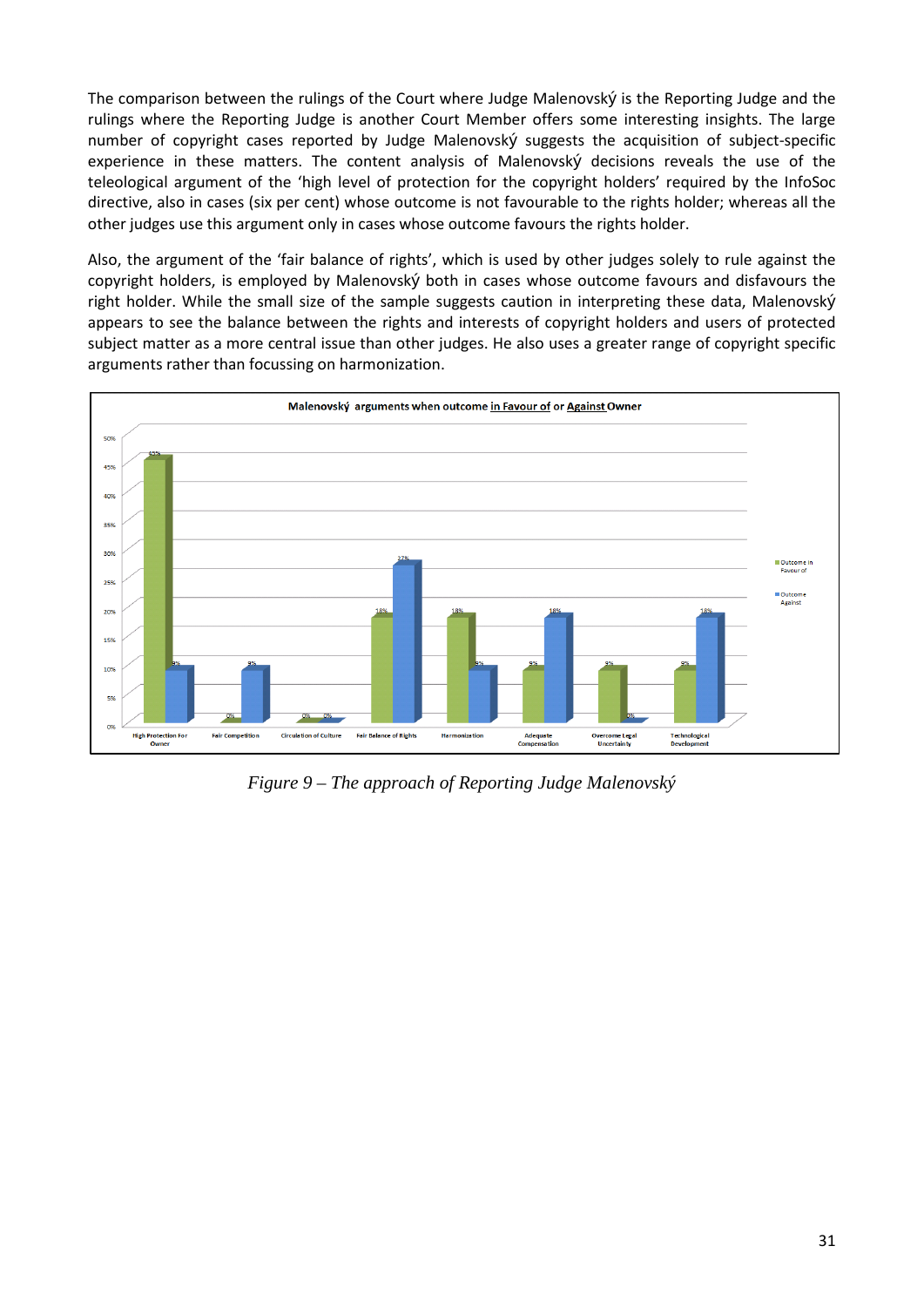The comparison between the rulings of the Court where Judge Malenovský is the Reporting Judge and the rulings where the Reporting Judge is another Court Member offers some interesting insights. The large number of copyright cases reported by Judge Malenovský suggests the acquisition of subject-specific experience in these matters. The content analysis of Malenovský decisions reveals the use of the teleological argument of the 'high level of protection for the copyright holders' required by the InfoSoc directive, also in cases (six per cent) whose outcome is not favourable to the rights holder; whereas all the other judges use this argument only in cases whose outcome favours the rights holder.

Also, the argument of the 'fair balance of rights', which is used by other judges solely to rule against the copyright holders, is employed by Malenovský both in cases whose outcome favours and disfavours the right holder. While the small size of the sample suggests caution in interpreting these data, Malenovský appears to see the balance between the rights and interests of copyright holders and users of protected subject matter as a more central issue than other judges. He also uses a greater range of copyright specific arguments rather than focussing on harmonization.



*Figure 9 – The approach of Reporting Judge Malenovský*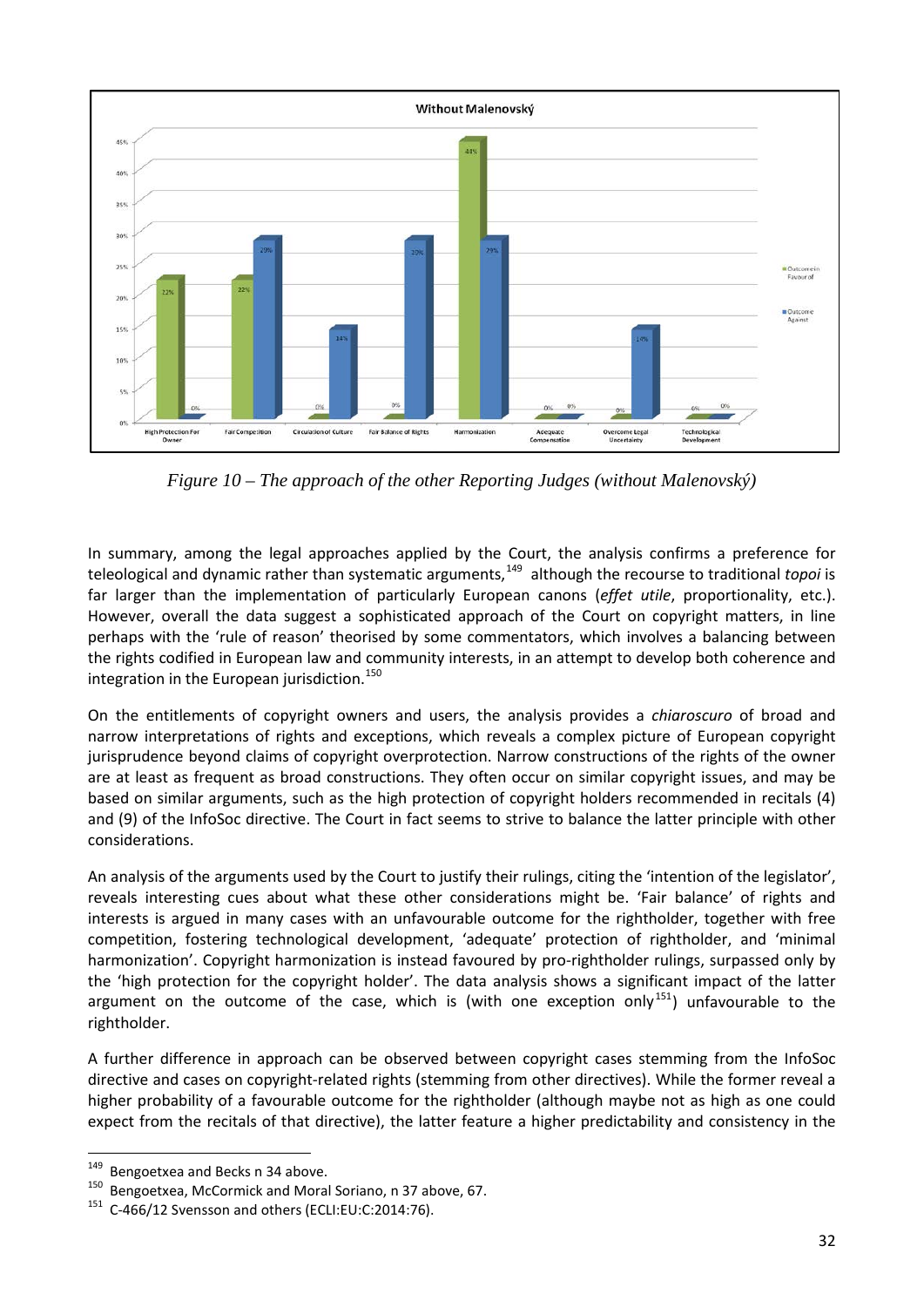

*Figure 10 – The approach of the other Reporting Judges (without Malenovský)*

In summary, among the legal approaches applied by the Court, the analysis confirms a preference for teleological and dynamic rather than systematic arguments,[149](#page-31-0) although the recourse to traditional *topoi* is far larger than the implementation of particularly European canons (*effet utile*, proportionality, etc.). However, overall the data suggest a sophisticated approach of the Court on copyright matters, in line perhaps with the 'rule of reason' theorised by some commentators, which involves a balancing between the rights codified in European law and community interests, in an attempt to develop both coherence and integration in the European jurisdiction.<sup>[150](#page-31-1)</sup>

On the entitlements of copyright owners and users, the analysis provides a *chiaroscuro* of broad and narrow interpretations of rights and exceptions, which reveals a complex picture of European copyright jurisprudence beyond claims of copyright overprotection. Narrow constructions of the rights of the owner are at least as frequent as broad constructions. They often occur on similar copyright issues, and may be based on similar arguments, such as the high protection of copyright holders recommended in recitals (4) and (9) of the InfoSoc directive. The Court in fact seems to strive to balance the latter principle with other considerations.

An analysis of the arguments used by the Court to justify their rulings, citing the 'intention of the legislator', reveals interesting cues about what these other considerations might be. 'Fair balance' of rights and interests is argued in many cases with an unfavourable outcome for the rightholder, together with free competition, fostering technological development, 'adequate' protection of rightholder, and 'minimal harmonization'. Copyright harmonization is instead favoured by pro-rightholder rulings, surpassed only by the 'high protection for the copyright holder'. The data analysis shows a significant impact of the latter argument on the outcome of the case, which is (with one exception only<sup>[151](#page-31-2)</sup>) unfavourable to the rightholder.

A further difference in approach can be observed between copyright cases stemming from the InfoSoc directive and cases on copyright-related rights (stemming from other directives). While the former reveal a higher probability of a favourable outcome for the rightholder (although maybe not as high as one could expect from the recitals of that directive), the latter feature a higher predictability and consistency in the

<span id="page-31-1"></span><span id="page-31-0"></span><sup>&</sup>lt;sup>149</sup> Bengoetxea and Becks [n 34](#page-5-5) above.<br><sup>150</sup> Bengoetxea, McCormick and Moral Soriano, n [37](#page-6-7) above, 67.<br><sup>151</sup> C-466/12 Svensson and others (ECLI:EU:C:2014:76).

<span id="page-31-2"></span>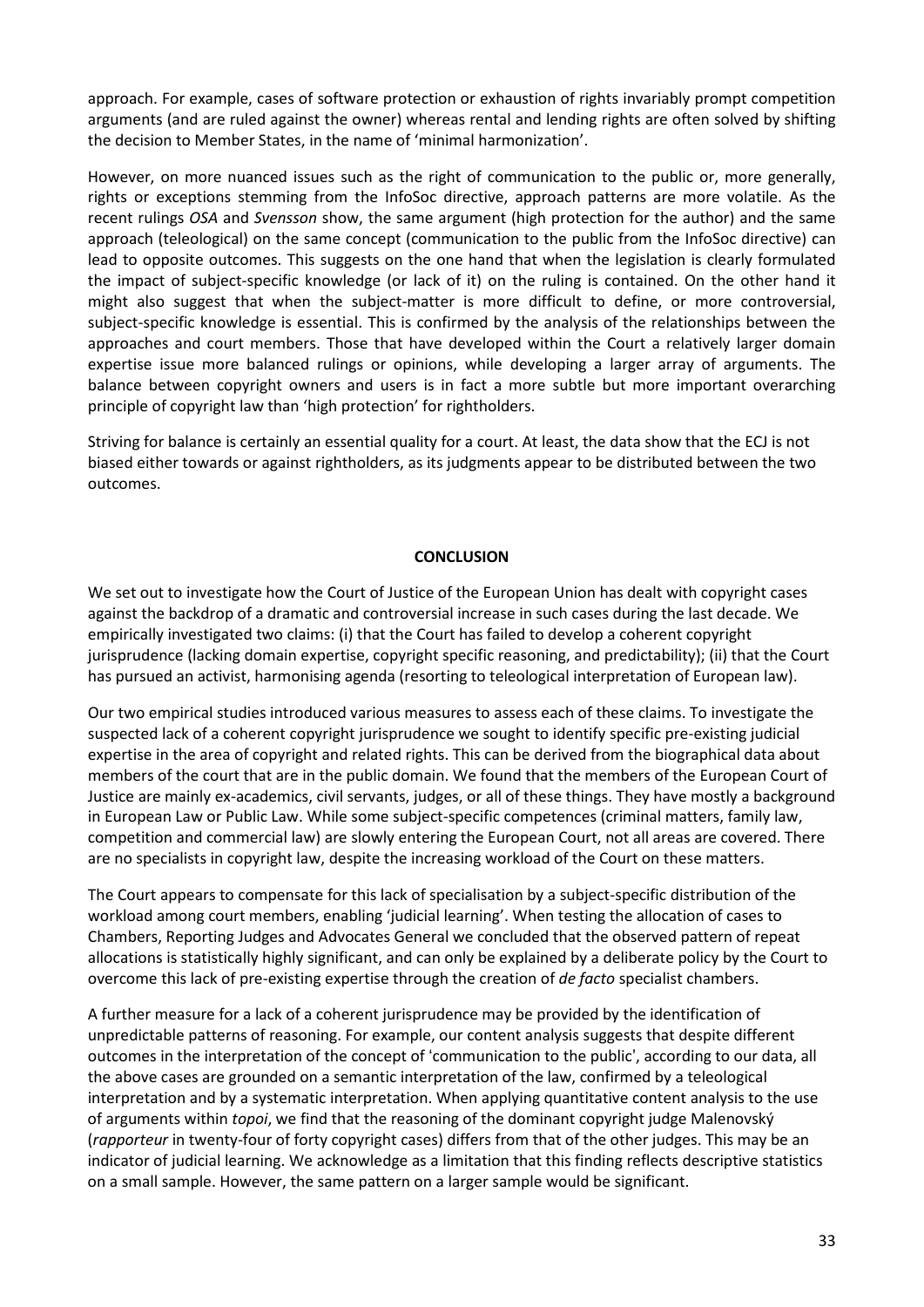approach. For example, cases of software protection or exhaustion of rights invariably prompt competition arguments (and are ruled against the owner) whereas rental and lending rights are often solved by shifting the decision to Member States, in the name of 'minimal harmonization'.

However, on more nuanced issues such as the right of communication to the public or, more generally, rights or exceptions stemming from the InfoSoc directive, approach patterns are more volatile. As the recent rulings *OSA* and *Svensson* show, the same argument (high protection for the author) and the same approach (teleological) on the same concept (communication to the public from the InfoSoc directive) can lead to opposite outcomes. This suggests on the one hand that when the legislation is clearly formulated the impact of subject-specific knowledge (or lack of it) on the ruling is contained. On the other hand it might also suggest that when the subject-matter is more difficult to define, or more controversial, subject-specific knowledge is essential. This is confirmed by the analysis of the relationships between the approaches and court members. Those that have developed within the Court a relatively larger domain expertise issue more balanced rulings or opinions, while developing a larger array of arguments. The balance between copyright owners and users is in fact a more subtle but more important overarching principle of copyright law than 'high protection' for rightholders.

Striving for balance is certainly an essential quality for a court. At least, the data show that the ECJ is not biased either towards or against rightholders, as its judgments appear to be distributed between the two outcomes.

### **CONCLUSION**

We set out to investigate how the Court of Justice of the European Union has dealt with copyright cases against the backdrop of a dramatic and controversial increase in such cases during the last decade. We empirically investigated two claims: (i) that the Court has failed to develop a coherent copyright jurisprudence (lacking domain expertise, copyright specific reasoning, and predictability); (ii) that the Court has pursued an activist, harmonising agenda (resorting to teleological interpretation of European law).

Our two empirical studies introduced various measures to assess each of these claims. To investigate the suspected lack of a coherent copyright jurisprudence we sought to identify specific pre-existing judicial expertise in the area of copyright and related rights. This can be derived from the biographical data about members of the court that are in the public domain. We found that the members of the European Court of Justice are mainly ex-academics, civil servants, judges, or all of these things. They have mostly a background in European Law or Public Law. While some subject-specific competences (criminal matters, family law, competition and commercial law) are slowly entering the European Court, not all areas are covered. There are no specialists in copyright law, despite the increasing workload of the Court on these matters.

The Court appears to compensate for this lack of specialisation by a subject-specific distribution of the workload among court members, enabling 'judicial learning'. When testing the allocation of cases to Chambers, Reporting Judges and Advocates General we concluded that the observed pattern of repeat allocations is statistically highly significant, and can only be explained by a deliberate policy by the Court to overcome this lack of pre-existing expertise through the creation of *de facto* specialist chambers.

A further measure for a lack of a coherent jurisprudence may be provided by the identification of unpredictable patterns of reasoning. For example, our content analysis suggests that despite different outcomes in the interpretation of the concept of 'communication to the public', according to our data, all the above cases are grounded on a semantic interpretation of the law, confirmed by a teleological interpretation and by a systematic interpretation. When applying quantitative content analysis to the use of arguments within *topoi*, we find that the reasoning of the dominant copyright judge Malenovský (*rapporteur* in twenty-four of forty copyright cases) differs from that of the other judges. This may be an indicator of judicial learning. We acknowledge as a limitation that this finding reflects descriptive statistics on a small sample. However, the same pattern on a larger sample would be significant.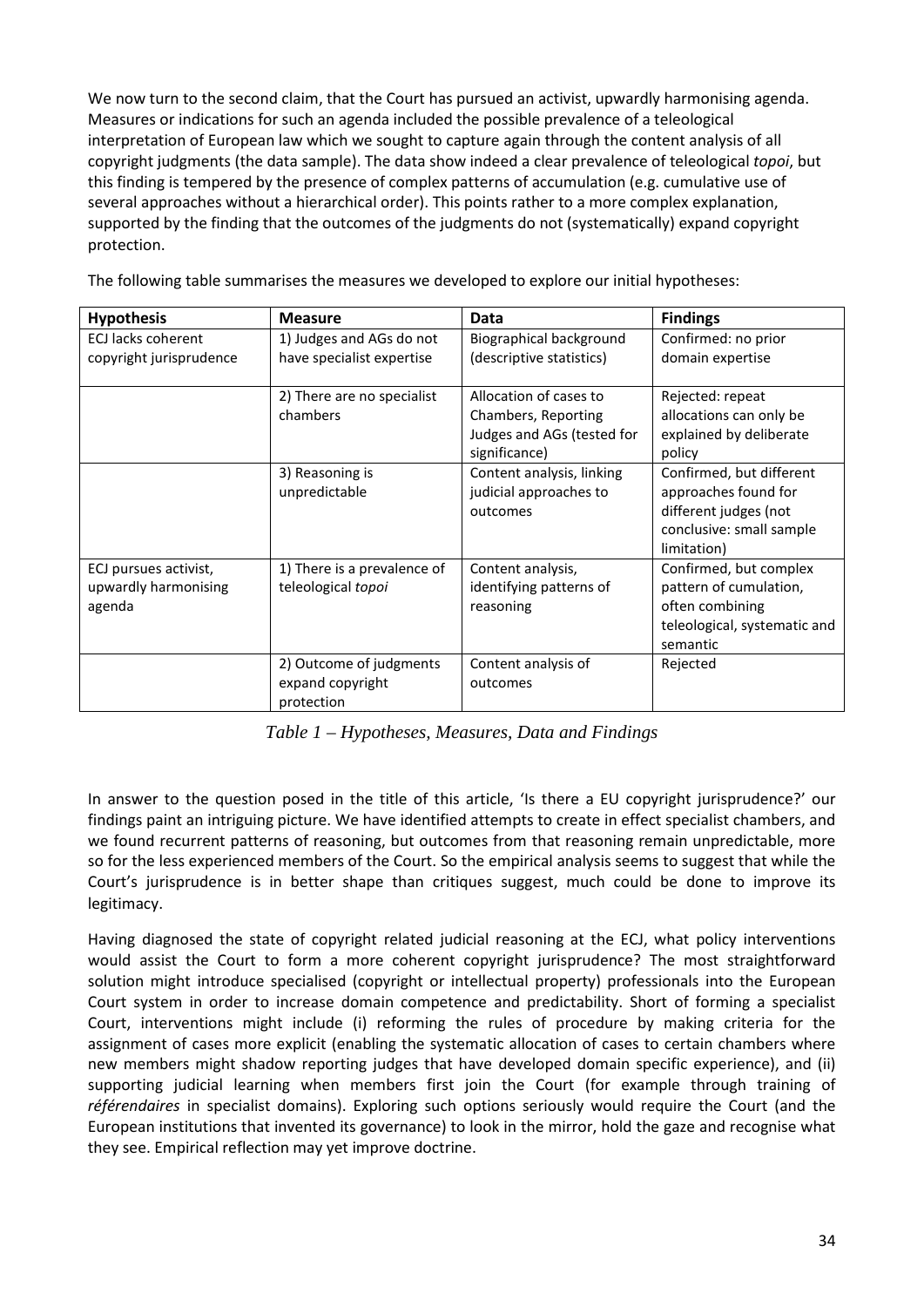We now turn to the second claim, that the Court has pursued an activist, upwardly harmonising agenda. Measures or indications for such an agenda included the possible prevalence of a teleological interpretation of European law which we sought to capture again through the content analysis of all copyright judgments (the data sample). The data show indeed a clear prevalence of teleological *topoi*, but this finding is tempered by the presence of complex patterns of accumulation (e.g. cumulative use of several approaches without a hierarchical order). This points rather to a more complex explanation, supported by the finding that the outcomes of the judgments do not (systematically) expand copyright protection.

| <b>Hypothesis</b>                                       | <b>Measure</b>                                            | Data                                                                        | <b>Findings</b>                                                                                                      |
|---------------------------------------------------------|-----------------------------------------------------------|-----------------------------------------------------------------------------|----------------------------------------------------------------------------------------------------------------------|
| ECJ lacks coherent                                      | 1) Judges and AGs do not                                  | Biographical background                                                     | Confirmed: no prior                                                                                                  |
| copyright jurisprudence                                 | have specialist expertise                                 | (descriptive statistics)                                                    | domain expertise                                                                                                     |
|                                                         | 2) There are no specialist<br>chambers                    | Allocation of cases to<br>Chambers, Reporting<br>Judges and AGs (tested for | Rejected: repeat<br>allocations can only be<br>explained by deliberate                                               |
|                                                         |                                                           | significance)                                                               | policy                                                                                                               |
|                                                         | 3) Reasoning is<br>unpredictable                          | Content analysis, linking<br>judicial approaches to<br>outcomes             | Confirmed, but different<br>approaches found for<br>different judges (not<br>conclusive: small sample<br>limitation) |
| ECJ pursues activist,<br>upwardly harmonising<br>agenda | 1) There is a prevalence of<br>teleological topoi         | Content analysis,<br>identifying patterns of<br>reasoning                   | Confirmed, but complex<br>pattern of cumulation,<br>often combining<br>teleological, systematic and<br>semantic      |
|                                                         | 2) Outcome of judgments<br>expand copyright<br>protection | Content analysis of<br>outcomes                                             | Rejected                                                                                                             |

The following table summarises the measures we developed to explore our initial hypotheses:

*Table 1 – Hypotheses, Measures, Data and Findings*

In answer to the question posed in the title of this article, 'Is there a EU copyright jurisprudence?' our findings paint an intriguing picture. We have identified attempts to create in effect specialist chambers, and we found recurrent patterns of reasoning, but outcomes from that reasoning remain unpredictable, more so for the less experienced members of the Court. So the empirical analysis seems to suggest that while the Court's jurisprudence is in better shape than critiques suggest, much could be done to improve its legitimacy.

Having diagnosed the state of copyright related judicial reasoning at the ECJ, what policy interventions would assist the Court to form a more coherent copyright jurisprudence? The most straightforward solution might introduce specialised (copyright or intellectual property) professionals into the European Court system in order to increase domain competence and predictability. Short of forming a specialist Court, interventions might include (i) reforming the rules of procedure by making criteria for the assignment of cases more explicit (enabling the systematic allocation of cases to certain chambers where new members might shadow reporting judges that have developed domain specific experience), and (ii) supporting judicial learning when members first join the Court (for example through training of *référendaires* in specialist domains). Exploring such options seriously would require the Court (and the European institutions that invented its governance) to look in the mirror, hold the gaze and recognise what they see. Empirical reflection may yet improve doctrine.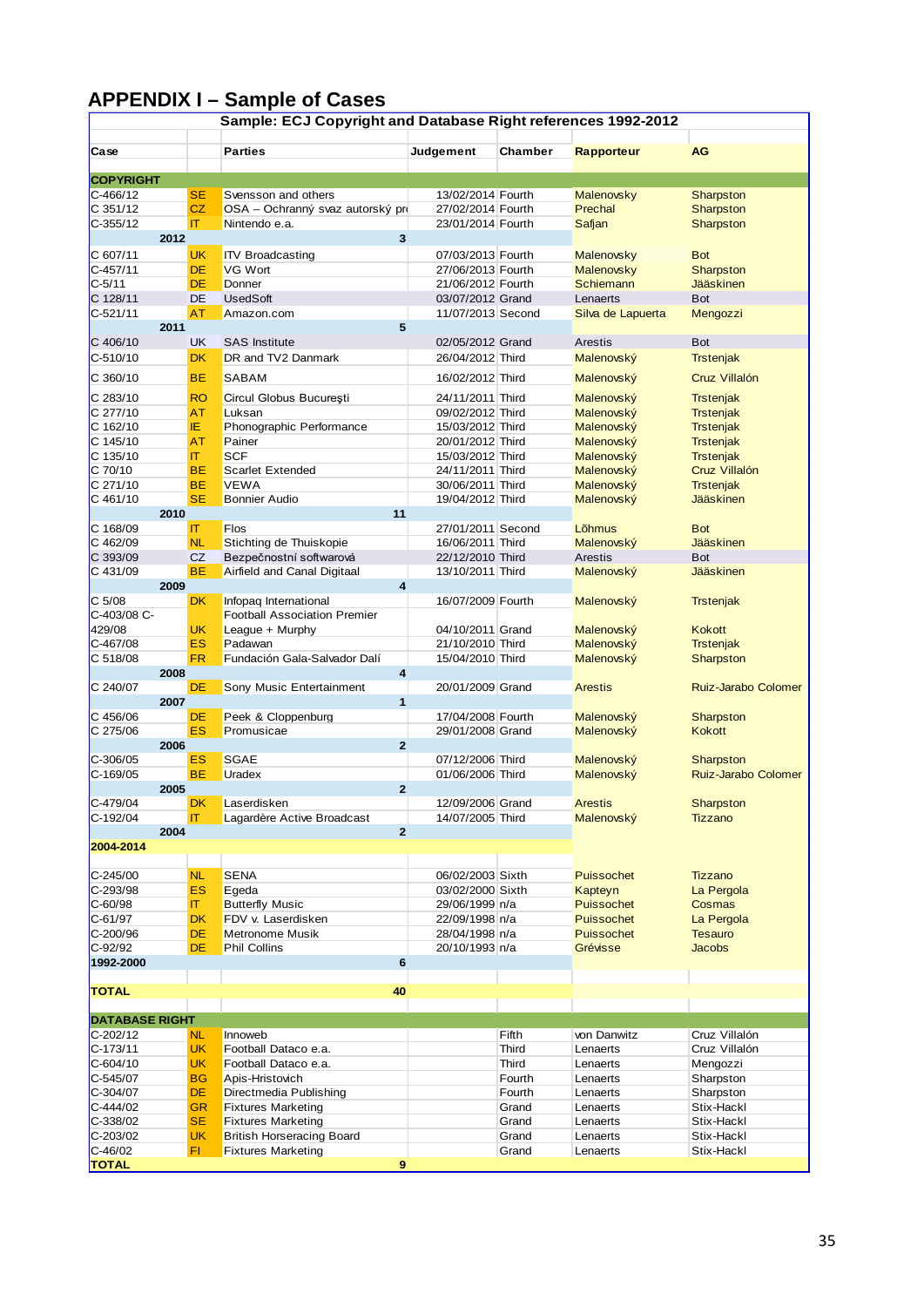# **APPENDIX I – Sample of Cases**

| Sample: ECJ Copyright and Database Right references 1992-2012 |                        |                                                        |                                      |                |                              |                                         |  |  |
|---------------------------------------------------------------|------------------------|--------------------------------------------------------|--------------------------------------|----------------|------------------------------|-----------------------------------------|--|--|
| Case                                                          |                        | <b>Parties</b>                                         | Judgement                            | Chamber        | Rapporteur                   | AG                                      |  |  |
|                                                               |                        |                                                        |                                      |                |                              |                                         |  |  |
| <b>COPYRIGHT</b>                                              |                        |                                                        |                                      |                |                              |                                         |  |  |
| C-466/12                                                      | <b>SE</b>              | Svensson and others                                    | 13/02/2014 Fourth                    |                | Malenovsky                   | <b>Sharpston</b>                        |  |  |
| $C$ 351/12                                                    | CZ                     | OSA – Ochranný svaz autorský pre                       | 27/02/2014 Fourth                    |                | Prechal                      | <b>Sharpston</b>                        |  |  |
| $C-355/12$<br>2012                                            | IT.                    | Nintendo e.a.<br>3                                     | 23/01/2014 Fourth                    |                | Safjan                       | Sharpston                               |  |  |
|                                                               | <b>UK</b>              |                                                        | 07/03/2013 Fourth                    |                |                              |                                         |  |  |
| $C$ 607/11<br>C-457/11                                        | <b>DE</b>              | <b>ITV Broadcasting</b><br>VG Wort                     | 27/06/2013 Fourth                    |                | Malenovsky<br>Malenovsky     | <b>Bot</b><br><b>Sharpston</b>          |  |  |
| $C - 5/11$                                                    | <b>DE</b>              | Donner                                                 | 21/06/2012 Fourth                    |                | Schiemann                    | Jääskinen                               |  |  |
| $C$ 128/11                                                    | DE                     | <b>UsedSoft</b>                                        | 03/07/2012 Grand                     |                | Lenaerts                     | <b>Bot</b>                              |  |  |
| C-521/11                                                      | AT                     | Amazon.com                                             | 11/07/2013 Second                    |                | Silva de Lapuerta            | Mengozzi                                |  |  |
| 2011                                                          |                        | 5                                                      |                                      |                |                              |                                         |  |  |
| $C$ 406/10                                                    | <b>UK</b>              | <b>SAS</b> Institute                                   | 02/05/2012 Grand                     |                | Arestis                      | <b>Bot</b>                              |  |  |
| C-510/10                                                      | <b>DK</b>              | DR and TV2 Danmark                                     | 26/04/2012 Third                     |                | Malenovský                   | <b>Trstenjak</b>                        |  |  |
| $C$ 360/10                                                    | <b>BE</b>              | SABAM                                                  | 16/02/2012 Third                     |                | Malenovský                   | Cruz Villalón                           |  |  |
| $C$ 283/10                                                    | <b>RO</b>              | Circul Globus București                                | 24/11/2011 Third                     |                | Malenovský                   | <b>Trstenjak</b>                        |  |  |
| C 277/10                                                      | AT                     | Luksan                                                 | 09/02/2012 Third                     |                | Malenovský                   | <b>Trstenjak</b>                        |  |  |
| $C$ 162/10                                                    | IE.                    | Phonographic Performance                               | 15/03/2012 Third                     |                | Malenovský                   | <b>Trstenjak</b>                        |  |  |
| C 145/10                                                      | AT                     | Painer                                                 | 20/01/2012 Third                     |                | Malenovský                   | <b>Trstenjak</b>                        |  |  |
| $C$ 135/10                                                    | π                      | <b>SCF</b>                                             | 15/03/2012 Third                     |                | Malenovský                   | <b>Trstenjak</b>                        |  |  |
| C 70/10                                                       | <b>BE</b>              | <b>Scarlet Extended</b>                                | 24/11/2011 Third                     |                | Malenovský                   | Cruz Villalón                           |  |  |
| C 271/10                                                      | <b>BE</b><br><b>SE</b> | <b>VEWA</b>                                            | 30/06/2011 Third                     |                | Malenovský                   | <b>Trstenjak</b>                        |  |  |
| $C$ 461/10<br>2010                                            |                        | <b>Bonnier Audio</b><br>11                             | 19/04/2012 Third                     |                | Malenovský                   | <b>Jääskinen</b>                        |  |  |
| C 168/09                                                      | π                      | Flos                                                   | 27/01/2011 Second                    |                | Lõhmus                       | <b>Bot</b>                              |  |  |
| C 462/09                                                      | <b>NL</b>              | Stichting de Thuiskopie                                | 16/06/2011 Third                     |                | Malenovský                   | Jääskinen                               |  |  |
| C 393/09                                                      | CZ                     | Bezpečnostní softwarová                                | 22/12/2010 Third                     |                | Arestis                      | <b>Bot</b>                              |  |  |
| C 431/09                                                      | <b>BE</b>              | Airfield and Canal Digitaal                            | 13/10/2011 Third                     |                | Malenovský                   | <b>Jääskinen</b>                        |  |  |
| 2009                                                          |                        | 4                                                      |                                      |                |                              |                                         |  |  |
| $C$ 5/08                                                      | <b>DK</b>              | Infopaq International                                  | 16/07/2009 Fourth                    |                | Malenovský                   | <b>Trstenjak</b>                        |  |  |
| C-403/08 C-                                                   |                        | <b>Football Association Premier</b>                    |                                      |                |                              |                                         |  |  |
| 429/08                                                        | UK<br>ES               | League + Murphy<br>Padawan                             | 04/10/2011 Grand<br>21/10/2010 Third |                | Malenovský                   | <b>Kokott</b>                           |  |  |
| C-467/08<br>$C$ 518/08                                        | <b>FR</b>              | Fundación Gala-Salvador Dalí                           | 15/04/2010 Third                     |                | Malenovský<br>Malenovský     | <b>Trstenjak</b><br><b>Sharpston</b>    |  |  |
| 2008                                                          |                        | 4                                                      |                                      |                |                              |                                         |  |  |
| C 240/07                                                      | DE                     | Sony Music Entertainment                               | 20/01/2009 Grand                     |                | <b>Arestis</b>               | <b>Ruiz-Jarabo Colomer</b>              |  |  |
| 2007                                                          |                        | 1                                                      |                                      |                |                              |                                         |  |  |
| $C$ 456/06                                                    | DE                     | Peek & Cloppenburg                                     | 17/04/2008 Fourth                    |                | Malenovský                   | Sharpston                               |  |  |
| C 275/06                                                      | ES                     | Promusicae                                             | 29/01/2008 Grand                     |                | Malenovský                   | <b>Kokott</b>                           |  |  |
| 2006                                                          |                        | $\mathbf{2}$                                           |                                      |                |                              |                                         |  |  |
| $C-306/05$<br>C-169/05                                        | ES<br><b>BE</b>        | SGAE<br>Uradex                                         | 07/12/2006 Third<br>01/06/2006 Third |                | Malenovský<br>Malenovský     | Sharpston<br><b>Ruiz-Jarabo Colomer</b> |  |  |
| 2005                                                          |                        | $\mathbf{2}$                                           |                                      |                |                              |                                         |  |  |
| $C-479/04$                                                    | <b>DK</b>              | Laserdisken                                            | 12/09/2006 Grand                     |                | <b>Arestis</b>               | <b>Sharpston</b>                        |  |  |
| C-192/04                                                      | ΙΤ                     | Lagardère Active Broadcast                             | 14/07/2005 Third                     |                | Malenovský                   | Tizzano                                 |  |  |
| 2004                                                          |                        | $\overline{2}$                                         |                                      |                |                              |                                         |  |  |
| 2004-2014                                                     |                        |                                                        |                                      |                |                              |                                         |  |  |
|                                                               |                        |                                                        | 06/02/2003 Sixth                     |                |                              |                                         |  |  |
| $C-245/00$<br>$C-293/98$                                      | <b>NL</b><br><b>ES</b> | <b>SENA</b><br>Egeda                                   | 03/02/2000 Sixth                     |                | <b>Puissochet</b><br>Kapteyn | Tizzano<br>La Pergola                   |  |  |
| $C - 60/98$                                                   | ΙΤ.                    | <b>Butterfly Music</b>                                 | 29/06/1999 n/a                       |                | <b>Puissochet</b>            | Cosmas                                  |  |  |
| $C-61/97$                                                     | <b>DK</b>              | FDV v. Laserdisken                                     | 22/09/1998 n/a                       |                | <b>Puissochet</b>            | La Pergola                              |  |  |
| C-200/96                                                      | <b>DE</b>              | <b>Metronome Musik</b>                                 | 28/04/1998 n/a                       |                | <b>Puissochet</b>            | <b>Tesauro</b>                          |  |  |
| $C-92/92$                                                     | DE.                    | <b>Phil Collins</b>                                    | 20/10/1993 n/a                       |                | Grévisse                     | <b>Jacobs</b>                           |  |  |
| 1992-2000                                                     |                        | 6                                                      |                                      |                |                              |                                         |  |  |
|                                                               |                        |                                                        |                                      |                |                              |                                         |  |  |
| <b>TOTAL</b>                                                  |                        | 40                                                     |                                      |                |                              |                                         |  |  |
| <b>DATABASE RIGHT</b>                                         |                        |                                                        |                                      |                |                              |                                         |  |  |
| $C-202/12$                                                    | <b>NL</b>              | Innoweb                                                |                                      | Fifth          | von Danwitz                  | Cruz Villalón                           |  |  |
| $C-173/11$                                                    | <b>UK</b>              | Football Dataco e.a.                                   |                                      | Third          | Lenaerts                     | Cruz Villalón                           |  |  |
| $C - 604/10$                                                  | <b>UK</b>              | Football Dataco e.a.                                   |                                      | Third          | Lenaerts                     | Mengozzi                                |  |  |
| C-545/07                                                      | <b>BG</b>              | Apis-Hristovich                                        |                                      | Fourth         | Lenaerts                     | Sharpston                               |  |  |
| C-304/07                                                      | <b>DE</b>              | Directmedia Publishing                                 |                                      | Fourth         | Lenaerts                     | Sharpston                               |  |  |
| $C-444/02$<br>C-338/02                                        | <b>GR</b><br><b>SE</b> | <b>Fixtures Marketing</b><br><b>Fixtures Marketing</b> |                                      | Grand<br>Grand | Lenaerts<br>Lenaerts         | Stix-Hackl<br>Stix-Hackl                |  |  |
| $C-203/02$                                                    | UK                     | <b>British Horseracing Board</b>                       |                                      | Grand          | Lenaerts                     | Stix-Hackl                              |  |  |
| $C - 46/02$                                                   | FI.                    | <b>Fixtures Marketing</b>                              |                                      | Grand          | Lenaerts                     | Stix-Hackl                              |  |  |
| <b>TOTAL</b>                                                  |                        | 9                                                      |                                      |                |                              |                                         |  |  |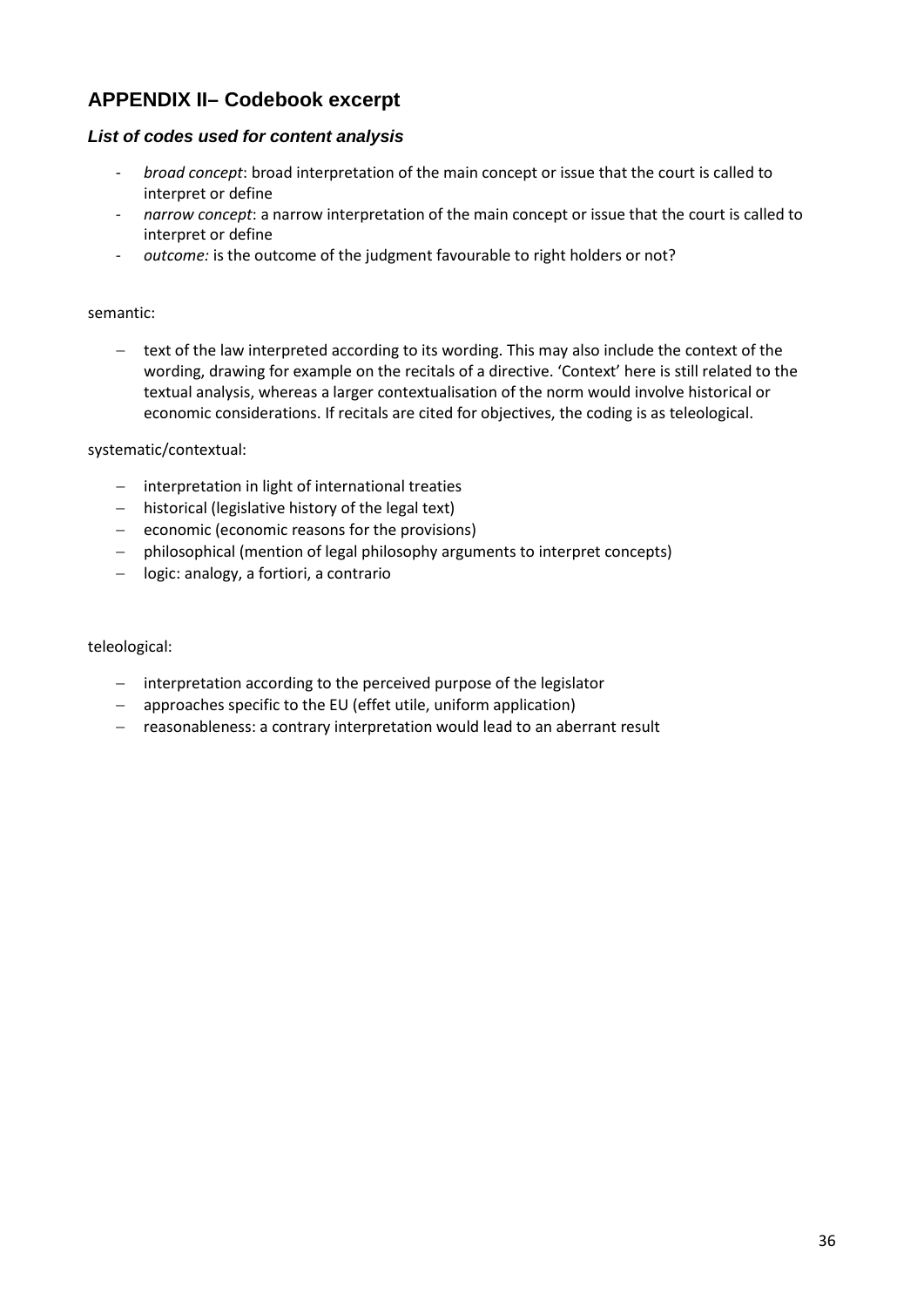# **APPENDIX II– Codebook excerpt**

# *List of codes used for content analysis*

- *- broad concept*: broad interpretation of the main concept or issue that the court is called to interpret or define
- *- narrow concept*: a narrow interpretation of the main concept or issue that the court is called to interpret or define
- *- outcome:* is the outcome of the judgment favourable to right holders or not?

### semantic:

− text of the law interpreted according to its wording. This may also include the context of the wording, drawing for example on the recitals of a directive. 'Context' here is still related to the textual analysis, whereas a larger contextualisation of the norm would involve historical or economic considerations. If recitals are cited for objectives, the coding is as teleological.

### systematic/contextual:

- − interpretation in light of international treaties
- − historical (legislative history of the legal text)
- − economic (economic reasons for the provisions)
- − philosophical (mention of legal philosophy arguments to interpret concepts)
- − logic: analogy, a fortiori, a contrario

### teleological:

- − interpretation according to the perceived purpose of the legislator
- − approaches specific to the EU (effet utile, uniform application)
- − reasonableness: a contrary interpretation would lead to an aberrant result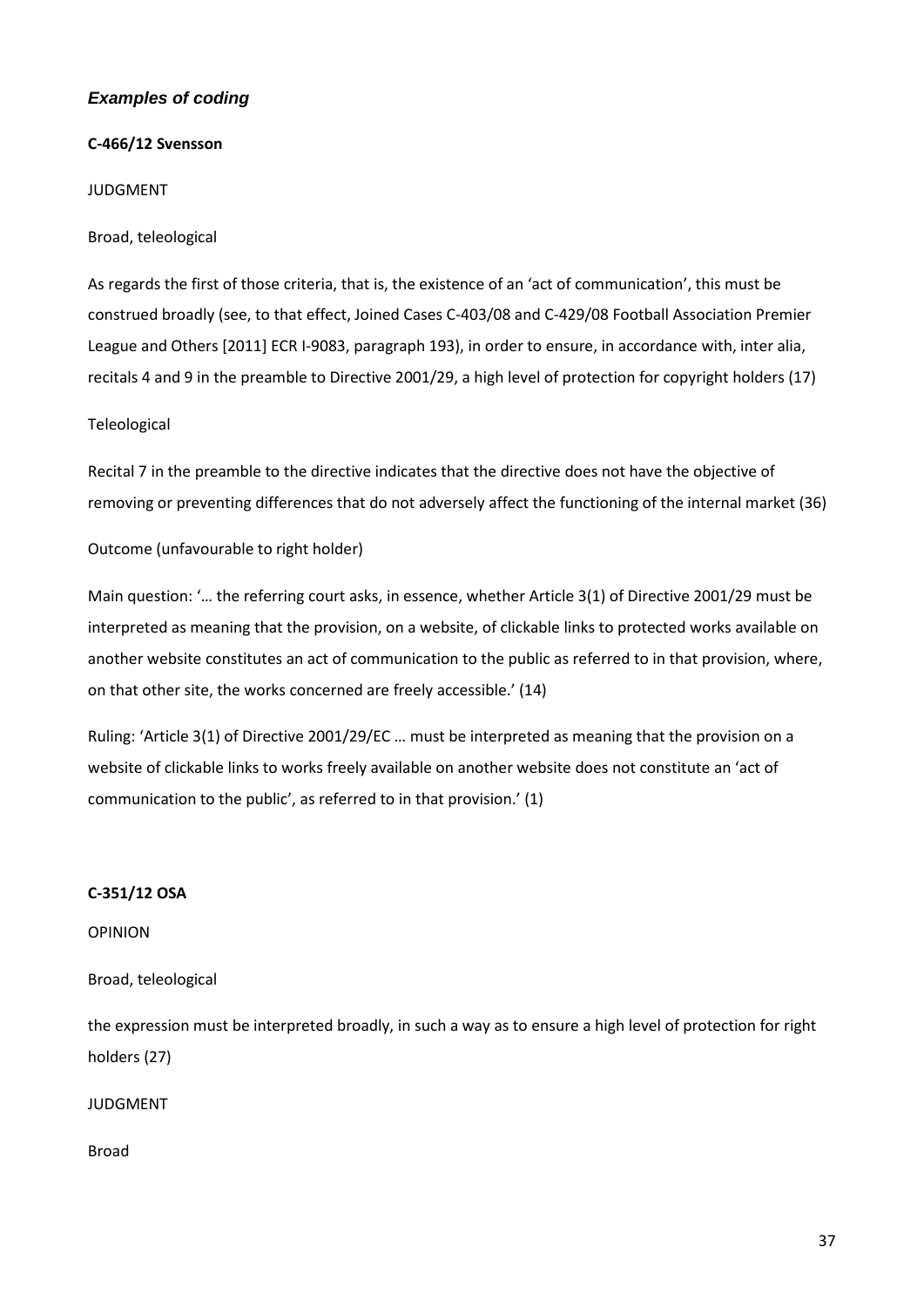# *Examples of coding*

### **C-466/12 Svensson**

### JUDGMENT

Broad, teleological

As regards the first of those criteria, that is, the existence of an 'act of communication', this must be construed broadly (see, to that effect, Joined Cases C-403/08 and C-429/08 Football Association Premier League and Others [2011] ECR I-9083, paragraph 193), in order to ensure, in accordance with, inter alia, recitals 4 and 9 in the preamble to Directive 2001/29, a high level of protection for copyright holders (17)

### Teleological

Recital 7 in the preamble to the directive indicates that the directive does not have the objective of removing or preventing differences that do not adversely affect the functioning of the internal market (36)

Outcome (unfavourable to right holder)

Main question: '… the referring court asks, in essence, whether Article 3(1) of Directive 2001/29 must be interpreted as meaning that the provision, on a website, of clickable links to protected works available on another website constitutes an act of communication to the public as referred to in that provision, where, on that other site, the works concerned are freely accessible.' (14)

Ruling: 'Article 3(1) of Directive 2001/29/EC … must be interpreted as meaning that the provision on a website of clickable links to works freely available on another website does not constitute an 'act of communication to the public', as referred to in that provision.' (1)

### **C-351/12 OSA**

### OPINION

Broad, teleological

the expression must be interpreted broadly, in such a way as to ensure a high level of protection for right holders (27)

JUDGMENT

Broad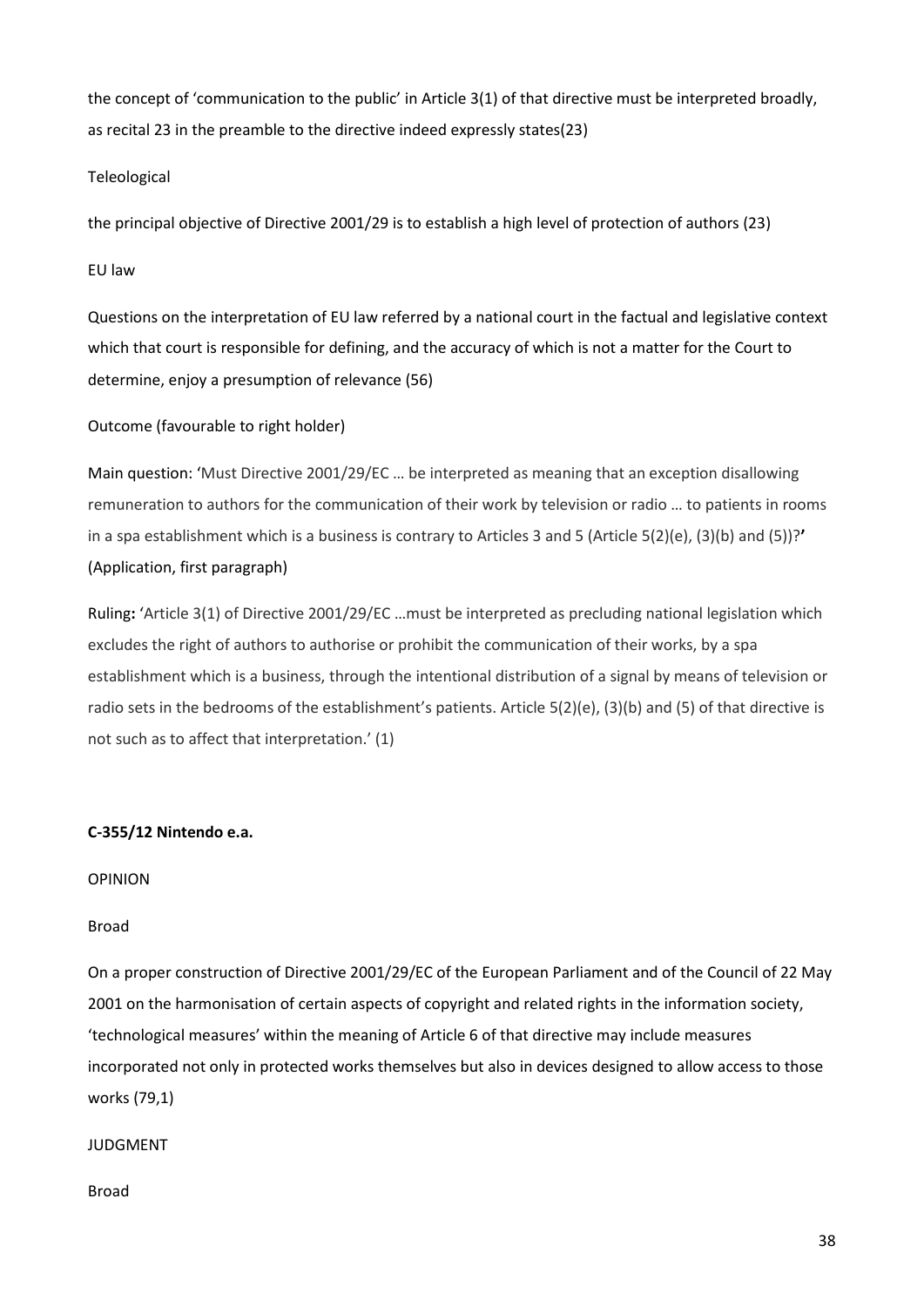the concept of 'communication to the public' in Article 3(1) of that directive must be interpreted broadly, as recital 23 in the preamble to the directive indeed expressly states(23)

### Teleological

the principal objective of Directive 2001/29 is to establish a high level of protection of authors (23)

EU law

Questions on the interpretation of EU law referred by a national court in the factual and legislative context which that court is responsible for defining, and the accuracy of which is not a matter for the Court to determine, enjoy a presumption of relevance (56)

Outcome (favourable to right holder)

Main question: 'Must Directive 2001/29/EC … be interpreted as meaning that an exception disallowing remuneration to authors for the communication of their work by television or radio … to patients in rooms in a spa establishment which is a business is contrary to Articles 3 and 5 (Article 5(2)(e), (3)(b) and (5))?**'** (Application, first paragraph)

Ruling**:** 'Article 3(1) of Directive 2001/29/EC …must be interpreted as precluding national legislation which excludes the right of authors to authorise or prohibit the communication of their works, by a spa establishment which is a business, through the intentional distribution of a signal by means of television or radio sets in the bedrooms of the establishment's patients. Article 5(2)(e), (3)(b) and (5) of that directive is not such as to affect that interpretation.' (1)

# **C-355/12 Nintendo e.a.**

### OPINION

### Broad

On a proper construction of Directive 2001/29/EC of the European Parliament and of the Council of 22 May 2001 on the harmonisation of certain aspects of copyright and related rights in the information society, 'technological measures' within the meaning of Article 6 of that directive may include measures incorporated not only in protected works themselves but also in devices designed to allow access to those works (79,1)

JUDGMENT

Broad